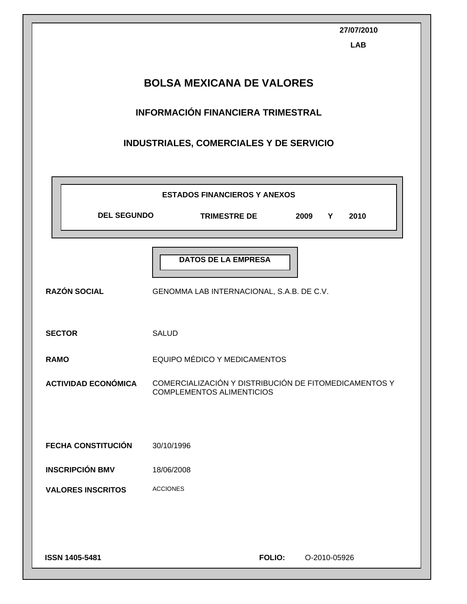|                                  | 27/07/2010<br><b>LAB</b>                                                                  |  |  |  |
|----------------------------------|-------------------------------------------------------------------------------------------|--|--|--|
| <b>BOLSA MEXICANA DE VALORES</b> |                                                                                           |  |  |  |
|                                  | <b>INFORMACIÓN FINANCIERA TRIMESTRAL</b>                                                  |  |  |  |
|                                  | INDUSTRIALES, COMERCIALES Y DE SERVICIO                                                   |  |  |  |
|                                  | <b>ESTADOS FINANCIEROS Y ANEXOS</b>                                                       |  |  |  |
| <b>DEL SEGUNDO</b>               | <b>TRIMESTRE DE</b><br>2009<br>Y<br>2010                                                  |  |  |  |
| <b>RAZÓN SOCIAL</b>              | <b>DATOS DE LA EMPRESA</b><br>GENOMMA LAB INTERNACIONAL, S.A.B. DE C.V.                   |  |  |  |
| <b>SECTOR</b>                    | <b>SALUD</b>                                                                              |  |  |  |
| <b>RAMO</b>                      | EQUIPO MÉDICO Y MEDICAMENTOS                                                              |  |  |  |
| <b>ACTIVIDAD ECONÓMICA</b>       | COMERCIALIZACIÓN Y DISTRIBUCIÓN DE FITOMEDICAMENTOS Y<br><b>COMPLEMENTOS ALIMENTICIOS</b> |  |  |  |
| <b>FECHA CONSTITUCIÓN</b>        | 30/10/1996                                                                                |  |  |  |
| <b>INSCRIPCIÓN BMV</b>           | 18/06/2008                                                                                |  |  |  |
| <b>VALORES INSCRITOS</b>         | <b>ACCIONES</b>                                                                           |  |  |  |
| ISSN 1405-5481                   | FOLIO:<br>O-2010-05926                                                                    |  |  |  |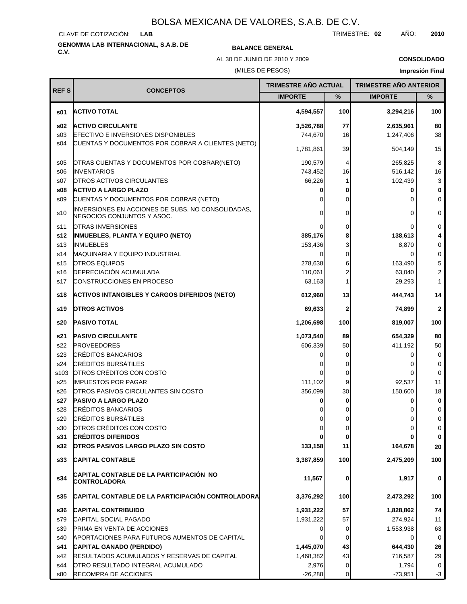CLAVE DE COTIZACIÓN: **LAB**

# **GENOMMA LAB INTERNACIONAL, S.A.B. DE C.V. BALANCE GENERAL**

AL 30 DE JUNIO DE 2010 Y 2009

**CONSOLIDADO**

## (MILES DE PESOS)

| <b>REFS</b>     | <b>CONCEPTOS</b>                                                                | <b>TRIMESTRE AÑO ACTUAL</b> |      | <b>TRIMESTRE AÑO ANTERIOR</b> |                |  |
|-----------------|---------------------------------------------------------------------------------|-----------------------------|------|-------------------------------|----------------|--|
|                 |                                                                                 | <b>IMPORTE</b>              | $\%$ | <b>IMPORTE</b>                | ℅              |  |
| \$01            | <b>ACTIVO TOTAL</b>                                                             | 4,594,557                   | 100  | 3,294,216                     | 100            |  |
| \$02            | <b>ACTIVO CIRCULANTE</b>                                                        | 3,526,788                   | 77   | 2,635,961                     | 80             |  |
| s <sub>03</sub> | <b>EFECTIVO E INVERSIONES DISPONIBLES</b>                                       | 744,670                     | 16   | 1,247,406                     | 38             |  |
| s04             | CUENTAS Y DOCUMENTOS POR COBRAR A CLIENTES (NETO)                               | 1,781,861                   | 39   | 504,149                       | 15             |  |
| \$05            | OTRAS CUENTAS Y DOCUMENTOS POR COBRAR(NETO)                                     | 190,579                     | 4    | 265,825                       | 8              |  |
| \$06            | <b>INVENTARIOS</b>                                                              | 743,452                     | 16   | 516,142                       | 16             |  |
| s07             | <b>OTROS ACTIVOS CIRCULANTES</b>                                                | 66,226                      |      | 102,439                       | 3              |  |
| \$08            | <b>ACTIVO A LARGO PLAZO</b>                                                     | 0                           | 0    | 0                             | 0              |  |
| \$09            | CUENTAS Y DOCUMENTOS POR COBRAR (NETO)                                          |                             | 0    | 0                             | $\mathbf 0$    |  |
| s10             | INVERSIONES EN ACCIONES DE SUBS. NO CONSOLIDADAS,<br>NEGOCIOS CONJUNTOS Y ASOC. | 0                           | 0    | 0                             | 0              |  |
| s11             | OTRAS INVERSIONES                                                               | 0                           | 0    | 0                             | 0              |  |
| s12             | <b>INMUEBLES, PLANTA Y EQUIPO (NETO)</b>                                        | 385,176                     | 8    | 138,613                       | 4              |  |
| s13             | <b>INMUEBLES</b>                                                                | 153,436                     | 3    | 8,870                         | 0              |  |
| s14             | <b>MAQUINARIA Y EQUIPO INDUSTRIAL</b>                                           | 0                           | 0    | 0                             | 0              |  |
| s15             | <b>OTROS EQUIPOS</b>                                                            | 278,638                     | 6    | 163,490                       | 5              |  |
| s16             | DEPRECIACIÓN ACUMULADA                                                          | 110,061                     | 2    | 63,040                        | $\overline{2}$ |  |
| s17             | CONSTRUCCIONES EN PROCESO                                                       | 63,163                      |      | 29,293                        | 1              |  |
| s18             | <b>ACTIVOS INTANGIBLES Y CARGOS DIFERIDOS (NETO)</b>                            | 612,960                     | 13   | 444,743                       | 14             |  |
| s19             | <b>OTROS ACTIVOS</b>                                                            | 69,633                      | 2    | 74,899                        | $\mathbf{2}$   |  |
| s20             | <b>PASIVO TOTAL</b>                                                             | 1,206,698                   | 100  | 819,007                       | 100            |  |
| s21             | <b>PASIVO CIRCULANTE</b>                                                        | 1,073,540                   | 89   | 654,329                       | 80             |  |
| s22             | <b>PROVEEDORES</b>                                                              | 606,339                     | 50   | 411,192                       | 50             |  |
| s23             | <b>CRÉDITOS BANCARIOS</b>                                                       | 0                           | 0    | 0                             | 0              |  |
| s24             | <b>CRÉDITOS BURSÁTILES</b>                                                      |                             | 0    | 0                             | 0              |  |
| s103            | OTROS CRÉDITOS CON COSTO                                                        |                             | 0    | 0                             | $\mathbf 0$    |  |
| s25             | <b>IMPUESTOS POR PAGAR</b>                                                      | 111,102                     | 9    | 92,537                        | 11             |  |
| s26             | OTROS PASIVOS CIRCULANTES SIN COSTO                                             | 356,099                     | 30   | 150,600                       | 18             |  |
| s27             | <b>PASIVO A LARGO PLAZO</b>                                                     | 0                           | 0    | 0                             | 0              |  |
| s28             | <b>CRÉDITOS BANCARIOS</b>                                                       |                             |      |                               | 0              |  |
| s29             | <b>CRÉDITOS BURSÁTILES</b>                                                      | 0                           | 0    | 0                             | 0              |  |
| s30             | OTROS CRÉDITOS CON COSTO                                                        | 0                           | 0    | 0                             | 0              |  |
| s31             | <b>CRÉDITOS DIFERIDOS</b>                                                       |                             | 0    |                               | 0              |  |
| s32             | <b>OTROS PASIVOS LARGO PLAZO SIN COSTO</b>                                      | 133,158                     | 11   | 164,678                       | 20             |  |
| s33             | <b>CAPITAL CONTABLE</b>                                                         | 3,387,859                   | 100  | 2,475,209                     | 100            |  |
| s34             | CAPITAL CONTABLE DE LA PARTICIPACIÓN NO<br>CONTROLADORA                         | 11,567                      | 0    | 1,917                         | 0              |  |
| s35             | CAPITAL CONTABLE DE LA PARTICIPACIÓN CONTROLADORA                               | 3,376,292                   | 100  | 2,473,292                     | 100            |  |
| s36             | <b>CAPITAL CONTRIBUIDO</b>                                                      | 1,931,222                   | 57   | 1,828,862                     | 74             |  |
| s79             | <b>CAPITAL SOCIAL PAGADO</b>                                                    | 1,931,222                   | 57   | 274,924                       | 11             |  |
| s39             | <b>PRIMA EN VENTA DE ACCIONES</b>                                               | 0                           | 0    | 1,553,938                     | 63             |  |
| s40             | APORTACIONES PARA FUTUROS AUMENTOS DE CAPITAL                                   |                             | 0    | 0                             | 0              |  |
| s41             | CAPITAL GANADO (PERDIDO)                                                        | 1,445,070                   | 43   | 644,430                       | 26             |  |
| s42             | RESULTADOS ACUMULADOS Y RESERVAS DE CAPITAL                                     | 1,468,382                   | 43   | 716,587                       | 29             |  |
| s44             | OTRO RESULTADO INTEGRAL ACUMULADO                                               | 2,976                       | 0    | 1,794                         | $\mathbf 0$    |  |
| s80             | RECOMPRA DE ACCIONES                                                            | $-26,288$                   | 0    | $-73,951$                     | $-3$           |  |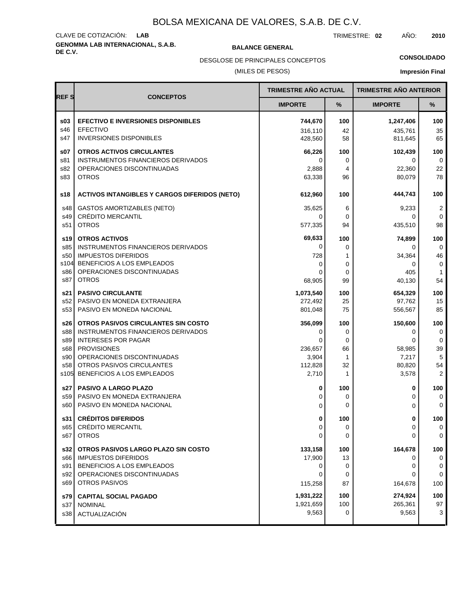# **GENOMMA LAB INTERNACIONAL, S.A.B. DE C.V. BALANCE GENERAL** CLAVE DE COTIZACIÓN: **LAB**

TRIMESTRE: **02** AÑO: **2010**

DESGLOSE DE PRINCIPALES CONCEPTOS

# **CONSOLIDADO**

(MILES DE PESOS)

|                 |                                                      | <b>TRIMESTRE AÑO ACTUAL</b> |             | <b>TRIMESTRE AÑO ANTERIOR</b> |                |
|-----------------|------------------------------------------------------|-----------------------------|-------------|-------------------------------|----------------|
| <b>REFS</b>     | <b>CONCEPTOS</b>                                     | <b>IMPORTE</b>              | %           | <b>IMPORTE</b>                | %              |
| \$03            | <b>EFECTIVO E INVERSIONES DISPONIBLES</b>            | 744,670                     | 100         | 1,247,406                     | 100            |
| s46             | <b>EFECTIVO</b>                                      | 316,110                     | 42          | 435,761                       | 35             |
| s47             | <b>INVERSIONES DISPONIBLES</b>                       | 428,560                     | 58          | 811,645                       | 65             |
| s07             | <b>OTROS ACTIVOS CIRCULANTES</b>                     | 66,226                      | 100         | 102,439                       | 100            |
| s81             | <b>INSTRUMENTOS FINANCIEROS DERIVADOS</b>            | 0                           | 0           | 0                             | $\mathbf 0$    |
| s82             | OPERACIONES DISCONTINUADAS                           | 2,888                       | 4           | 22,360                        | 22             |
| s83             | <b>OTROS</b>                                         | 63,338                      | 96          | 80,079                        | 78             |
| s18             | <b>ACTIVOS INTANGIBLES Y CARGOS DIFERIDOS (NETO)</b> | 612,960                     | 100         | 444,743                       | 100            |
| s48             | <b>GASTOS AMORTIZABLES (NETO)</b>                    | 35,625                      | 6           | 9,233                         | $\overline{2}$ |
| s49             | <b>CRÉDITO MERCANTIL</b>                             | 0                           | 0           | 0                             | 0              |
| s51             | <b>OTROS</b>                                         | 577,335                     | 94          | 435,510                       | 98             |
| s19             | <b>OTROS ACTIVOS</b>                                 | 69,633                      | 100         | 74,899                        | 100            |
| s85             | INSTRUMENTOS FINANCIEROS DERIVADOS                   | 0                           | 0           | 0                             | 0              |
| s50             | <b>IMPUESTOS DIFERIDOS</b>                           | 728                         | 1           | 34,364                        | 46             |
| s104            | BENEFICIOS A LOS EMPLEADOS                           | 0                           | 0           | 0                             | $\mathbf 0$    |
| s86             | OPERACIONES DISCONTINUADAS                           | 0                           | 0           | 405                           | $\mathbf{1}$   |
| s87             | <b>OTROS</b>                                         | 68,905                      | 99          | 40.130                        | 54             |
| s21             | <b>PASIVO CIRCULANTE</b>                             | 1,073,540                   | 100         | 654,329                       | 100            |
| s52             | PASIVO EN MONEDA EXTRANJERA                          | 272,492                     | 25          | 97.762                        | 15             |
| s <sub>53</sub> | PASIVO EN MONEDA NACIONAL                            | 801,048                     | 75          | 556,567                       | 85             |
| s26             | OTROS PASIVOS CIRCULANTES SIN COSTO                  | 356,099                     | 100         | 150,600                       | 100            |
| s88             | INSTRUMENTOS FINANCIEROS DERIVADOS                   | 0                           | 0           | 0                             | 0              |
| s89             | <b>INTERESES POR PAGAR</b>                           | $\Omega$                    | $\mathbf 0$ | 0                             | 0              |
| s68             | <b>PROVISIONES</b>                                   | 236,657                     | 66          | 58,985                        | 39             |
| s90             | OPERACIONES DISCONTINUADAS                           | 3,904                       | 1           | 7,217                         | 5              |
| s58             | OTROS PASIVOS CIRCULANTES                            | 112,828                     | 32          | 80,820                        | 54             |
| s105            | BENEFICIOS A LOS EMPLEADOS                           | 2,710                       | 1           | 3,578                         | 2              |
| s27             | <b>PASIVO A LARGO PLAZO</b>                          | 0                           | 100         | 0                             | 100            |
| s59             | PASIVO EN MONEDA EXTRANJERA                          | 0                           | $\mathbf 0$ | 0                             | $\mathbf 0$    |
| s60             | PASIVO EN MONEDA NACIONAL                            | 0                           | 0           | 0                             | $\mathbf 0$    |
| s31 l           | <b>CRÉDITOS DIFERIDOS</b>                            | 0                           | 100         | 0                             | 100            |
| s65             | CRÉDITO MERCANTIL                                    | 0                           | 0           | 0                             | 0              |
| s67             | <b>OTROS</b>                                         | 0                           | 0           | 0                             | 0              |
| s32             | OTROS PASIVOS LARGO PLAZO SIN COSTO                  | 133,158                     | 100         | 164,678                       | 100            |
| s66 l           | <b>IMPUESTOS DIFERIDOS</b>                           | 17,900                      | 13          | 0                             | 0              |
| s91             | BENEFICIOS A LOS EMPLEADOS                           | 0                           | 0           | 0                             | 0              |
| s92             | OPERACIONES DISCONTINUADAS                           | 0                           | 0           | 0                             | 0              |
| s69 l           | <b>OTROS PASIVOS</b>                                 | 115,258                     | 87          | 164,678                       | 100            |
| s79 l           | <b>CAPITAL SOCIAL PAGADO</b>                         | 1,931,222                   | 100         | 274,924                       | 100            |
| s37             | <b>NOMINAL</b>                                       | 1,921,659                   | 100         | 265,361                       | 97             |
| s38             | ACTUALIZACIÓN                                        | 9,563                       | 0           | 9,563                         | 3              |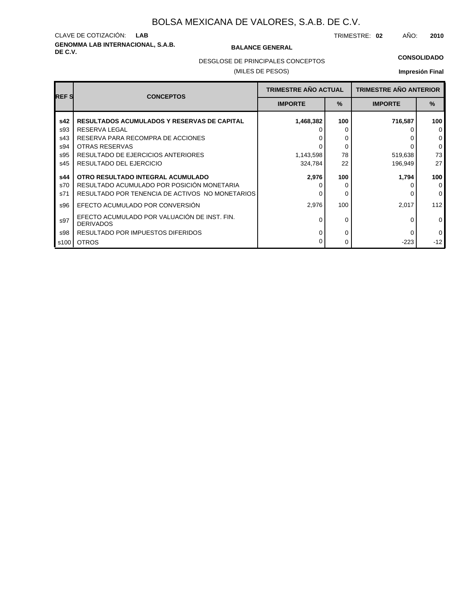# **GENOMMA LAB INTERNACIONAL, S.A.B. DE C.V. BALANCE GENERAL** CLAVE DE COTIZACIÓN: **LAB**

TRIMESTRE: **02** AÑO: **2010**

## **CONSOLIDADO**

DESGLOSE DE PRINCIPALES CONCEPTOS

## (MILES DE PESOS)

| <b>REFS</b> | <b>CONCEPTOS</b>                                                 | <b>TRIMESTRE AÑO ACTUAL</b> |               | <b>TRIMESTRE AÑO ANTERIOR</b> |              |
|-------------|------------------------------------------------------------------|-----------------------------|---------------|-------------------------------|--------------|
|             |                                                                  | <b>IMPORTE</b>              | $\frac{9}{6}$ | <b>IMPORTE</b>                | $\%$         |
| s42         | <b>RESULTADOS ACUMULADOS Y RESERVAS DE CAPITAL</b>               | 1,468,382                   | 100           | 716,587                       | 100          |
| s93         | <b>RESERVA LEGAL</b>                                             |                             | O             |                               | $\Omega$     |
| s43         | RESERVA PARA RECOMPRA DE ACCIONES                                |                             | 0             |                               | $\mathbf 0$  |
| s94         | OTRAS RESERVAS                                                   |                             | 0             |                               | $\mathbf 0$  |
| s95         | <b>RESULTADO DE EJERCICIOS ANTERIORES</b>                        | 1,143,598                   | 78            | 519,638                       | 73           |
| s45         | RESULTADO DEL EJERCICIO                                          | 324,784                     | 22            | 196,949                       | 27           |
| s44         | OTRO RESULTADO INTEGRAL ACUMULADO                                | 2,976                       | 100           | 1,794                         | 100          |
| s70         | RESULTADO ACUMULADO POR POSICIÓN MONETARIA                       |                             | O             |                               | $\Omega$     |
| s71         | RESULTADO POR TENENCIA DE ACTIVOS NO MONETARIOS                  |                             | 0             |                               | $\mathbf 0$  |
| s96         | EFECTO ACUMULADO POR CONVERSIÓN                                  | 2,976                       | 100           | 2,017                         | 112          |
| s97         | EFECTO ACUMULADO POR VALUACIÓN DE INST. FIN.<br><b>DERIVADOS</b> | U                           | 0             | 0                             | $\mathbf{0}$ |
| s98         | RESULTADO POR IMPUESTOS DIFERIDOS                                |                             | 0             | 0                             | $\mathbf 0$  |
| s100        | <b>OTROS</b>                                                     |                             | 0             | $-223$                        | $-12$        |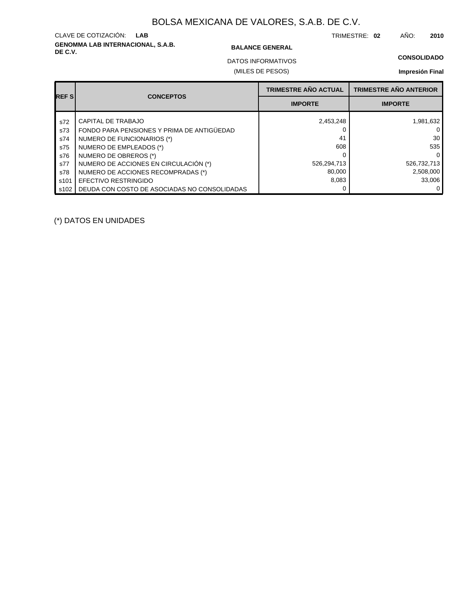# **GENOMMA LAB INTERNACIONAL, S.A.B. DE C.V. BALANCE GENERAL** CLAVE DE COTIZACIÓN: **LAB**

TRIMESTRE: **02** AÑO: **2010**

## **CONSOLIDADO**

(MILES DE PESOS) DATOS INFORMATIVOS

## **Impresión Final**

|             |                                              | <b>TRIMESTRE AÑO ACTUAL</b> | <b>TRIMESTRE AÑO ANTERIOR</b> |
|-------------|----------------------------------------------|-----------------------------|-------------------------------|
| <b>REFS</b> | <b>CONCEPTOS</b>                             | <b>IMPORTE</b>              | <b>IMPORTE</b>                |
| s72         | CAPITAL DE TRABAJO                           | 2,453,248                   | 1,981,632                     |
| s73         | FONDO PARA PENSIONES Y PRIMA DE ANTIGÜEDAD   |                             | O                             |
| s74         | NUMERO DE FUNCIONARIOS (*)                   | 41                          | 30                            |
| s75         | NUMERO DE EMPLEADOS (*)                      | 608                         | 535                           |
| s76         | NUMERO DE OBREROS (*)                        |                             | 0                             |
| s77         | NUMERO DE ACCIONES EN CIRCULACIÓN (*)        | 526,294,713                 | 526,732,713                   |
| s78         | NUMERO DE ACCIONES RECOMPRADAS (*)           | 80.000                      | 2,508,000                     |
| s101        | EFECTIVO RESTRINGIDO                         | 8.083                       | 33.006                        |
| s102        | DEUDA CON COSTO DE ASOCIADAS NO CONSOLIDADAS |                             |                               |

(\*) DATOS EN UNIDADES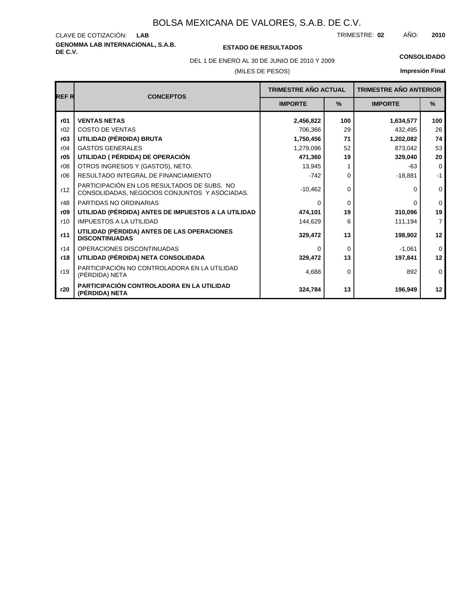### **GENOMMA LAB INTERNACIONAL, S.A.B.** CLAVE DE COTIZACIÓN: TRIMESTRE: AÑO: **LAB 02 2010**

## **DE C.V. ESTADO DE RESULTADOS**

DEL 1 DE ENERO AL 30 DE JUNIO DE 2010 Y 2009 **CONSOLIDADO**

## (MILES DE PESOS)

| <b>REFR</b> | <b>TRIMESTRE AÑO ACTUAL</b><br><b>CONCEPTOS</b>                                              |                |               | <b>TRIMESTRE AÑO ANTERIOR</b> |                |
|-------------|----------------------------------------------------------------------------------------------|----------------|---------------|-------------------------------|----------------|
|             |                                                                                              | <b>IMPORTE</b> | $\frac{9}{6}$ | <b>IMPORTE</b>                | $\%$           |
| r01         | <b>VENTAS NETAS</b>                                                                          | 2,456,822      | 100           | 1,634,577                     | 100            |
| r02         | <b>COSTO DE VENTAS</b>                                                                       | 706,366        | 29            | 432,495                       | 26             |
| r03         | UTILIDAD (PÉRDIDA) BRUTA                                                                     | 1,750,456      | 71            | 1,202,082                     | 74             |
| r04         | <b>GASTOS GENERALES</b>                                                                      | 1,279,096      | 52            | 873,042                       | 53             |
| r05         | UTILIDAD ( PÉRDIDA) DE OPERACIÓN                                                             | 471,360        | 19            | 329,040                       | 20             |
| r08         | OTROS INGRESOS Y (GASTOS), NETO.                                                             | 13,945         |               | $-63$                         | $\mathbf 0$    |
| r06         | RESULTADO INTEGRAL DE FINANCIAMIENTO                                                         | $-742$         | 0             | $-18,881$                     | $-1$           |
| r12         | PARTICIPACIÓN EN LOS RESULTADOS DE SUBS. NO<br>CONSOLIDADAS, NEGOCIOS CONJUNTOS Y ASOCIADAS. | $-10,462$      | $\Omega$      | U                             | $\mathbf 0$    |
| r48         | PARTIDAS NO ORDINARIAS                                                                       | $\Omega$       | $\Omega$      | 0                             | $\mathbf{0}$   |
| r09         | UTILIDAD (PÉRDIDA) ANTES DE IMPUESTOS A LA UTILIDAD                                          | 474,101        | 19            | 310,096                       | 19             |
| r10         | <b>IMPUESTOS A LA UTILIDAD</b>                                                               | 144.629        | 6             | 111,194                       | $\overline{7}$ |
| r11         | UTILIDAD (PÉRDIDA) ANTES DE LAS OPERACIONES<br><b>DISCONTINUADAS</b>                         | 329,472        | 13            | 198,902                       | 12             |
| r14         | OPERACIONES DISCONTINUADAS                                                                   | $\Omega$       | $\Omega$      | $-1,061$                      | $\Omega$       |
| r18         | UTILIDAD (PÉRDIDA) NETA CONSOLIDADA                                                          | 329,472        | 13            | 197,841                       | 12             |
| r19         | PARTICIPACIÓN NO CONTROLADORA EN LA UTILIDAD<br>(PÉRDIDA) NETA                               | 4,688          | $\Omega$      | 892                           | $\mathbf 0$    |
| r20         | PARTICIPACIÓN CONTROLADORA EN LA UTILIDAD<br>(PÉRDIDA) NETA                                  | 324,784        | 13            | 196,949                       | 12             |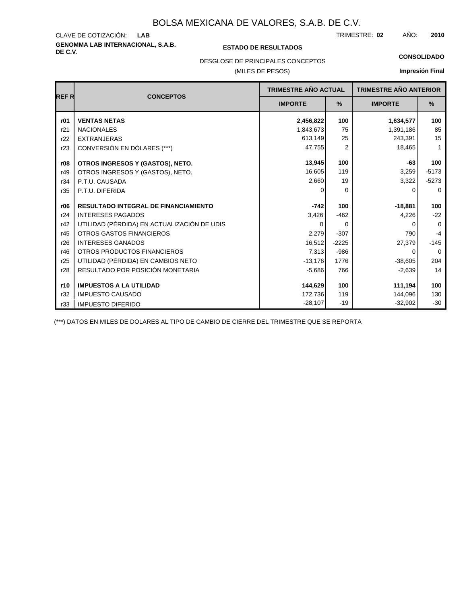### **GENOMMA LAB INTERNACIONAL, S.A.B. DE C.V. ESTADO DE RESULTADOS** CLAVE DE COTIZACIÓN: TRIMESTRE: AÑO: **LAB 02 2010**

DESGLOSE DE PRINCIPALES CONCEPTOS

## (MILES DE PESOS)

#### **CONSOLIDADO**

**Impresión Final**

| <b>REFR</b>     | <b>CONCEPTOS</b>                            | <b>TRIMESTRE AÑO ACTUAL</b> |          | <b>TRIMESTRE AÑO ANTERIOR</b> |              |
|-----------------|---------------------------------------------|-----------------------------|----------|-------------------------------|--------------|
|                 |                                             | <b>IMPORTE</b>              | $\%$     | <b>IMPORTE</b>                | $\%$         |
| r01             | <b>VENTAS NETAS</b>                         | 2,456,822                   | 100      | 1,634,577                     | 100          |
| r21             | <b>NACIONALES</b>                           | 1,843,673                   | 75       | 1,391,186                     | 85           |
| r22             | <b>EXTRANJERAS</b>                          | 613,149                     | 25       | 243,391                       | 15           |
| r23             | CONVERSIÓN EN DÓLARES (***)                 | 47,755                      | 2        | 18.465                        | $\mathbf{1}$ |
| r08             | OTROS INGRESOS Y (GASTOS), NETO.            | 13,945                      | 100      | $-63$                         | 100          |
| r49             | OTROS INGRESOS Y (GASTOS), NETO.            | 16,605                      | 119      | 3,259                         | $-5173$      |
| r34             | P.T.U. CAUSADA                              | 2,660                       | 19       | 3,322                         | $-5273$      |
| r35             | P.T.U. DIFERIDA                             | <sup>0</sup>                | $\Omega$ | $\Omega$                      | $\Omega$     |
| r06             | <b>RESULTADO INTEGRAL DE FINANCIAMIENTO</b> | $-742$                      | 100      | $-18,881$                     | 100          |
| r24             | <b>INTERESES PAGADOS</b>                    | 3,426                       | $-462$   | 4,226                         | $-22$        |
| r42             | UTILIDAD (PÉRDIDA) EN ACTUALIZACIÓN DE UDIS | 0                           | $\Omega$ | 0                             | $\Omega$     |
| r45             | <b>OTROS GASTOS FINANCIEROS</b>             | 2,279                       | $-307$   | 790                           | $-4$         |
| r <sub>26</sub> | <b>INTERESES GANADOS</b>                    | 16,512                      | $-2225$  | 27,379                        | $-145$       |
| r46             | OTROS PRODUCTOS FINANCIEROS                 | 7,313                       | $-986$   | 0                             | $\Omega$     |
| r25             | UTILIDAD (PÉRDIDA) EN CAMBIOS NETO          | $-13,176$                   | 1776     | $-38,605$                     | 204          |
| r28             | RESULTADO POR POSICIÓN MONETARIA            | $-5,686$                    | 766      | $-2,639$                      | 14           |
| r10             | <b>IMPUESTOS A LA UTILIDAD</b>              | 144,629                     | 100      | 111,194                       | 100          |
| r32             | <b>IMPUESTO CAUSADO</b>                     | 172,736                     | 119      | 144,096                       | 130          |
| r33             | <b>IMPUESTO DIFERIDO</b>                    | $-28,107$                   | $-19$    | $-32,902$                     | $-30$        |

(\*\*\*) DATOS EN MILES DE DOLARES AL TIPO DE CAMBIO DE CIERRE DEL TRIMESTRE QUE SE REPORTA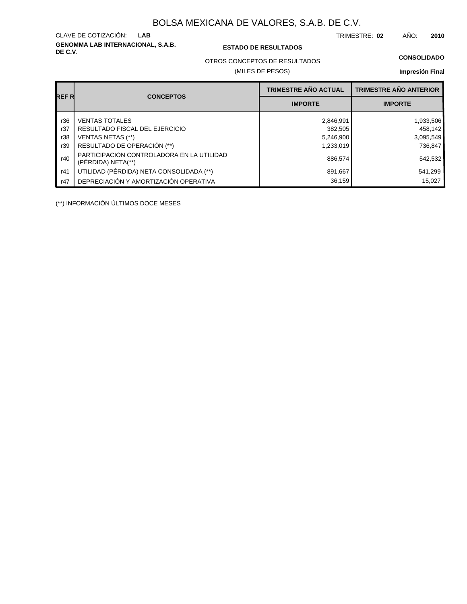**GENOMMA LAB INTERNACIONAL, S.A.B.** CLAVE DE COTIZACIÓN:

## **DE C.V. ESTADO DE RESULTADOS**

TRIMESTRE: AÑO: **LAB 02 2010**

#### **CONSOLIDADO**

OTROS CONCEPTOS DE RESULTADOS

## (MILES DE PESOS)

## **Impresión Final**

| REF R | <b>CONCEPTOS</b>                                                | <b>TRIMESTRE AÑO ACTUAL</b> | <b>TRIMESTRE AÑO ANTERIOR</b> |  |
|-------|-----------------------------------------------------------------|-----------------------------|-------------------------------|--|
|       |                                                                 | <b>IMPORTE</b>              | <b>IMPORTE</b>                |  |
| r36   | <b>VENTAS TOTALES</b>                                           | 2,846,991                   | 1,933,506                     |  |
| r37   | RESULTADO FISCAL DEL EJERCICIO                                  | 382,505                     | 458.142                       |  |
| r38   | VENTAS NETAS (**)                                               | 5,246,900                   | 3,095,549                     |  |
| r39   | RESULTADO DE OPERACIÓN (**)                                     | 1,233,019                   | 736.847                       |  |
| r40   | PARTICIPACIÓN CONTROLADORA EN LA UTILIDAD<br>(PERDIDA) NETA(**) | 886,574                     | 542,532                       |  |
| r41   | UTILIDAD (PÉRDIDA) NETA CONSOLIDADA (**)                        | 891,667                     | 541,299                       |  |
| r47   | DEPRECIACIÓN Y AMORTIZACIÓN OPERATIVA                           | 36,159                      | 15.027                        |  |

(\*\*) INFORMACIÓN ÚLTIMOS DOCE MESES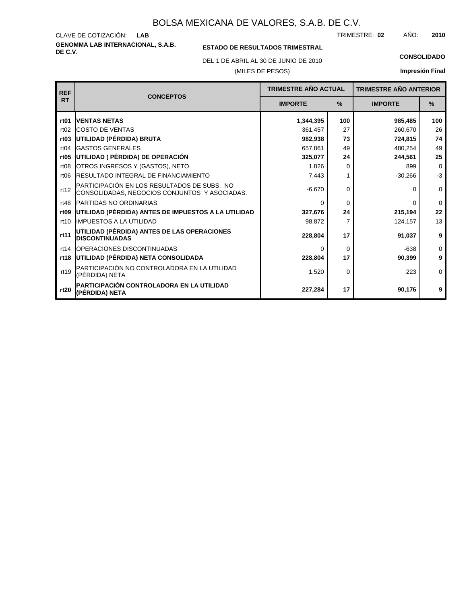**GENOMMA LAB INTERNACIONAL, S.A.B.** CLAVE DE COTIZACIÓN: TRIMESTRE: AÑO: **LAB 02 2010**

## **ESTADO DE RESULTADOS TRIMESTRAL**

DEL 1 DE ABRIL AL 30 DE JUNIO DE 2010 **CONSOLIDADO**

(MILES DE PESOS)

| <b>REF</b>       | <b>CONCEPTOS</b>                                                                             | <b>TRIMESTRE AÑO ACTUAL</b> |          | <b>TRIMESTRE AÑO ANTERIOR</b> |               |
|------------------|----------------------------------------------------------------------------------------------|-----------------------------|----------|-------------------------------|---------------|
| <b>RT</b>        |                                                                                              | <b>IMPORTE</b>              | %        | <b>IMPORTE</b>                | $\frac{9}{6}$ |
| rt <sub>01</sub> | <b>IVENTAS NETAS</b>                                                                         | 1,344,395                   | 100      | 985,485                       | 100           |
| rt02             | <b>ICOSTO DE VENTAS</b>                                                                      | 361,457                     | 27       | 260,670                       | 26            |
| rt <sub>03</sub> | UTILIDAD (PÉRDIDA) BRUTA                                                                     | 982,938                     | 73       | 724,815                       | 74            |
| rt04             | <b>GASTOS GENERALES</b>                                                                      | 657,861                     | 49       | 480,254                       | 49            |
| rt05             | UTILIDAD ( PÉRDIDA) DE OPERACIÓN                                                             | 325,077                     | 24       | 244.561                       | 25            |
| rt <sub>08</sub> | OTROS INGRESOS Y (GASTOS), NETO.                                                             | 1,826                       | $\Omega$ | 899                           | $\mathbf 0$   |
| rt06             | <b>IRESULTADO INTEGRAL DE FINANCIAMIENTO</b>                                                 | 7,443                       | 1        | $-30,266$                     | $-3$          |
| rt12             | PARTICIPACIÓN EN LOS RESULTADOS DE SUBS. NO<br>CONSOLIDADAS, NEGOCIOS CONJUNTOS Y ASOCIADAS. | $-6,670$                    | 0        | <sup>0</sup>                  | $\mathbf 0$   |
| rt48             | <b>PARTIDAS NO ORDINARIAS</b>                                                                | $\Omega$                    | $\Omega$ | <sup>0</sup>                  | $\Omega$      |
| rt <sub>09</sub> | UTILIDAD (PÉRDIDA) ANTES DE IMPUESTOS A LA UTILIDAD                                          | 327,676                     | 24       | 215,194                       | 22            |
| rt10             | <b>IIMPUESTOS A LA UTILIDAD</b>                                                              | 98,872                      | 7        | 124,157                       | 13            |
| rt11             | UTILIDAD (PÉRDIDA) ANTES DE LAS OPERACIONES<br><b>DISCONTINUADAS</b>                         | 228,804                     | 17       | 91,037                        | 9             |
| rt14             | <b>IOPERACIONES DISCONTINUADAS</b>                                                           | $\Omega$                    | $\Omega$ | $-638$                        | $\mathbf 0$   |
| rt18             | UTILIDAD (PÉRDIDA) NETA CONSOLIDADA                                                          | 228,804                     | 17       | 90,399                        | 9             |
| rt19             | PARTICIPACIÓN NO CONTROLADORA EN LA UTILIDAD<br>(PÉRDIDA) NETA                               | 1,520                       | $\Omega$ | 223                           | $\mathbf 0$   |
| rt20             | IPARTICIPACIÓN CONTROLADORA EN LA UTILIDAD<br>(PÉRDIDA) NETA                                 | 227,284                     | 17       | 90,176                        | 9             |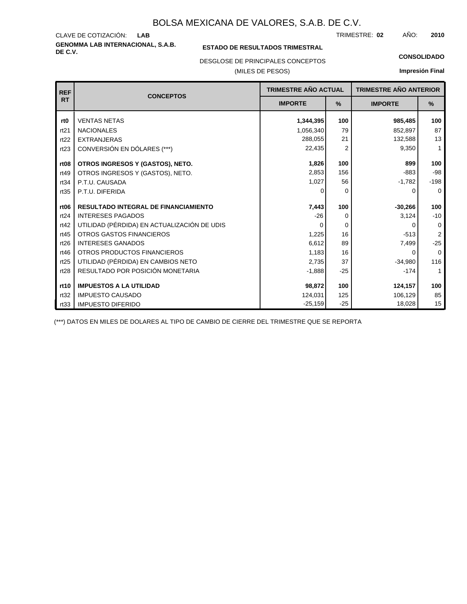**GENOMMA LAB INTERNACIONAL, S.A.B.** CLAVE DE COTIZACIÓN: TRIMESTRE: AÑO: **LAB 02 2010**

## **ESTADO DE RESULTADOS TRIMESTRAL**

DESGLOSE DE PRINCIPALES CONCEPTOS

(MILES DE PESOS)

#### **CONSOLIDADO**

**Impresión Final**

| <b>REF</b>       |                                             | <b>TRIMESTRE AÑO ACTUAL</b> |       | <b>TRIMESTRE AÑO ANTERIOR</b> |              |
|------------------|---------------------------------------------|-----------------------------|-------|-------------------------------|--------------|
| <b>RT</b>        | <b>CONCEPTOS</b>                            | <b>IMPORTE</b>              | %     | <b>IMPORTE</b>                | $\%$         |
| rt <sub>0</sub>  | <b>VENTAS NETAS</b>                         | 1,344,395                   | 100   | 985,485                       | 100          |
| rt21             | <b>NACIONALES</b>                           | 1,056,340                   | 79    | 852.897                       | 87           |
| rt22             | <b>EXTRANJERAS</b>                          | 288,055                     | 21    | 132,588                       | 13           |
| rt23             | CONVERSIÓN EN DÓLARES (***)                 | 22,435                      | 2     | 9,350                         | 1            |
| rt <sub>08</sub> | OTROS INGRESOS Y (GASTOS), NETO.            | 1,826                       | 100   | 899                           | 100          |
| rt49             | OTROS INGRESOS Y (GASTOS), NETO.            | 2,853                       | 156   | $-883$                        | $-98$        |
| rt34             | P.T.U. CAUSADA                              | 1,027                       | 56    | $-1,782$                      | $-198$       |
| rt35             | P.T.U. DIFERIDA                             | 0                           | 0     | 0                             | $\Omega$     |
|                  | <b>RESULTADO INTEGRAL DE FINANCIAMIENTO</b> |                             |       |                               |              |
| rt <sub>06</sub> |                                             | 7,443                       | 100   | $-30,266$                     | 100          |
| rt24             | <b>INTERESES PAGADOS</b>                    | $-26$                       | 0     | 3,124                         | $-10$        |
| rt42             | UTILIDAD (PÉRDIDA) EN ACTUALIZACIÓN DE UDIS | $\Omega$                    | 0     | ŋ                             | $\Omega$     |
| rt45             | <b>OTROS GASTOS FINANCIEROS</b>             | 1,225                       | 16    | $-513$                        | 2            |
| rt26             | <b>INTERESES GANADOS</b>                    | 6,612                       | 89    | 7,499                         | $-25$        |
| rt46             | OTROS PRODUCTOS FINANCIEROS                 | 1,183                       | 16    | 0                             | $\Omega$     |
| rt25             | UTILIDAD (PÉRDIDA) EN CAMBIOS NETO          | 2,735                       | 37    | $-34,980$                     | 116          |
| rt28             | RESULTADO POR POSICIÓN MONETARIA            | $-1,888$                    | $-25$ | $-174$                        | $\mathbf{1}$ |
| rt10             | <b>IMPUESTOS A LA UTILIDAD</b>              | 98,872                      | 100   | 124,157                       | 100          |
|                  |                                             |                             |       |                               |              |
| rt32             | <b>IMPUESTO CAUSADO</b>                     | 124,031                     | 125   | 106,129                       | 85           |
| rt33             | <b>IMPUESTO DIFERIDO</b>                    | $-25,159$                   | $-25$ | 18,028                        | 15           |

(\*\*\*) DATOS EN MILES DE DOLARES AL TIPO DE CAMBIO DE CIERRE DEL TRIMESTRE QUE SE REPORTA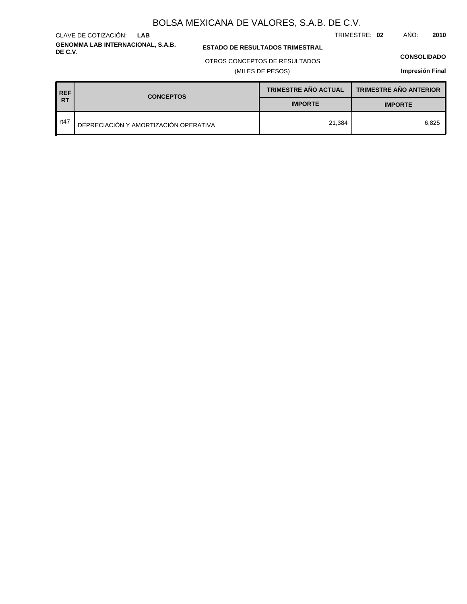TRIMESTRE: **02** AÑO: **2010**

**GENOMMA LAB INTERNACIONAL, S.A.B.** CLAVE DE COTIZACIÓN: **LAB**

**ESTADO DE RESULTADOS TRIMESTRAL** 

## OTROS CONCEPTOS DE RESULTADOS

(MILES DE PESOS)

## **CONSOLIDADO**

| <b>REF</b> | <b>CONCEPTOS</b>                      | <b>TRIMESTRE AÑO ACTUAL</b> | <b>TRIMESTRE AÑO ANTERIOR</b> |  |
|------------|---------------------------------------|-----------------------------|-------------------------------|--|
| <b>RT</b>  |                                       | <b>IMPORTE</b>              | <b>IMPORTE</b>                |  |
| rt47       | DEPRECIACIÓN Y AMORTIZACIÓN OPERATIVA | 21,384                      | 6.825                         |  |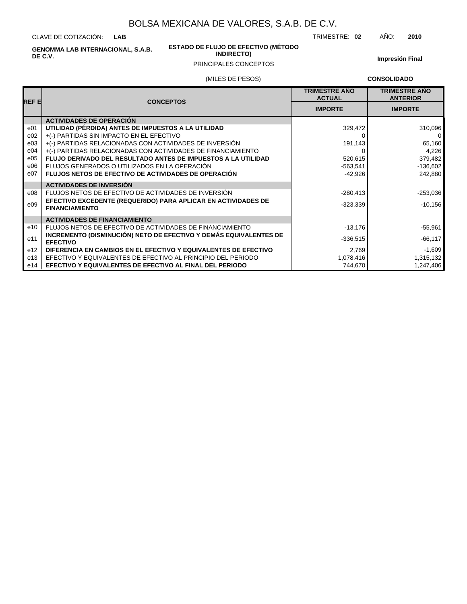CLAVE DE COTIZACIÓN: **LAB**

> **ESTADO DE FLUJO DE EFECTIVO (MÉTODO INDIRECTO)**

TRIMESTRE: **02** AÑO: **2010**

**GENOMMA LAB INTERNACIONAL, S.A.B. DE C.V.**

### PRINCIPALES CONCEPTOS

**Impresión Final**

## (MILES DE PESOS)

**CONSOLIDADO**

| REF EI          | <b>CONCEPTOS</b>                                                                       | <b>TRIMESTRE AÑO</b><br><b>ACTUAL</b> | <b>TRIMESTRE AÑO</b><br><b>ANTERIOR</b> |
|-----------------|----------------------------------------------------------------------------------------|---------------------------------------|-----------------------------------------|
|                 |                                                                                        | <b>IMPORTE</b>                        | <b>IMPORTE</b>                          |
|                 | <b>ACTIVIDADES DE OPERACIÓN</b>                                                        |                                       |                                         |
| e01             | UTILIDAD (PÉRDIDA) ANTES DE IMPUESTOS A LA UTILIDAD                                    | 329,472                               | 310,096                                 |
| e02             | +(-) PARTIDAS SIN IMPACTO EN EL EFECTIVO                                               |                                       | 0                                       |
| e03             | +(-) PARTIDAS RELACIONADAS CON ACTIVIDADES DE INVERSIÓN                                | 191,143                               | 65,160                                  |
| e04             | +(-) PARTIDAS RELACIONADAS CON ACTIVIDADES DE FINANCIAMIENTO                           |                                       | 4,226                                   |
| e05             | FLUJO DERIVADO DEL RESULTADO ANTES DE IMPUESTOS A LA UTILIDAD                          | 520,615                               | 379,482                                 |
| e06             | FLUJOS GENERADOS O UTILIZADOS EN LA OPERACIÓN                                          | $-563,541$                            | $-136,602$                              |
| e07             | <b>FLUJOS NETOS DE EFECTIVO DE ACTIVIDADES DE OPERACIÓN</b>                            | $-42.926$                             | 242.880                                 |
|                 | <b>ACTIVIDADES DE INVERSIÓN</b>                                                        |                                       |                                         |
| e08             | FLUJOS NETOS DE EFECTIVO DE ACTIVIDADES DE INVERSIÓN                                   | $-280,413$                            | $-253,036$                              |
| e09             | EFECTIVO EXCEDENTE (REQUERIDO) PARA APLICAR EN ACTIVIDADES DE<br><b>FINANCIAMIENTO</b> | $-323,339$                            | $-10,156$                               |
|                 | <b>ACTIVIDADES DE FINANCIAMIENTO</b>                                                   |                                       |                                         |
| e10             | FLUJOS NETOS DE EFECTIVO DE ACTIVIDADES DE FINANCIAMIENTO                              | $-13,176$                             | -55,961                                 |
| e11             | INCREMENTO (DISMINUCIÓN) NETO DE EFECTIVO Y DEMÁS EQUIVALENTES DE<br><b>EFECTIVO</b>   | $-336,515$                            | $-66,117$                               |
| e <sub>12</sub> | DIFERENCIA EN CAMBIOS EN EL EFECTIVO Y EQUIVALENTES DE EFECTIVO                        | 2,769                                 | $-1,609$                                |
| e13             | EFECTIVO Y EQUIVALENTES DE EFECTIVO AL PRINCIPIO DEL PERIODO                           | 1,078,416                             | 1,315,132                               |
| e14             | EFECTIVO Y EQUIVALENTES DE EFECTIVO AL FINAL DEL PERIODO                               | 744,670                               | 1,247,406                               |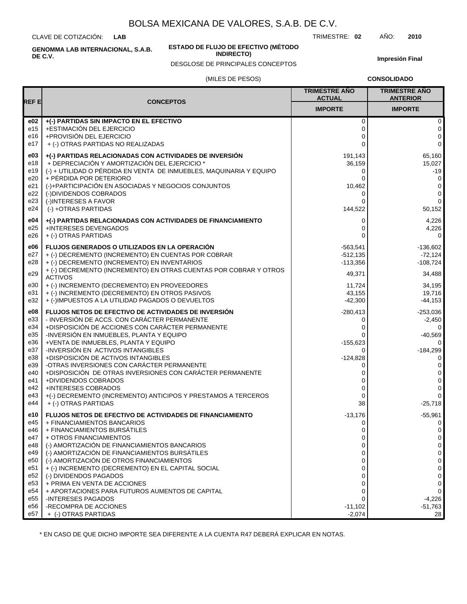CLAVE DE COTIZACIÓN: **LAB**

**DE C.V.**

**GENOMMA LAB INTERNACIONAL, S.A.B.**

**ESTADO DE FLUJO DE EFECTIVO (MÉTODO**

**INDIRECTO)**

TRIMESTRE: **02** AÑO: **2010**

**Impresión Final**

# (MILES DE PESOS) DESGLOSE DE PRINCIPALES CONCEPTOS

**CONSOLIDADO**

| REF E      |                                                                                                          | <b>TRIMESTRE AÑO</b><br><b>ACTUAL</b> | <b>TRIMESTRE AÑO</b><br><b>ANTERIOR</b> |
|------------|----------------------------------------------------------------------------------------------------------|---------------------------------------|-----------------------------------------|
|            | <b>CONCEPTOS</b>                                                                                         | <b>IMPORTE</b>                        | <b>IMPORTE</b>                          |
| e02        | +(-) PARTIDAS SIN IMPACTO EN EL EFECTIVO                                                                 | 0                                     | $\mathbf 0$                             |
| e15<br>e16 | +ESTIMACIÓN DEL EJERCICIO<br>+PROVISIÓN DEL EJERCICIO                                                    | 0<br>0                                | $\mathbf 0$<br>$\mathbf 0$              |
| e17        | + (-) OTRAS PARTIDAS NO REALIZADAS                                                                       | 0                                     | 0                                       |
|            |                                                                                                          |                                       |                                         |
| e03<br>e18 | +(-) PARTIDAS RELACIONADAS CON ACTIVIDADES DE INVERSIÓN<br>+ DEPRECIACIÓN Y AMORTIZACIÓN DEL EJERCICIO * | 191,143<br>36,159                     | 65,160<br>15,027                        |
| e19        | (-) + UTILIDAD O PÉRDIDA EN VENTA DE INMUEBLES, MAQUINARIA Y EQUIPO                                      | 0                                     | -19                                     |
| e20        | + PÉRDIDA POR DETERIORO                                                                                  | 0                                     | $\mathbf 0$                             |
| e21        | (-)+PARTICIPACIÓN EN ASOCIADAS Y NEGOCIOS CONJUNTOS                                                      | 10,462                                | 0                                       |
| e22        | (-)DIVIDENDOS COBRADOS                                                                                   | 0                                     | $\mathbf 0$                             |
| e23        | (-)INTERESES A FAVOR                                                                                     | 0                                     | $\mathbf 0$                             |
| e24        | (-) +OTRAS PARTIDAS                                                                                      | 144,522                               | 50,152                                  |
| e04        | +(-) PARTIDAS RELACIONADAS CON ACTIVIDADES DE FINANCIAMIENTO                                             | 0                                     | 4,226                                   |
| e25        | +INTERESES DEVENGADOS                                                                                    | 0                                     | 4,226                                   |
| e26        | + (-) OTRAS PARTIDAS                                                                                     | 0                                     | 0                                       |
| e06        | FLUJOS GENERADOS O UTILIZADOS EN LA OPERACIÓN                                                            | $-563,541$                            | $-136,602$                              |
| e27        | + (-) DECREMENTO (INCREMENTO) EN CUENTAS POR COBRAR                                                      | $-512,135$                            | $-72.124$                               |
| e28        | + (-) DECREMENTO (INCREMENTO) EN INVENTARIOS                                                             | $-113,356$                            | $-108,724$                              |
| e29        | + (-) DECREMENTO (INCREMENTO) EN OTRAS CUENTAS POR COBRAR Y OTROS<br><b>ACTIVOS</b>                      | 49,371                                | 34,488                                  |
| e30        | + (-) INCREMENTO (DECREMENTO) EN PROVEEDORES                                                             | 11,724                                | 34.195                                  |
| e31        | + (-) INCREMENTO (DECREMENTO) EN OTROS PASIVOS                                                           | 43,155                                | 19,716                                  |
| e32        | + (-)IMPUESTOS A LA UTILIDAD PAGADOS O DEVUELTOS                                                         | $-42,300$                             | $-44,153$                               |
| e08        | <b>FLUJOS NETOS DE EFECTIVO DE ACTIVIDADES DE INVERSIÓN</b>                                              | $-280,413$                            | $-253,036$                              |
| e33        | - INVERSIÓN DE ACCS. CON CARÁCTER PERMANENTE                                                             | 0                                     | -2,450                                  |
| e34<br>e35 | +DISPOSICIÓN DE ACCIONES CON CARÁCTER PERMANENTE                                                         | 0                                     | 0                                       |
| e36        | -INVERSIÓN EN INMUEBLES, PLANTA Y EQUIPO<br>+VENTA DE INMUEBLES, PLANTA Y EQUIPO                         | 0<br>$-155,623$                       | $-40,569$<br>0                          |
| e37        | -INVERSIÓN EN ACTIVOS INTANGIBLES                                                                        |                                       | $-184,299$                              |
| e38        | +DISPOSICIÓN DE ACTIVOS INTANGIBLES                                                                      | $-124,828$                            | 0                                       |
| e39        | -OTRAS INVERSIONES CON CARÁCTER PERMANENTE                                                               | 0                                     | 0                                       |
| e40        | +DISPOSICIÓN DE OTRAS INVERSIONES CON CARÁCTER PERMANENTE                                                | 0                                     | 0                                       |
| e41<br>e42 | +DIVIDENDOS COBRADOS<br>+INTERESES COBRADOS                                                              | 0                                     | $\mathbf 0$                             |
| e43        | +(-) DECREMENTO (INCREMENTO) ANTICIPOS Y PRESTAMOS A TERCEROS                                            | 0<br>0                                | 0<br>0                                  |
| e44        | + (-) OTRAS PARTIDAS                                                                                     | 38                                    | $-25,718$                               |
| e10        | FLUJOS NETOS DE EFECTIVO DE ACTIVIDADES DE FINANCIAMIENTO                                                | $-13,176$                             | $-55,961$                               |
| e45        | + FINANCIAMIENTOS BANCARIOS                                                                              | 0                                     | 0                                       |
| e46        | + FINANCIAMIENTOS BURSÁTILES                                                                             |                                       | $\mathbf 0$                             |
| e47        | + OTROS FINANCIAMIENTOS                                                                                  | 0                                     | 0                                       |
| e48<br>e49 | (-) AMORTIZACIÓN DE FINANCIAMIENTOS BANCARIOS<br>(-) AMORTIZACIÓN DE FINANCIAMIENTOS BURSÁTILES          | 0<br>0                                | 0<br>$\mathbf 0$                        |
| e50        | (-) AMORTIZACIÓN DE OTROS FINANCIAMIENTOS                                                                | 0                                     | 0                                       |
| e51        | + (-) INCREMENTO (DECREMENTO) EN EL CAPITAL SOCIAL                                                       | 0                                     | 0                                       |
| e52        | (-) DIVIDENDOS PAGADOS                                                                                   | 0                                     | 0                                       |
| e53        | + PRIMA EN VENTA DE ACCIONES                                                                             | 0                                     | 0                                       |
| e54        | + APORTACIONES PARA FUTUROS AUMENTOS DE CAPITAL                                                          | 0                                     | 0                                       |
| e55        | -INTERESES PAGADOS                                                                                       | $\Omega$                              | $-4,226$                                |
| e56<br>e57 | -RECOMPRA DE ACCIONES<br>+ (-) OTRAS PARTIDAS                                                            | $-11,102$<br>$-2,074$                 | $-51,763$<br>28                         |
|            |                                                                                                          |                                       |                                         |

\* EN CASO DE QUE DICHO IMPORTE SEA DIFERENTE A LA CUENTA R47 DEBERÁ EXPLICAR EN NOTAS.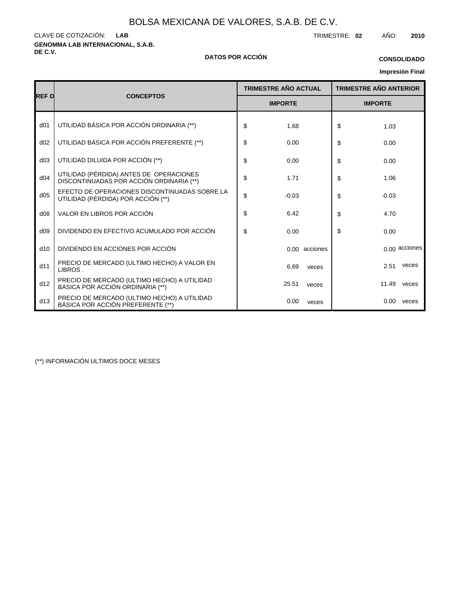**GENOMMA LAB INTERNACIONAL, S.A.B.** CLAVE DE COTIZACIÓN: TRIMESTRE: **02** AÑO: **2010 LAB**

### **DE C.V. DATOS POR ACCIÓN**

### **CONSOLIDADO**

**Impresión Final**

|                 |                                                                                     |    |                             |               |                | וואווו ו ווטופס ועוווו        |                 |
|-----------------|-------------------------------------------------------------------------------------|----|-----------------------------|---------------|----------------|-------------------------------|-----------------|
|                 |                                                                                     |    | <b>TRIMESTRE AÑO ACTUAL</b> |               |                | <b>TRIMESTRE AÑO ANTERIOR</b> |                 |
| REF D           | <b>CONCEPTOS</b>                                                                    |    | <b>IMPORTE</b>              |               | <b>IMPORTE</b> |                               |                 |
| d <sub>01</sub> | UTILIDAD BÁSICA POR ACCIÓN ORDINARIA (**)                                           | \$ | 1.68                        |               | \$             | 1.03                          |                 |
| d02             | UTILIDAD BÁSICA POR ACCIÓN PREFERENTE (**)                                          | \$ | 0.00                        |               | \$             | 0.00                          |                 |
| d03             | UTILIDAD DILUIDA POR ACCIÓN (**)                                                    | \$ | 0.00                        |               | \$             | 0.00                          |                 |
| d04             | UTILIDAD (PÉRDIDA) ANTES DE OPERACIONES<br>DISCONTINUADAS POR ACCIÓN ORDINARIA (**) | \$ | 1.71                        |               | \$             | 1.06                          |                 |
| d05             | EFECTO DE OPERACIONES DISCONTINUADAS SOBRE LA<br>UTILIDAD (PÉRDIDA) POR ACCIÓN (**) | \$ | $-0.03$                     |               | \$             | $-0.03$                       |                 |
| d08             | VALOR EN LIBROS POR ACCIÓN                                                          | \$ | 6.42                        |               | \$             | 4.70                          |                 |
| d09             | DIVIDENDO EN EFECTIVO ACUMULADO POR ACCIÓN                                          | \$ | 0.00                        |               | \$             | 0.00                          |                 |
| d10             | DIVIDENDO EN ACCIONES POR ACCIÓN                                                    |    |                             | 0.00 acciones |                |                               | $0.00$ acciones |
| d11             | PRECIO DE MERCADO (ULTIMO HECHO) A VALOR EN<br>LIBROS.                              |    | 6.69                        | veces         |                | 2.51                          | veces           |
| d12             | PRECIO DE MERCADO (ULTIMO HECHO) A UTILIDAD<br>BÁSICA POR ACCIÓN ORDINARIA (**)     |    | 25.51                       | veces         |                | 11.49                         | veces           |
| d13             | PRECIO DE MERCADO (ULTIMO HECHO) A UTILIDAD<br>BÁSICA POR ACCIÓN PREFERENTE (**)    |    | 0.00                        | veces         |                | 0.00                          | veces           |

(\*\*) INFORMACIÓN ULTIMOS DOCE MESES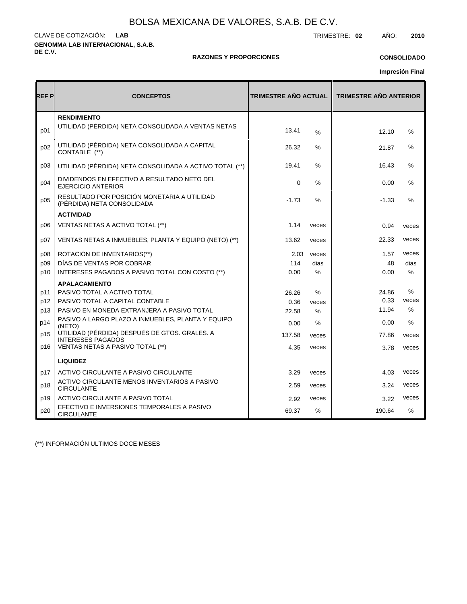**GENOMMA LAB INTERNACIONAL, S.A.B. DE C.V.** CLAVE DE COTIZACIÓN: TRIMESTRE: **02** AÑO: **2010 LAB**

## **RAZONES Y PROPORCIONES**

## **CONSOLIDADO**

**Impresión Final**

| REF P | <b>TRIMESTRE AÑO ACTUAL</b><br><b>CONCEPTOS</b>                           |             | <b>TRIMESTRE AÑO ANTERIOR</b> |         |               |
|-------|---------------------------------------------------------------------------|-------------|-------------------------------|---------|---------------|
| p01   | <b>RENDIMIENTO</b><br>UTILIDAD (PÉRDIDA) NETA CONSOLIDADA A VENTAS NETAS  | 13.41       | $\%$                          | 12.10   | %             |
| p02   | UTILIDAD (PÉRDIDA) NETA CONSOLIDADA A CAPITAL<br>CONTABLE (**)            | 26.32       | ℅                             | 21.87   | %             |
| p03   | UTILIDAD (PÉRDIDA) NETA CONSOLIDADA A ACTIVO TOTAL (**)                   | 19.41       | %                             | 16.43   | %             |
| p04   | DIVIDENDOS EN EFECTIVO A RESULTADO NETO DEL<br><b>EJERCICIO ANTERIOR</b>  | $\mathbf 0$ | %                             | 0.00    | %             |
| p05   | RESULTADO POR POSICIÓN MONETARIA A UTILIDAD<br>(PÉRDIDA) NETA CONSOLIDADA | $-1.73$     | %                             | $-1.33$ | %             |
|       | <b>ACTIVIDAD</b>                                                          |             |                               |         |               |
| p06   | VENTAS NETAS A ACTIVO TOTAL (**)                                          | 1.14        | veces                         | 0.94    | veces         |
| p07   | VENTAS NETAS A INMUEBLES, PLANTA Y EQUIPO (NETO) (**)                     | 13.62       | veces                         | 22.33   | veces         |
| p08   | ROTACIÓN DE INVENTARIOS(**)                                               | 2.03        | veces                         | 1.57    | veces         |
| p09   | DÍAS DE VENTAS POR COBRAR                                                 | 114         | dias                          | 48      | dias          |
| p10   | INTERESES PAGADOS A PASIVO TOTAL CON COSTO (**)                           | 0.00        | $\%$                          | 0.00    | $\%$          |
|       | <b>APALACAMIENTO</b>                                                      |             |                               |         |               |
| p11   | PASIVO TOTAL A ACTIVO TOTAL                                               | 26.26       | $\%$                          | 24.86   | %             |
| p12   | PASIVO TOTAL A CAPITAL CONTABLE                                           | 0.36        | veces                         | 0.33    | veces         |
| p13   | PASIVO EN MONEDA EXTRANJERA A PASIVO TOTAL                                | 22.58       | $\%$                          | 11.94   | $\frac{0}{0}$ |
| p14   | PASIVO A LARGO PLAZO A INMUEBLES, PLANTA Y EQUIPO<br>(NETO)               | 0.00        | $\%$                          | 0.00    | %             |
| p15   | UTILIDAD (PÉRDIDA) DESPUÉS DE GTOS. GRALES. A<br><b>INTERESES PAGADOS</b> | 137.58      | veces                         | 77.86   | veces         |
| p16   | VENTAS NETAS A PASIVO TOTAL (**)                                          | 4.35        | veces                         | 3.78    | veces         |
|       | <b>LIQUIDEZ</b>                                                           |             |                               |         |               |
| p17   | ACTIVO CIRCULANTE A PASIVO CIRCULANTE                                     | 3.29        | veces                         | 4.03    | veces         |
| p18   | ACTIVO CIRCULANTE MENOS INVENTARIOS A PASIVO<br><b>CIRCULANTE</b>         | 2.59        | veces                         | 3.24    | veces         |
| p19   | ACTIVO CIRCULANTE A PASIVO TOTAL                                          | 2.92        | veces                         | 3.22    | veces         |
| p20   | EFECTIVO E INVERSIONES TEMPORALES A PASIVO<br><b>CIRCULANTE</b>           | 69.37       | $\%$                          | 190.64  | $\frac{9}{6}$ |

(\*\*) INFORMACIÓN ULTIMOS DOCE MESES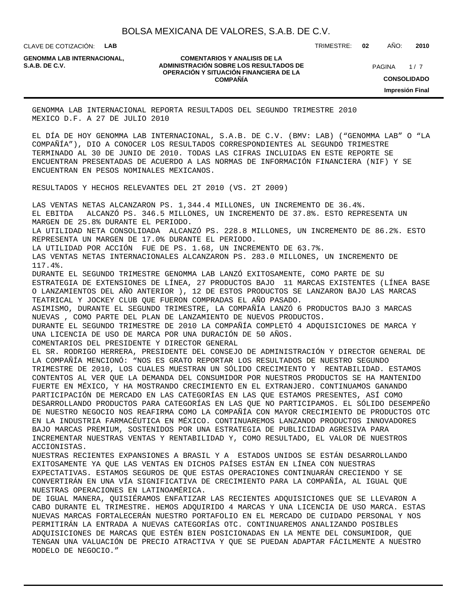CLAVE DE COTIZACIÓN: **LAB**

**GENOMMA LAB INTERNACIONAL,**

#### **COMENTARIOS Y ANALISIS DE LA ADMINISTRACIÓN SOBRE LOS RESULTADOS DE PAGINA 1/7 OPERACIÓN Y SITUACIÓN FINANCIERA DE LA COMPAÑÍA**

TRIMESTRE: **02** AÑO: **2010**

 $1/7$ **CONSOLIDADO Impresión Final**

GENOMMA LAB INTERNACIONAL REPORTA RESULTADOS DEL SEGUNDO TRIMESTRE 2010 MEXICO D.F. A 27 DE JULIO 2010

EL DÍA DE HOY GENOMMA LAB INTERNACIONAL, S.A.B. DE C.V. (BMV: LAB) ("GENOMMA LAB" O "LA COMPAÑÍA"), DIO A CONOCER LOS RESULTADOS CORRESPONDIENTES AL SEGUNDO TRIMESTRE TERMINADO AL 30 DE JUNIO DE 2010. TODAS LAS CIFRAS INCLUIDAS EN ESTE REPORTE SE ENCUENTRAN PRESENTADAS DE ACUERDO A LAS NORMAS DE INFORMACIÓN FINANCIERA (NIF) Y SE ENCUENTRAN EN PESOS NOMINALES MEXICANOS.

RESULTADOS Y HECHOS RELEVANTES DEL 2T 2010 (VS. 2T 2009)

 LAS VENTAS NETAS ALCANZARON PS. 1,344.4 MILLONES, UN INCREMENTO DE 36.4%. EL EBITDA ALCANZÓ PS. 346.5 MILLONES, UN INCREMENTO DE 37.8%. ESTO REPRESENTA UN MARGEN DE 25.8% DURANTE EL PERIODO.

 LA UTILIDAD NETA CONSOLIDADA ALCANZÓ PS. 228.8 MILLONES, UN INCREMENTO DE 86.2%. ESTO REPRESENTA UN MARGEN DE 17.0% DURANTE EL PERIODO.

 LA UTILIDAD POR ACCIÓN FUE DE PS. 1.68, UN INCREMENTO DE 63.7%.

 LAS VENTAS NETAS INTERNACIONALES ALCANZARON PS. 283.0 MILLONES, UN INCREMENTO DE 117.4%.

 DURANTE EL SEGUNDO TRIMESTRE GENOMMA LAB LANZÓ EXITOSAMENTE, COMO PARTE DE SU ESTRATEGIA DE EXTENSIONES DE LÍNEA, 27 PRODUCTOS BAJO 11 MARCAS EXISTENTES (LÍNEA BASE O LANZAMIENTOS DEL AÑO ANTERIOR ), 12 DE ESTOS PRODUCTOS SE LANZARON BAJO LAS MARCAS TEATRICAL Y JOCKEY CLUB QUE FUERON COMPRADAS EL AÑO PASADO.

 ASIMISMO, DURANTE EL SEGUNDO TRIMESTRE, LA COMPAÑÍA LANZÓ 6 PRODUCTOS BAJO 3 MARCAS NUEVAS , COMO PARTE DEL PLAN DE LANZAMIENTO DE NUEVOS PRODUCTOS.

 DURANTE EL SEGUNDO TRIMESTRE DE 2010 LA COMPAÑÍA COMPLETÓ 4 ADQUISICIONES DE MARCA Y UNA LICENCIA DE USO DE MARCA POR UNA DURACIÓN DE 50 AÑOS.

COMENTARIOS DEL PRESIDENTE Y DIRECTOR GENERAL

EL SR. RODRIGO HERRERA, PRESIDENTE DEL CONSEJO DE ADMINISTRACIÓN Y DIRECTOR GENERAL DE LA COMPAÑÍA MENCIONÓ: "NOS ES GRATO REPORTAR LOS RESULTADOS DE NUESTRO SEGUNDO TRIMESTRE DE 2010, LOS CUALES MUESTRAN UN SÓLIDO CRECIMIENTO Y RENTABILIDAD. ESTAMOS CONTENTOS AL VER QUE LA DEMANDA DEL CONSUMIDOR POR NUESTROS PRODUCTOS SE HA MANTENIDO FUERTE EN MÉXICO, Y HA MOSTRANDO CRECIMIENTO EN EL EXTRANJERO. CONTINUAMOS GANANDO PARTICIPACIÓN DE MERCADO EN LAS CATEGORÍAS EN LAS QUE ESTAMOS PRESENTES, ASÍ COMO DESARROLLANDO PRODUCTOS PARA CATEGORÍAS EN LAS QUE NO PARTICIPAMOS. EL SÓLIDO DESEMPEÑO DE NUESTRO NEGOCIO NOS REAFIRMA COMO LA COMPAÑÍA CON MAYOR CRECIMIENTO DE PRODUCTOS OTC EN LA INDUSTRIA FARMACÉUTICA EN MÉXICO. CONTINUAREMOS LANZANDO PRODUCTOS INNOVADORES BAJO MARCAS PREMIUM, SOSTENIDOS POR UNA ESTRATEGIA DE PUBLICIDAD AGRESIVA PARA INCREMENTAR NUESTRAS VENTAS Y RENTABILIDAD Y, COMO RESULTADO, EL VALOR DE NUESTROS ACCIONISTAS.

NUESTRAS RECIENTES EXPANSIONES A BRASIL Y A ESTADOS UNIDOS SE ESTÁN DESARROLLANDO EXITOSAMENTE YA QUE LAS VENTAS EN DICHOS PAÍSES ESTÁN EN LÍNEA CON NUESTRAS EXPECTATIVAS. ESTAMOS SEGUROS DE QUE ESTAS OPERACIONES CONTINUARÁN CRECIENDO Y SE CONVERTIRÁN EN UNA VÍA SIGNIFICATIVA DE CRECIMIENTO PARA LA COMPAÑÍA, AL IGUAL QUE NUESTRAS OPERACIONES EN LATINOAMÉRICA.

DE IGUAL MANERA, QUISIÉRAMOS ENFATIZAR LAS RECIENTES ADQUISICIONES QUE SE LLEVARON A CABO DURANTE EL TRIMESTRE. HEMOS ADQUIRIDO 4 MARCAS Y UNA LICENCIA DE USO MARCA. ESTAS NUEVAS MARCAS FORTALECERÁN NUESTRO PORTAFOLIO EN EL MERCADO DE CUIDADO PERSONAL Y NOS PERMITIRÁN LA ENTRADA A NUEVAS CATEGORÍAS OTC. CONTINUAREMOS ANALIZANDO POSIBLES ADQUISICIONES DE MARCAS QUE ESTÉN BIEN POSICIONADAS EN LA MENTE DEL CONSUMIDOR, QUE TENGAN UNA VALUACIÓN DE PRECIO ATRACTIVA Y QUE SE PUEDAN ADAPTAR FÁCILMENTE A NUESTRO MODELO DE NEGOCIO."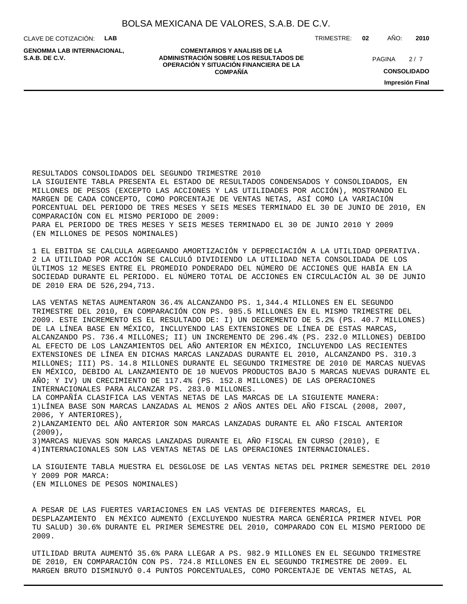CLAVE DE COTIZACIÓN: **LAB**

**GENOMMA LAB INTERNACIONAL,**

**COMENTARIOS Y ANALISIS DE LA ADMINISTRACIÓN SOBRE LOS RESULTADOS DE PAGINA 2/7 PAGINA 2/7 OPERACIÓN Y SITUACIÓN FINANCIERA DE LA COMPAÑÍA**

TRIMESTRE: **02** AÑO: **2010**

 $2/7$ 

**CONSOLIDADO**

**Impresión Final**

RESULTADOS CONSOLIDADOS DEL SEGUNDO TRIMESTRE 2010 LA SIGUIENTE TABLA PRESENTA EL ESTADO DE RESULTADOS CONDENSADOS Y CONSOLIDADOS, EN MILLONES DE PESOS (EXCEPTO LAS ACCIONES Y LAS UTILIDADES POR ACCIÓN), MOSTRANDO EL MARGEN DE CADA CONCEPTO, COMO PORCENTAJE DE VENTAS NETAS, ASÍ COMO LA VARIACIÓN PORCENTUAL DEL PERIODO DE TRES MESES Y SEIS MESES TERMINADO EL 30 DE JUNIO DE 2010, EN COMPARACIÓN CON EL MISMO PERIODO DE 2009: PARA EL PERIODO DE TRES MESES Y SEIS MESES TERMINADO EL 30 DE JUNIO 2010 Y 2009 (EN MILLONES DE PESOS NOMINALES)

1 EL EBITDA SE CALCULA AGREGANDO AMORTIZACIÓN Y DEPRECIACIÓN A LA UTILIDAD OPERATIVA. 2 LA UTILIDAD POR ACCIÓN SE CALCULÓ DIVIDIENDO LA UTILIDAD NETA CONSOLIDADA DE LOS ÚLTIMOS 12 MESES ENTRE EL PROMEDIO PONDERADO DEL NÚMERO DE ACCIONES QUE HABÍA EN LA SOCIEDAD DURANTE EL PERIODO. EL NÚMERO TOTAL DE ACCIONES EN CIRCULACIÓN AL 30 DE JUNIO DE 2010 ERA DE 526,294,713.

LAS VENTAS NETAS AUMENTARON 36.4% ALCANZANDO PS. 1,344.4 MILLONES EN EL SEGUNDO TRIMESTRE DEL 2010, EN COMPARACIÓN CON PS. 985.5 MILLONES EN EL MISMO TRIMESTRE DEL 2009. ESTE INCREMENTO ES EL RESULTADO DE: I) UN DECREMENTO DE 5.2% (PS. 40.7 MILLONES) DE LA LÍNEA BASE EN MÉXICO, INCLUYENDO LAS EXTENSIONES DE LÍNEA DE ESTAS MARCAS, ALCANZANDO PS. 736.4 MILLONES; II) UN INCREMENTO DE 296.4% (PS. 232.0 MILLONES) DEBIDO AL EFECTO DE LOS LANZAMIENTOS DEL AÑO ANTERIOR EN MÉXICO, INCLUYENDO LAS RECIENTES EXTENSIONES DE LÍNEA EN DICHAS MARCAS LANZADAS DURANTE EL 2010, ALCANZANDO PS. 310.3 MILLONES; III) PS. 14.8 MILLONES DURANTE EL SEGUNDO TRIMESTRE DE 2010 DE MARCAS NUEVAS EN MÉXICO, DEBIDO AL LANZAMIENTO DE 10 NUEVOS PRODUCTOS BAJO 5 MARCAS NUEVAS DURANTE EL AÑO; Y IV) UN CRECIMIENTO DE 117.4% (PS. 152.8 MILLONES) DE LAS OPERACIONES INTERNACIONALES PARA ALCANZAR PS. 283.0 MILLONES.

LA COMPAÑÍA CLASIFICA LAS VENTAS NETAS DE LAS MARCAS DE LA SIGUIENTE MANERA: 1) LÍNEA BASE SON MARCAS LANZADAS AL MENOS 2 AÑOS ANTES DEL AÑO FISCAL (2008, 2007, 2006, Y ANTERIORES),

2) LANZAMIENTO DEL AÑO ANTERIOR SON MARCAS LANZADAS DURANTE EL AÑO FISCAL ANTERIOR (2009),

3) MARCAS NUEVAS SON MARCAS LANZADAS DURANTE EL AÑO FISCAL EN CURSO (2010), E

4) INTERNACIONALES SON LAS VENTAS NETAS DE LAS OPERACIONES INTERNACIONALES.

LA SIGUIENTE TABLA MUESTRA EL DESGLOSE DE LAS VENTAS NETAS DEL PRIMER SEMESTRE DEL 2010 Y 2009 POR MARCA: (EN MILLONES DE PESOS NOMINALES)

A PESAR DE LAS FUERTES VARIACIONES EN LAS VENTAS DE DIFERENTES MARCAS, EL DESPLAZAMIENTO EN MÉXICO AUMENTÓ (EXCLUYENDO NUESTRA MARCA GENÉRICA PRIMER NIVEL POR TU SALUD) 30.6% DURANTE EL PRIMER SEMESTRE DEL 2010, COMPARADO CON EL MISMO PERIODO DE 2009.

UTILIDAD BRUTA AUMENTÓ 35.6% PARA LLEGAR A PS. 982.9 MILLONES EN EL SEGUNDO TRIMESTRE DE 2010, EN COMPARACIÓN CON PS. 724.8 MILLONES EN EL SEGUNDO TRIMESTRE DE 2009. EL MARGEN BRUTO DISMINUYÓ 0.4 PUNTOS PORCENTUALES, COMO PORCENTAJE DE VENTAS NETAS, AL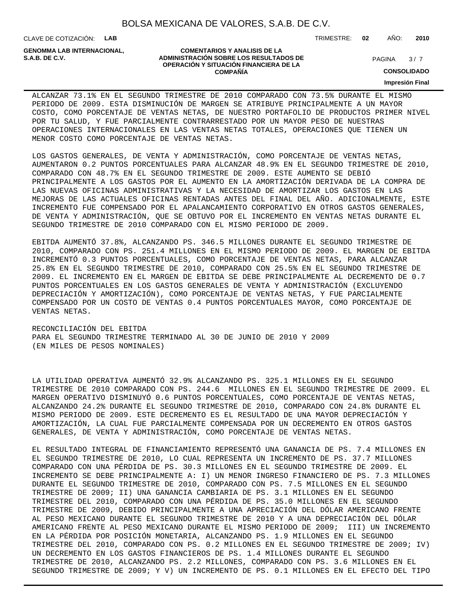CLAVE DE COTIZACIÓN: **LAB**

**GENOMMA LAB INTERNACIONAL,**

#### **COMENTARIOS Y ANALISIS DE LA ADMINISTRACIÓN SOBRE LOS RESULTADOS DE S.A.B. DE C.V.** PAGINA / 7 **OPERACIÓN Y SITUACIÓN FINANCIERA DE LA COMPAÑÍA**

 $3/7$ 

TRIMESTRE: **02** AÑO: **2010**

**CONSOLIDADO**

**Impresión Final**

ALCANZAR 73.1% EN EL SEGUNDO TRIMESTRE DE 2010 COMPARADO CON 73.5% DURANTE EL MISMO PERIODO DE 2009. ESTA DISMINUCIÓN DE MARGEN SE ATRIBUYE PRINCIPALMENTE A UN MAYOR COSTO, COMO PORCENTAJE DE VENTAS NETAS, DE NUESTRO PORTAFOLIO DE PRODUCTOS PRIMER NIVEL POR TU SALUD, Y FUE PARCIALMENTE CONTRARRESTADO POR UN MAYOR PESO DE NUESTRAS OPERACIONES INTERNACIONALES EN LAS VENTAS NETAS TOTALES, OPERACIONES QUE TIENEN UN MENOR COSTO COMO PORCENTAJE DE VENTAS NETAS.

LOS GASTOS GENERALES, DE VENTA Y ADMINISTRACIÓN, COMO PORCENTAJE DE VENTAS NETAS, AUMENTARON 0.2 PUNTOS PORCENTUALES PARA ALCANZAR 48.9% EN EL SEGUNDO TRIMESTRE DE 2010, COMPARADO CON 48.7% EN EL SEGUNDO TRIMESTRE DE 2009. ESTE AUMENTO SE DEBIÓ PRINCIPALMENTE A LOS GASTOS POR EL AUMENTO EN LA AMORTIZACIÓN DERIVADA DE LA COMPRA DE LAS NUEVAS OFICINAS ADMINISTRATIVAS Y LA NECESIDAD DE AMORTIZAR LOS GASTOS EN LAS MEJORAS DE LAS ACTUALES OFICINAS RENTADAS ANTES DEL FINAL DEL AÑO. ADICIONALMENTE, ESTE INCREMENTO FUE COMPENSADO POR EL APALANCAMIENTO CORPORATIVO EN OTROS GASTOS GENERALES, DE VENTA Y ADMINISTRACIÓN, QUE SE OBTUVO POR EL INCREMENTO EN VENTAS NETAS DURANTE EL SEGUNDO TRIMESTRE DE 2010 COMPARADO CON EL MISMO PERIODO DE 2009.

EBITDA AUMENTÓ 37.8%, ALCANZANDO PS. 346.5 MILLONES DURANTE EL SEGUNDO TRIMESTRE DE 2010, COMPARADO CON PS. 251.4 MILLONES EN EL MISMO PERIODO DE 2009. EL MARGEN DE EBITDA INCREMENTÓ 0.3 PUNTOS PORCENTUALES, COMO PORCENTAJE DE VENTAS NETAS, PARA ALCANZAR 25.8% EN EL SEGUNDO TRIMESTRE DE 2010, COMPARADO CON 25.5% EN EL SEGUNDO TRIMESTRE DE 2009. EL INCREMENTO EN EL MARGEN DE EBITDA SE DEBE PRINCIPALMENTE AL DECREMENTO DE 0.7 PUNTOS PORCENTUALES EN LOS GASTOS GENERALES DE VENTA Y ADMINISTRACIÓN (EXCLUYENDO DEPRECIACIÓN Y AMORTIZACIÓN), COMO PORCENTAJE DE VENTAS NETAS, Y FUE PARCIALMENTE COMPENSADO POR UN COSTO DE VENTAS 0.4 PUNTOS PORCENTUALES MAYOR, COMO PORCENTAJE DE VENTAS NETAS.

RECONCILIACIÓN DEL EBITDA PARA EL SEGUNDO TRIMESTRE TERMINADO AL 30 DE JUNIO DE 2010 Y 2009 (EN MILES DE PESOS NOMINALES)

LA UTILIDAD OPERATIVA AUMENTÓ 32.9% ALCANZANDO PS. 325.1 MILLONES EN EL SEGUNDO TRIMESTRE DE 2010 COMPARADO CON PS. 244.6 MILLONES EN EL SEGUNDO TRIMESTRE DE 2009. EL MARGEN OPERATIVO DISMINUYÓ 0.6 PUNTOS PORCENTUALES, COMO PORCENTAJE DE VENTAS NETAS, ALCANZANDO 24.2% DURANTE EL SEGUNDO TRIMESTRE DE 2010, COMPARADO CON 24.8% DURANTE EL MISMO PERIODO DE 2009. ESTE DECREMENTO ES EL RESULTADO DE UNA MAYOR DEPRECIACIÓN Y AMORTIZACIÓN, LA CUAL FUE PARCIALMENTE COMPENSADA POR UN DECREMENTO EN OTROS GASTOS GENERALES, DE VENTA Y ADMINISTRACIÓN, COMO PORCENTAJE DE VENTAS NETAS.

EL RESULTADO INTEGRAL DE FINANCIAMIENTO REPRESENTÓ UNA GANANCIA DE PS. 7.4 MILLONES EN EL SEGUNDO TRIMESTRE DE 2010, LO CUAL REPRESENTA UN INCREMENTO DE PS. 37.7 MILLONES COMPARADO CON UNA PÉRDIDA DE PS. 30.3 MILLONES EN EL SEGUNDO TRIMESTRE DE 2009. EL INCREMENTO SE DEBE PRINCIPALMENTE A: I) UN MENOR INGRESO FINANCIERO DE PS. 7.3 MILLONES DURANTE EL SEGUNDO TRIMESTRE DE 2010, COMPARADO CON PS. 7.5 MILLONES EN EL SEGUNDO TRIMESTRE DE 2009; II) UNA GANANCIA CAMBIARIA DE PS. 3.1 MILLONES EN EL SEGUNDO TRIMESTRE DEL 2010, COMPARADO CON UNA PÉRDIDA DE PS. 35.0 MILLONES EN EL SEGUNDO TRIMESTRE DE 2009, DEBIDO PRINCIPALMENTE A UNA APRECIACIÓN DEL DÓLAR AMERICANO FRENTE AL PESO MEXICANO DURANTE EL SEGUNDO TRIMESTRE DE 2010 Y A UNA DEPRECIACIÓN DEL DÓLAR AMERICANO FRENTE AL PESO MEXICANO DURANTE EL MISMO PERIODO DE 2009; III) UN INCREMENTO EN LA PÉRDIDA POR POSICIÓN MONETARIA, ALCANZANDO PS. 1.9 MILLONES EN EL SEGUNDO TRIMESTRE DEL 2010, COMPARADO CON PS. 0.2 MILLONES EN EL SEGUNDO TRIMESTRE DE 2009; IV) UN DECREMENTO EN LOS GASTOS FINANCIEROS DE PS. 1.4 MILLONES DURANTE EL SEGUNDO TRIMESTRE DE 2010, ALCANZANDO PS. 2.2 MILLONES, COMPARADO CON PS. 3.6 MILLONES EN EL SEGUNDO TRIMESTRE DE 2009; Y V) UN INCREMENTO DE PS. 0.1 MILLONES EN EL EFECTO DEL TIPO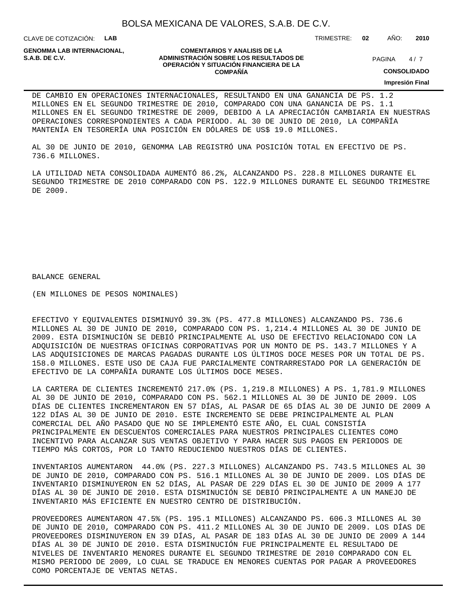CLAVE DE COTIZACIÓN: **LAB**

**GENOMMA LAB INTERNACIONAL,**

#### **COMENTARIOS Y ANALISIS DE LA ADMINISTRACIÓN SOBRE LOS RESULTADOS DE PAGINA 1997 E PAGINA 2018 OPERACIÓN Y SITUACIÓN FINANCIERA DE LA COMPAÑÍA**

 $4/7$ 

TRIMESTRE: **02** AÑO: **2010**

**CONSOLIDADO**

**Impresión Final**

DE CAMBIO EN OPERACIONES INTERNACIONALES, RESULTANDO EN UNA GANANCIA DE PS. 1.2 MILLONES EN EL SEGUNDO TRIMESTRE DE 2010, COMPARADO CON UNA GANANCIA DE PS. 1.1 MILLONES EN EL SEGUNDO TRIMESTRE DE 2009, DEBIDO A LA APRECIACIÓN CAMBIARIA EN NUESTRAS OPERACIONES CORRESPONDIENTES A CADA PERIODO. AL 30 DE JUNIO DE 2010, LA COMPAÑÍA MANTENÍA EN TESORERÍA UNA POSICIÓN EN DÓLARES DE US\$ 19.0 MILLONES.

AL 30 DE JUNIO DE 2010, GENOMMA LAB REGISTRÓ UNA POSICIÓN TOTAL EN EFECTIVO DE PS. 736.6 MILLONES.

LA UTILIDAD NETA CONSOLIDADA AUMENTÓ 86.2%, ALCANZANDO PS. 228.8 MILLONES DURANTE EL SEGUNDO TRIMESTRE DE 2010 COMPARADO CON PS. 122.9 MILLONES DURANTE EL SEGUNDO TRIMESTRE DE 2009.

BALANCE GENERAL

(EN MILLONES DE PESOS NOMINALES)

EFECTIVO Y EQUIVALENTES DISMINUYÓ 39.3% (PS. 477.8 MILLONES) ALCANZANDO PS. 736.6 MILLONES AL 30 DE JUNIO DE 2010, COMPARADO CON PS. 1,214.4 MILLONES AL 30 DE JUNIO DE 2009. ESTA DISMINUCIÓN SE DEBIÓ PRINCIPALMENTE AL USO DE EFECTIVO RELACIONADO CON LA ADQUISICIÓN DE NUESTRAS OFICINAS CORPORATIVAS POR UN MONTO DE PS. 143.7 MILLONES Y A LAS ADQUISICIONES DE MARCAS PAGADAS DURANTE LOS ÚLTIMOS DOCE MESES POR UN TOTAL DE PS. 158.0 MILLONES. ESTE USO DE CAJA FUE PARCIALMENTE CONTRARRESTADO POR LA GENERACIÓN DE EFECTIVO DE LA COMPAÑÍA DURANTE LOS ÚLTIMOS DOCE MESES.

LA CARTERA DE CLIENTES INCREMENTÓ 217.0% (PS. 1,219.8 MILLONES) A PS. 1,781.9 MILLONES AL 30 DE JUNIO DE 2010, COMPARADO CON PS. 562.1 MILLONES AL 30 DE JUNIO DE 2009. LOS DÍAS DE CLIENTES INCREMENTARON EN 57 DÍAS, AL PASAR DE 65 DÍAS AL 30 DE JUNIO DE 2009 A 122 DÍAS AL 30 DE JUNIO DE 2010. ESTE INCREMENTO SE DEBE PRINCIPALMENTE AL PLAN COMERCIAL DEL AÑO PASADO QUE NO SE IMPLEMENTÓ ESTE AÑO, EL CUAL CONSISTÍA PRINCIPALMENTE EN DESCUENTOS COMERCIALES PARA NUESTROS PRINCIPALES CLIENTES COMO INCENTIVO PARA ALCANZAR SUS VENTAS OBJETIVO Y PARA HACER SUS PAGOS EN PERIODOS DE TIEMPO MÁS CORTOS, POR LO TANTO REDUCIENDO NUESTROS DÍAS DE CLIENTES.

INVENTARIOS AUMENTARON 44.0% (PS. 227.3 MILLONES) ALCANZANDO PS. 743.5 MILLONES AL 30 DE JUNIO DE 2010, COMPARADO CON PS. 516.1 MILLONES AL 30 DE JUNIO DE 2009. LOS DÍAS DE INVENTARIO DISMINUYERON EN 52 DÍAS, AL PASAR DE 229 DÍAS EL 30 DE JUNIO DE 2009 A 177 DÍAS AL 30 DE JUNIO DE 2010. ESTA DISMINUCIÓN SE DEBIÓ PRINCIPALMENTE A UN MANEJO DE INVENTARIO MÁS EFICIENTE EN NUESTRO CENTRO DE DISTRIBUCIÓN.

PROVEEDORES AUMENTARON 47.5% (PS. 195.1 MILLONES) ALCANZANDO PS. 606.3 MILLONES AL 30 DE JUNIO DE 2010, COMPARADO CON PS. 411.2 MILLONES AL 30 DE JUNIO DE 2009. LOS DÍAS DE PROVEEDORES DISMINUYERON EN 39 DÍAS, AL PASAR DE 183 DÍAS AL 30 DE JUNIO DE 2009 A 144 DÍAS AL 30 DE JUNIO DE 2010. ESTA DISMINUCIÓN FUE PRINCIPALMENTE EL RESULTADO DE NIVELES DE INVENTARIO MENORES DURANTE EL SEGUNDO TRIMESTRE DE 2010 COMPARADO CON EL MISMO PERIODO DE 2009, LO CUAL SE TRADUCE EN MENORES CUENTAS POR PAGAR A PROVEEDORES COMO PORCENTAJE DE VENTAS NETAS.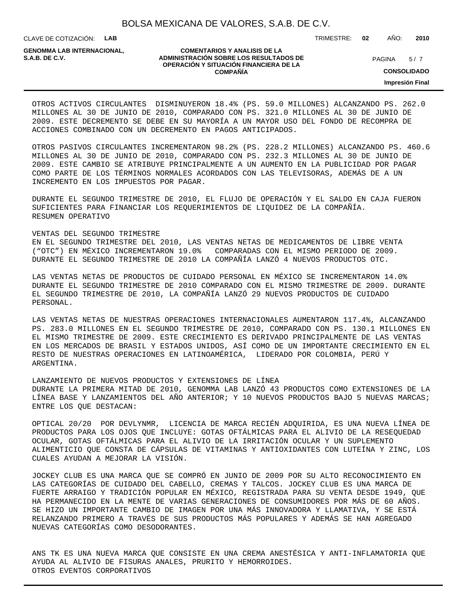CLAVE DE COTIZACIÓN: **LAB**

**GENOMMA LAB INTERNACIONAL,**

#### **COMENTARIOS Y ANALISIS DE LA ADMINISTRACIÓN SOBRE LOS RESULTADOS DE S.A.B. DE C.V.** PAGINA / 7 **OPERACIÓN Y SITUACIÓN FINANCIERA DE LA COMPAÑÍA**

 $5/7$ 

TRIMESTRE: **02** AÑO: **2010**

**CONSOLIDADO**

**Impresión Final**

OTROS ACTIVOS CIRCULANTES DISMINUYERON 18.4% (PS. 59.0 MILLONES) ALCANZANDO PS. 262.0 MILLONES AL 30 DE JUNIO DE 2010, COMPARADO CON PS. 321.0 MILLONES AL 30 DE JUNIO DE 2009. ESTE DECREMENTO SE DEBE EN SU MAYORÍA A UN MAYOR USO DEL FONDO DE RECOMPRA DE ACCIONES COMBINADO CON UN DECREMENTO EN PAGOS ANTICIPADOS.

OTROS PASIVOS CIRCULANTES INCREMENTARON 98.2% (PS. 228.2 MILLONES) ALCANZANDO PS. 460.6 MILLONES AL 30 DE JUNIO DE 2010, COMPARADO CON PS. 232.3 MILLONES AL 30 DE JUNIO DE 2009. ESTE CAMBIO SE ATRIBUYE PRINCIPALMENTE A UN AUMENTO EN LA PUBLICIDAD POR PAGAR COMO PARTE DE LOS TÉRMINOS NORMALES ACORDADOS CON LAS TELEVISORAS, ADEMÁS DE A UN INCREMENTO EN LOS IMPUESTOS POR PAGAR.

DURANTE EL SEGUNDO TRIMESTRE DE 2010, EL FLUJO DE OPERACIÓN Y EL SALDO EN CAJA FUERON SUFICIENTES PARA FINANCIAR LOS REQUERIMIENTOS DE LIQUIDEZ DE LA COMPAÑÍA. RESUMEN OPERATIVO

#### VENTAS DEL SEGUNDO TRIMESTRE

EN EL SEGUNDO TRIMESTRE DEL 2010, LAS VENTAS NETAS DE MEDICAMENTOS DE LIBRE VENTA ("OTC") EN MÉXICO INCREMENTARON 19.0% COMPARADAS CON EL MISMO PERIODO DE 2009. DURANTE EL SEGUNDO TRIMESTRE DE 2010 LA COMPAÑÍA LANZÓ 4 NUEVOS PRODUCTOS OTC.

LAS VENTAS NETAS DE PRODUCTOS DE CUIDADO PERSONAL EN MÉXICO SE INCREMENTARON 14.0% DURANTE EL SEGUNDO TRIMESTRE DE 2010 COMPARADO CON EL MISMO TRIMESTRE DE 2009. DURANTE EL SEGUNDO TRIMESTRE DE 2010, LA COMPAÑÍA LANZÓ 29 NUEVOS PRODUCTOS DE CUIDADO PERSONAL.

LAS VENTAS NETAS DE NUESTRAS OPERACIONES INTERNACIONALES AUMENTARON 117.4%, ALCANZANDO PS. 283.0 MILLONES EN EL SEGUNDO TRIMESTRE DE 2010, COMPARADO CON PS. 130.1 MILLONES EN EL MISMO TRIMESTRE DE 2009. ESTE CRECIMIENTO ES DERIVADO PRINCIPALMENTE DE LAS VENTAS EN LOS MERCADOS DE BRASIL Y ESTADOS UNIDOS, ASÍ COMO DE UN IMPORTANTE CRECIMIENTO EN EL RESTO DE NUESTRAS OPERACIONES EN LATINOAMÉRICA, LIDERADO POR COLOMBIA, PERÚ Y ARGENTINA.

LANZAMIENTO DE NUEVOS PRODUCTOS Y EXTENSIONES DE LÍNEA DURANTE LA PRIMERA MITAD DE 2010, GENOMMA LAB LANZÓ 43 PRODUCTOS COMO EXTENSIONES DE LA LÍNEA BASE Y LANZAMIENTOS DEL AÑO ANTERIOR; Y 10 NUEVOS PRODUCTOS BAJO 5 NUEVAS MARCAS; ENTRE LOS QUE DESTACAN:

OPTICAL 20/20 POR DEVLYNMR, LICENCIA DE MARCA RECIÉN ADQUIRIDA, ES UNA NUEVA LÍNEA DE PRODUCTOS PARA LOS OJOS QUE INCLUYE: GOTAS OFTÁLMICAS PARA EL ALIVIO DE LA RESEQUEDAD OCULAR, GOTAS OFTÁLMICAS PARA EL ALIVIO DE LA IRRITACIÓN OCULAR Y UN SUPLEMENTO ALIMENTICIO QUE CONSTA DE CÁPSULAS DE VITAMINAS Y ANTIOXIDANTES CON LUTEÍNA Y ZINC, LOS CUALES AYUDAN A MEJORAR LA VISIÓN.

JOCKEY CLUB ES UNA MARCA QUE SE COMPRÓ EN JUNIO DE 2009 POR SU ALTO RECONOCIMIENTO EN LAS CATEGORÍAS DE CUIDADO DEL CABELLO, CREMAS Y TALCOS. JOCKEY CLUB ES UNA MARCA DE FUERTE ARRAIGO Y TRADICIÓN POPULAR EN MÉXICO, REGISTRADA PARA SU VENTA DESDE 1949, QUE HA PERMANECIDO EN LA MENTE DE VARIAS GENERACIONES DE CONSUMIDORES POR MÁS DE 60 AÑOS. SE HIZO UN IMPORTANTE CAMBIO DE IMAGEN POR UNA MÁS INNOVADORA Y LLAMATIVA, Y SE ESTÁ RELANZANDO PRIMERO A TRAVÉS DE SUS PRODUCTOS MÁS POPULARES Y ADEMÁS SE HAN AGREGADO NUEVAS CATEGORÍAS COMO DESODORANTES.

ANS TK ES UNA NUEVA MARCA QUE CONSISTE EN UNA CREMA ANESTÉSICA Y ANTI-INFLAMATORIA QUE AYUDA AL ALIVIO DE FISURAS ANALES, PRURITO Y HEMORROIDES. OTROS EVENTOS CORPORATIVOS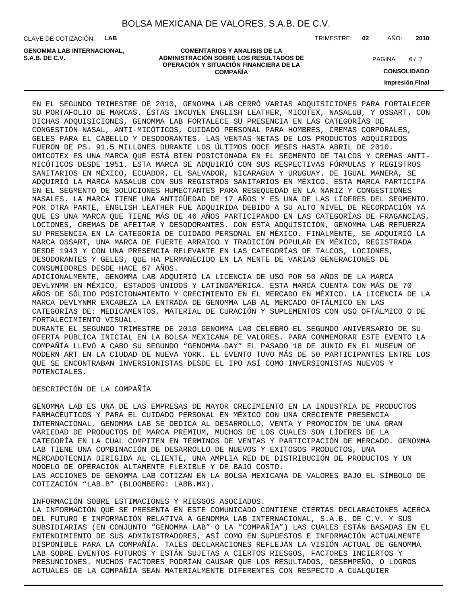CLAVE DE COTIZACIÓN: **LAB**

**GENOMMA LAB INTERNACIONAL,**

**COMENTARIOS Y ANALISIS DE LA ADMINISTRACIÓN SOBRE LOS RESULTADOS DE S.A.B. DE C.V.** PAGINA / 7 **OPERACIÓN Y SITUACIÓN FINANCIERA DE LA COMPAÑÍA**

TRIMESTRE: **02** AÑO: **2010**

 $6/7$ 

**CONSOLIDADO**

**Impresión Final**

 EN EL SEGUNDO TRIMESTRE DE 2010, GENOMMA LAB CERRÓ VARIAS ADQUISICIONES PARA FORTALECER SU PORTAFOLIO DE MARCAS. ÉSTAS INCUYEN ENGLISH LEATHER, MICOTEX, NASALUB, Y OSSART. CON DICHAS ADQUISICIONES, GENOMMA LAB FORTALECE SU PRESENCIA EN LAS CATEGORÍAS DE CONGESTIÓN NASAL, ANTI-MICÓTICOS, CUIDADO PERSONAL PARA HOMBRES, CREMAS CORPORALES, GELES PARA EL CABELLO Y DESODORANTES. LAS VENTAS NETAS DE LOS PRODUCTOS ADQUIRIDOS FUERON DE PS. 91.5 MILLONES DURANTE LOS ÚLTIMOS DOCE MESES HASTA ABRIL DE 2010. O MICOTEX ES UNA MARCA QUE ESTÁ BIEN POSICIONADA EN EL SEGMENTO DE TALCOS Y CREMAS ANTI-MICÓTICOS DESDE 1951. ESTA MARCA SE ADQUIRIÓ CON SUS RESPECTIVAS FÓRMULAS Y REGISTROS SANITARIOS EN MÉXICO, ECUADOR, EL SALVADOR, NICARAGUA Y URUGUAY. DE IGUAL MANERA, SE ADQUIRIÓ LA MARCA NASALUB CON SUS REGISTROS SANITARIOS EN MÉXICO. ESTA MARCA PARTICIPA EN EL SEGMENTO DE SOLUCIONES HUMECTANTES PARA RESEQUEDAD EN LA NARIZ Y CONGESTIONES NASALES. LA MARCA TIENE UNA ANTIGÜEDAD DE 17 AÑOS Y ES UNA DE LAS LÍDERES DEL SEGMENTO. POR OTRA PARTE, ENGLISH LEATHER FUE ADQUIRIDA DEBIDO A SU ALTO NIVEL DE RECORDACIÓN YA QUE ES UNA MARCA QUE TIENE MÁS DE 46 AÑOS PARTICIPANDO EN LAS CATEGORÍAS DE FRAGANCIAS, LOCIONES, CREMAS DE AFEITAR Y DESODORANTES. CON ESTA ADQUISICIÓN, GENOMMA LAB REFUERZA SU PRESENCIA EN LA CATEGORÍA DE CUIDADO PERSONAL EN MÉXICO. FINALMENTE, SE ADQUIRIÓ LA MARCA OSSART, UNA MARCA DE FUERTE ARRAIGO Y TRADICIÓN POPULAR EN MÉXICO, REGISTRADA DESDE 1943 Y CON UNA PRESENCIA RELEVANTE EN LAS CATEGORÍAS DE TALCOS, LOCIONES, DESODORANTES Y GELES, QUE HA PERMANECIDO EN LA MENTE DE VARIAS GENERACIONES DE CONSUMIDORES DESDE HACE 67 AÑOS.

 ADICIONALMENTE, GENOMMA LAB ADQUIRIÓ LA LICENCIA DE USO POR 50 AÑOS DE LA MARCA DEVLYNMR EN MÉXICO, ESTADOS UNIDOS Y LATINOAMÉRICA. ESTA MARCA CUENTA CON MÁS DE 70 AÑOS DE SÓLIDO POSICIONAMIENTO Y CRECIMIENTO EN EL MERCADO EN MÉXICO. LA LICENCIA DE LA MARCA DEVLYNMR ENCABEZA LA ENTRADA DE GENOMMA LAB AL MERCADO OFTÁLMICO EN LAS CATEGORÍAS DE: MEDICAMENTOS, MATERIAL DE CURACIÓN Y SUPLEMENTOS CON USO OFTÁLMICO O DE FORTALECIMIENTO VISUAL.

 DURANTE EL SEGUNDO TRIMESTRE DE 2010 GENOMMA LAB CELEBRÓ EL SEGUNDO ANIVERSARIO DE SU OFERTA PÚBLICA INICIAL EN LA BOLSA MEXICANA DE VALORES. PARA CONMEMORAR ESTE EVENTO LA COMPAÑÍA LLEVÓ A CABO SU SEGUNDO "GENOMMA DAY" EL PASADO 18 DE JUNIO EN EL MUSEUM OF MODERN ART EN LA CIUDAD DE NUEVA YORK. EL EVENTO TUVO MÁS DE 50 PARTICIPANTES ENTRE LOS QUE SE ENCONTRABAN INVERSIONISTAS DESDE EL IPO ASÍ COMO INVERSIONISTAS NUEVOS Y POTENCIALES.

DESCRIPCIÓN DE LA COMPAÑÍA

GENOMMA LAB ES UNA DE LAS EMPRESAS DE MAYOR CRECIMIENTO EN LA INDUSTRIA DE PRODUCTOS FARMACÉUTICOS Y PARA EL CUIDADO PERSONAL EN MÉXICO CON UNA CRECIENTE PRESENCIA INTERNACIONAL. GENOMMA LAB SE DEDICA AL DESARROLLO, VENTA Y PROMOCIÓN DE UNA GRAN VARIEDAD DE PRODUCTOS DE MARCA PREMIUM, MUCHOS DE LOS CUALES SON LÍDERES DE LA CATEGORÍA EN LA CUAL COMPITEN EN TÉRMINOS DE VENTAS Y PARTICIPACIÓN DE MERCADO. GENOMMA LAB TIENE UNA COMBINACIÓN DE DESARROLLO DE NUEVOS Y EXITOSOS PRODUCTOS, UNA MERCADOTECNIA DIRIGIDA AL CLIENTE, UNA AMPLIA RED DE DISTRIBUCIÓN DE PRODUCTOS Y UN MODELO DE OPERACIÓN ALTAMENTE FLEXIBLE Y DE BAJO COSTO. LAS ACCIONES DE GENOMMA LAB COTIZAN EN LA BOLSA MEXICANA DE VALORES BAJO EL SÍMBOLO DE COTIZACIÓN "LAB.B" (BLOOMBERG: LABB.MX).

INFORMACIÓN SOBRE ESTIMACIONES Y RIESGOS ASOCIADOS.

LA INFORMACIÓN QUE SE PRESENTA EN ESTE COMUNICADO CONTIENE CIERTAS DECLARACIONES ACERCA DEL FUTURO E INFORMACIÓN RELATIVA A GENOMMA LAB INTERNACIONAL, S.A.B. DE C.V. Y SUS SUBSIDIARIAS (EN CONJUNTO "GENOMMA LAB" O LA "COMPAÑÍA") LAS CUALES ESTÁN BASADAS EN EL ENTENDIMIENTO DE SUS ADMINISTRADORES, ASÍ COMO EN SUPUESTOS E INFORMACIÓN ACTUALMENTE DISPONIBLE PARA LA COMPAÑÍA. TALES DECLARACIONES REFLEJAN LA VISIÓN ACTUAL DE GENOMMA LAB SOBRE EVENTOS FUTUROS Y ESTÁN SUJETAS A CIERTOS RIESGOS, FACTORES INCIERTOS Y PRESUNCIONES. MUCHOS FACTORES PODRÍAN CAUSAR QUE LOS RESULTADOS, DESEMPEÑO, O LOGROS ACTUALES DE LA COMPAÑÍA SEAN MATERIALMENTE DIFERENTES CON RESPECTO A CUALQUIER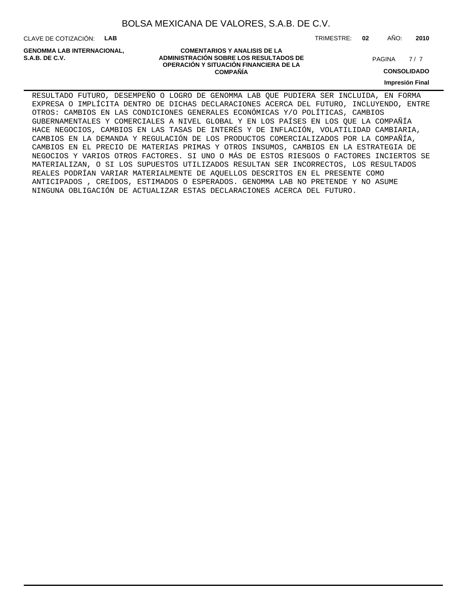CLAVE DE COTIZACIÓN:

**GENOMMA LAB INTERNACIONAL,**

#### **COMENTARIOS Y ANALISIS DE LA ADMINISTRACIÓN SOBRE LOS RESULTADOS DE PAGINA 1997 E PAGINA 2007. OPERACIÓN Y SITUACIÓN FINANCIERA DE LA COMPAÑÍA**

**CONSOLIDADO**

**Impresión Final**

RESULTADO FUTURO, DESEMPEÑO O LOGRO DE GENOMMA LAB QUE PUDIERA SER INCLUIDA, EN FORMA EXPRESA O IMPLÍCITA DENTRO DE DICHAS DECLARACIONES ACERCA DEL FUTURO, INCLUYENDO, ENTRE OTROS: CAMBIOS EN LAS CONDICIONES GENERALES ECONÓMICAS Y/O POLÍTICAS, CAMBIOS GUBERNAMENTALES Y COMERCIALES A NIVEL GLOBAL Y EN LOS PAÍSES EN LOS QUE LA COMPAÑÍA HACE NEGOCIOS, CAMBIOS EN LAS TASAS DE INTERÉS Y DE INFLACIÓN, VOLATILIDAD CAMBIARIA, CAMBIOS EN LA DEMANDA Y REGULACIÓN DE LOS PRODUCTOS COMERCIALIZADOS POR LA COMPAÑÍA, CAMBIOS EN EL PRECIO DE MATERIAS PRIMAS Y OTROS INSUMOS, CAMBIOS EN LA ESTRATEGIA DE NEGOCIOS Y VARIOS OTROS FACTORES. SI UNO O MÁS DE ESTOS RIESGOS O FACTORES INCIERTOS SE MATERIALIZAN, O SI LOS SUPUESTOS UTILIZADOS RESULTAN SER INCORRECTOS, LOS RESULTADOS REALES PODRÍAN VARIAR MATERIALMENTE DE AQUELLOS DESCRITOS EN EL PRESENTE COMO ANTICIPADOS , CREÍDOS, ESTIMADOS O ESPERADOS. GENOMMA LAB NO PRETENDE Y NO ASUME NINGUNA OBLIGACIÓN DE ACTUALIZAR ESTAS DECLARACIONES ACERCA DEL FUTURO.

# **LAB**

 $7/7$ 

TRIMESTRE: **02** AÑO: **2010**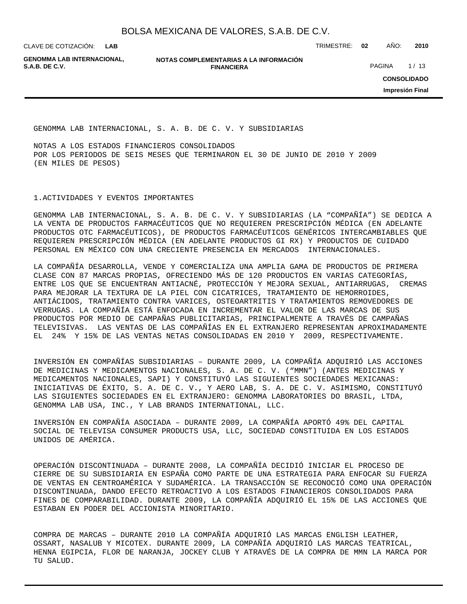CLAVE DE COTIZACIÓN: TRIMESTRE: **02** AÑO: **2010**

**GENOMMA LAB INTERNACIONAL,**

**NOTAS COMPLEMENTARIAS A LA INFORMACIÓN FINANCIERA S.A.B. DE C.V.** PAGINA 1/13

**CONSOLIDADO**

**Impresión Final**

GENOMMA LAB INTERNACIONAL, S. A. B. DE C. V. Y SUBSIDIARIAS

NOTAS A LOS ESTADOS FINANCIEROS CONSOLIDADOS POR LOS PERIODOS DE SEIS MESES QUE TERMINARON EL 30 DE JUNIO DE 2010 Y 2009 (EN MILES DE PESOS)

#### 1. ACTIVIDADES Y EVENTOS IMPORTANTES

GENOMMA LAB INTERNACIONAL, S. A. B. DE C. V. Y SUBSIDIARIAS (LA "COMPAÑÍA") SE DEDICA A LA VENTA DE PRODUCTOS FARMACÉUTICOS QUE NO REQUIEREN PRESCRIPCIÓN MÉDICA (EN ADELANTE PRODUCTOS OTC FARMACÉUTICOS), DE PRODUCTOS FARMACÉUTICOS GENÉRICOS INTERCAMBIABLES QUE REQUIEREN PRESCRIPCIÓN MÉDICA (EN ADELANTE PRODUCTOS GI RX) Y PRODUCTOS DE CUIDADO PERSONAL EN MÉXICO CON UNA CRECIENTE PRESENCIA EN MERCADOS INTERNACIONALES.

LA COMPAÑÍA DESARROLLA, VENDE Y COMERCIALIZA UNA AMPLIA GAMA DE PRODUCTOS DE PRIMERA CLASE CON 87 MARCAS PROPIAS, OFRECIENDO MÁS DE 120 PRODUCTOS EN VARIAS CATEGORÍAS, ENTRE LOS QUE SE ENCUENTRAN ANTIACNÉ, PROTECCIÓN Y MEJORA SEXUAL, ANTIARRUGAS, CREMAS PARA MEJORAR LA TEXTURA DE LA PIEL CON CICATRICES, TRATAMIENTO DE HEMORROIDES, ANTIÁCIDOS, TRATAMIENTO CONTRA VARICES, OSTEOARTRITIS Y TRATAMIENTOS REMOVEDORES DE VERRUGAS. LA COMPAÑÍA ESTÁ ENFOCADA EN INCREMENTAR EL VALOR DE LAS MARCAS DE SUS PRODUCTOS POR MEDIO DE CAMPAÑAS PUBLICITARIAS, PRINCIPALMENTE A TRAVÉS DE CAMPAÑAS TELEVISIVAS. LAS VENTAS DE LAS COMPAÑÍAS EN EL EXTRANJERO REPRESENTAN APROXIMADAMENTE EL 24% Y 15% DE LAS VENTAS NETAS CONSOLIDADAS EN 2010 Y 2009, RESPECTIVAMENTE.

INVERSIÓN EN COMPAÑÍAS SUBSIDIARIAS – DURANTE 2009, LA COMPAÑÍA ADQUIRIÓ LAS ACCIONES DE MEDICINAS Y MEDICAMENTOS NACIONALES, S. A. DE C. V. ("MMN") (ANTES MEDICINAS Y MEDICAMENTOS NACIONALES, SAPI) Y CONSTITUYÓ LAS SIGUIENTES SOCIEDADES MEXICANAS: INICIATIVAS DE ÉXITO, S. A. DE C. V., Y AERO LAB, S. A. DE C. V. ASIMISMO, CONSTITUYÓ LAS SIGUIENTES SOCIEDADES EN EL EXTRANJERO: GENOMMA LABORATORIES DO BRASIL, LTDA, GENOMMA LAB USA, INC., Y LAB BRANDS INTERNATIONAL, LLC.

INVERSIÓN EN COMPAÑÍA ASOCIADA – DURANTE 2009, LA COMPAÑÍA APORTÓ 49% DEL CAPITAL SOCIAL DE TELEVISA CONSUMER PRODUCTS USA, LLC, SOCIEDAD CONSTITUIDA EN LOS ESTADOS UNIDOS DE AMÉRICA.

OPERACIÓN DISCONTINUADA – DURANTE 2008, LA COMPAÑÍA DECIDIÓ INICIAR EL PROCESO DE CIERRE DE SU SUBSIDIARIA EN ESPAÑA COMO PARTE DE UNA ESTRATEGIA PARA ENFOCAR SU FUERZA DE VENTAS EN CENTROAMÉRICA Y SUDAMÉRICA. LA TRANSACCIÓN SE RECONOCIÓ COMO UNA OPERACIÓN DISCONTINUADA, DANDO EFECTO RETROACTIVO A LOS ESTADOS FINANCIEROS CONSOLIDADOS PARA FINES DE COMPARABILIDAD. DURANTE 2009, LA COMPAÑÍA ADQUIRIÓ EL 15% DE LAS ACCIONES QUE ESTABAN EN PODER DEL ACCIONISTA MINORITARIO.

COMPRA DE MARCAS – DURANTE 2010 LA COMPAÑÍA ADQUIRIÓ LAS MARCAS ENGLISH LEATHER, OSSART, NASALUB Y MICOTEX. DURANTE 2009, LA COMPAÑÍA ADQUIRIÓ LAS MARCAS TEATRICAL, HENNA EGIPCIA, FLOR DE NARANJA, JOCKEY CLUB Y ATRAVÉS DE LA COMPRA DE MMN LA MARCA POR TU SALUD.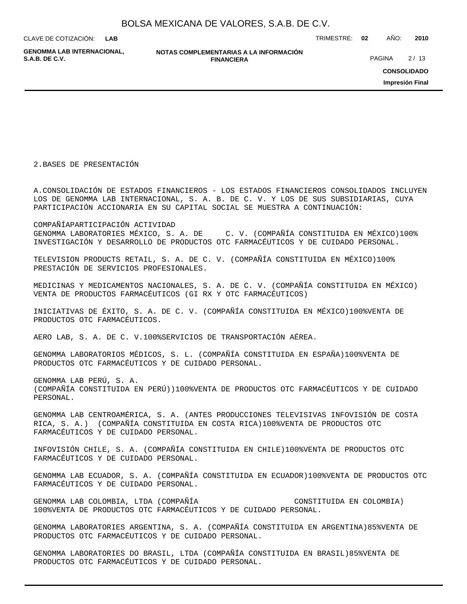| BOLSA MEXICANA DE VALORES, S.A.B. DE C.V. |  |  |
|-------------------------------------------|--|--|
|-------------------------------------------|--|--|

**FINANCIERA**

CLAVE DE COTIZACIÓN: TRIMESTRE: **02** AÑO: **2010 LAB**

**GENOMMA LAB INTERNACIONAL,**

**NOTAS COMPLEMENTARIAS A LA INFORMACIÓN**

**S.A.B. DE C.V.** PAGINA 2 / 13

**CONSOLIDADO**

**Impresión Final**

2. BASES DE PRESENTACIÓN

A. CONSOLIDACIÓN DE ESTADOS FINANCIEROS - LOS ESTADOS FINANCIEROS CONSOLIDADOS INCLUYEN LOS DE GENOMMA LAB INTERNACIONAL, S. A. B. DE C. V. Y LOS DE SUS SUBSIDIARIAS, CUYA PARTICIPACIÓN ACCIONARIA EN SU CAPITAL SOCIAL SE MUESTRA A CONTINUACIÓN:

COMPAÑÍA PARTICIPACIÓN ACTIVIDAD GENOMMA LABORATORIES MÉXICO, S. A. DE C. V. (COMPAÑÍA CONSTITUIDA EN MÉXICO) 100% INVESTIGACIÓN Y DESARROLLO DE PRODUCTOS OTC FARMACÉUTICOS Y DE CUIDADO PERSONAL.

TELEVISION PRODUCTS RETAIL, S. A. DE C. V. (COMPAÑÍA CONSTITUIDA EN MÉXICO) 100% PRESTACIÓN DE SERVICIOS PROFESIONALES.

MEDICINAS Y MEDICAMENTOS NACIONALES, S. A. DE C. V. (COMPAÑÍA CONSTITUIDA EN MÉXICO) VENTA DE PRODUCTOS FARMACÉUTICOS (GI RX Y OTC FARMACÉUTICOS)

INICIATIVAS DE ÉXITO, S. A. DE C. V. (COMPAÑÍA CONSTITUIDA EN MÉXICO) 100% VENTA DE PRODUCTOS OTC FARMACÉUTICOS.

AERO LAB, S. A. DE C. V. 100% SERVICIOS DE TRANSPORTACIÓN AÉREA.

GENOMMA LABORATORIOS MÉDICOS, S. L. (COMPAÑÍA CONSTITUIDA EN ESPAÑA) 100% VENTA DE PRODUCTOS OTC FARMACÉUTICOS Y DE CUIDADO PERSONAL.

GENOMMA LAB PERÚ, S. A. (COMPAÑÍA CONSTITUIDA EN PERÚ)) 100% VENTA DE PRODUCTOS OTC FARMACÉUTICOS Y DE CUIDADO PERSONAL.

GENOMMA LAB CENTROAMÉRICA, S. A. (ANTES PRODUCCIONES TELEVISIVAS INFOVISIÓN DE COSTA RICA, S. A.) (COMPAÑÍA CONSTITUIDA EN COSTA RICA) 100% VENTA DE PRODUCTOS OTC FARMACÉUTICOS Y DE CUIDADO PERSONAL.

INFOVISIÓN CHILE, S. A. (COMPAÑÍA CONSTITUIDA EN CHILE) 100% VENTA DE PRODUCTOS OTC FARMACÉUTICOS Y DE CUIDADO PERSONAL.

GENOMMA LAB ECUADOR, S. A. (COMPAÑÍA CONSTITUIDA EN ECUADOR) 100% VENTA DE PRODUCTOS OTC FARMACÉUTICOS Y DE CUIDADO PERSONAL.

GENOMMA LAB COLOMBIA, LTDA (COMPAÑÍA CONSTITUIDA EN COLOMBIA) 100% VENTA DE PRODUCTOS OTC FARMACÉUTICOS Y DE CUIDADO PERSONAL.

GENOMMA LABORATORIES ARGENTINA, S. A. (COMPAÑÍA CONSTITUIDA EN ARGENTINA) 85% VENTA DE PRODUCTOS OTC FARMACÉUTICOS Y DE CUIDADO PERSONAL.

GENOMMA LABORATORIES DO BRASIL, LTDA (COMPAÑÍA CONSTITUIDA EN BRASIL) 85% VENTA DE PRODUCTOS OTC FARMACÉUTICOS Y DE CUIDADO PERSONAL.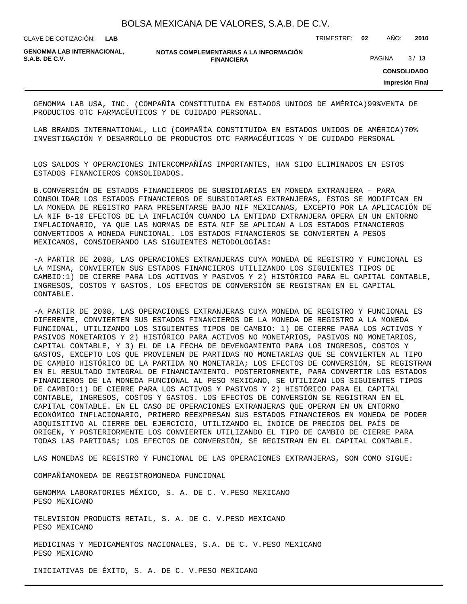**LAB**

CLAVE DE COTIZACIÓN: TRIMESTRE: **02** AÑO: **2010**

**GENOMMA LAB INTERNACIONAL,**

**NOTAS COMPLEMENTARIAS A LA INFORMACIÓN FINANCIERA S.A.B. DE C.V.** PAGINA 2 / 13

**CONSOLIDADO**

**Impresión Final**

GENOMMA LAB USA, INC. (COMPAÑÍA CONSTITUIDA EN ESTADOS UNIDOS DE AMÉRICA) 99% VENTA DE PRODUCTOS OTC FARMACÉUTICOS Y DE CUIDADO PERSONAL.

LAB BRANDS INTERNATIONAL, LLC (COMPAÑÍA CONSTITUIDA EN ESTADOS UNIDOS DE AMÉRICA) 70% INVESTIGACIÓN Y DESARROLLO DE PRODUCTOS OTC FARMACÉUTICOS Y DE CUIDADO PERSONAL

LOS SALDOS Y OPERACIONES INTERCOMPAÑÍAS IMPORTANTES, HAN SIDO ELIMINADOS EN ESTOS ESTADOS FINANCIEROS CONSOLIDADOS.

B. CONVERSIÓN DE ESTADOS FINANCIEROS DE SUBSIDIARIAS EN MONEDA EXTRANJERA – PARA CONSOLIDAR LOS ESTADOS FINANCIEROS DE SUBSIDIARIAS EXTRANJERAS, ÉSTOS SE MODIFICAN EN LA MONEDA DE REGISTRO PARA PRESENTARSE BAJO NIF MEXICANAS, EXCEPTO POR LA APLICACIÓN DE LA NIF B-10 EFECTOS DE LA INFLACIÓN CUANDO LA ENTIDAD EXTRANJERA OPERA EN UN ENTORNO INFLACIONARIO, YA QUE LAS NORMAS DE ESTA NIF SE APLICAN A LOS ESTADOS FINANCIEROS CONVERTIDOS A MONEDA FUNCIONAL. LOS ESTADOS FINANCIEROS SE CONVIERTEN A PESOS MEXICANOS, CONSIDERANDO LAS SIGUIENTES METODOLOGÍAS:

- A PARTIR DE 2008, LAS OPERACIONES EXTRANJERAS CUYA MONEDA DE REGISTRO Y FUNCIONAL ES LA MISMA, CONVIERTEN SUS ESTADOS FINANCIEROS UTILIZANDO LOS SIGUIENTES TIPOS DE CAMBIO:1) DE CIERRE PARA LOS ACTIVOS Y PASIVOS Y 2) HISTÓRICO PARA EL CAPITAL CONTABLE, INGRESOS, COSTOS Y GASTOS. LOS EFECTOS DE CONVERSIÓN SE REGISTRAN EN EL CAPITAL CONTABLE.

- A PARTIR DE 2008, LAS OPERACIONES EXTRANJERAS CUYA MONEDA DE REGISTRO Y FUNCIONAL ES DIFERENTE, CONVIERTEN SUS ESTADOS FINANCIEROS DE LA MONEDA DE REGISTRO A LA MONEDA FUNCIONAL, UTILIZANDO LOS SIGUIENTES TIPOS DE CAMBIO: 1) DE CIERRE PARA LOS ACTIVOS Y PASIVOS MONETARIOS Y 2) HISTÓRICO PARA ACTIVOS NO MONETARIOS, PASIVOS NO MONETARIOS, CAPITAL CONTABLE, Y 3) EL DE LA FECHA DE DEVENGAMIENTO PARA LOS INGRESOS, COSTOS Y GASTOS, EXCEPTO LOS QUE PROVIENEN DE PARTIDAS NO MONETARIAS QUE SE CONVIERTEN AL TIPO DE CAMBIO HISTÓRICO DE LA PARTIDA NO MONETARIA; LOS EFECTOS DE CONVERSIÓN, SE REGISTRAN EN EL RESULTADO INTEGRAL DE FINANCIAMIENTO. POSTERIORMENTE, PARA CONVERTIR LOS ESTADOS FINANCIEROS DE LA MONEDA FUNCIONAL AL PESO MEXICANO, SE UTILIZAN LOS SIGUIENTES TIPOS DE CAMBIO:1) DE CIERRE PARA LOS ACTIVOS Y PASIVOS Y 2) HISTÓRICO PARA EL CAPITAL CONTABLE, INGRESOS, COSTOS Y GASTOS. LOS EFECTOS DE CONVERSIÓN SE REGISTRAN EN EL CAPITAL CONTABLE. EN EL CASO DE OPERACIONES EXTRANJERAS QUE OPERAN EN UN ENTORNO ECONÓMICO INFLACIONARIO, PRIMERO REEXPRESAN SUS ESTADOS FINANCIEROS EN MONEDA DE PODER ADQUISITIVO AL CIERRE DEL EJERCICIO, UTILIZANDO EL ÍNDICE DE PRECIOS DEL PAÍS DE ORIGEN, Y POSTERIORMENTE LOS CONVIERTEN UTILIZANDO EL TIPO DE CAMBIO DE CIERRE PARA TODAS LAS PARTIDAS; LOS EFECTOS DE CONVERSIÓN, SE REGISTRAN EN EL CAPITAL CONTABLE.

LAS MONEDAS DE REGISTRO Y FUNCIONAL DE LAS OPERACIONES EXTRANJERAS, SON COMO SIGUE:

COMPAÑÍA MONEDA DE REGISTRO MONEDA FUNCIONAL

GENOMMA LABORATORIES MÉXICO, S. A. DE C. V. PESO MEXICANO PESO MEXICANO

TELEVISION PRODUCTS RETAIL, S. A. DE C. V. PESO MEXICANO PESO MEXICANO

MEDICINAS Y MEDICAMENTOS NACIONALES, S.A. DE C. V. PESO MEXICANO PESO MEXICANO

INICIATIVAS DE ÉXITO, S. A. DE C. V. PESO MEXICANO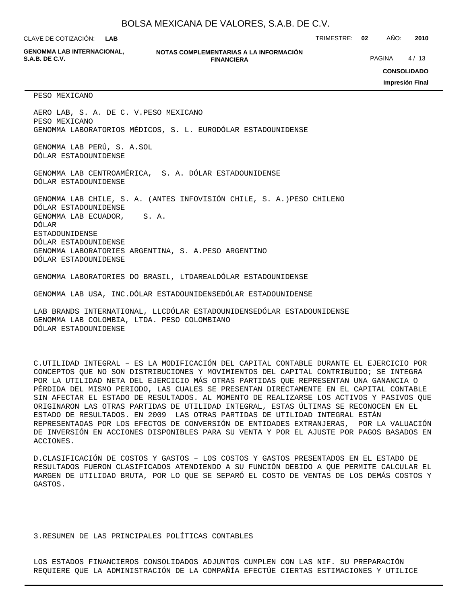CLAVE DE COTIZACIÓN: TRIMESTRE: **02** AÑO: **2010 LAB**

**GENOMMA LAB INTERNACIONAL,**

**NOTAS COMPLEMENTARIAS A LA INFORMACIÓN FINANCIERA S.A.B. DE C.V.** PAGINA 4/13

**CONSOLIDADO**

**Impresión Final**

#### PESO MEXICANO

AERO LAB, S. A. DE C. V. PESO MEXICANO PESO MEXICANO GENOMMA LABORATORIOS MÉDICOS, S. L. EURO DÓLAR ESTADOUNIDENSE

GENOMMA LAB PERÚ, S. A. SOL DÓLAR ESTADOUNIDENSE

GENOMMA LAB CENTROAMÉRICA, S. A. DÓLAR ESTADOUNIDENSE DÓLAR ESTADOUNIDENSE

GENOMMA LAB CHILE, S. A. (ANTES INFOVISIÓN CHILE, S. A.) PESO CHILENO DÓLAR ESTADOUNIDENSE GENOMMA LAB ECUADOR, S. A. DÓLAR ESTADOUNIDENSE DÓLAR ESTADOUNIDENSE GENOMMA LABORATORIES ARGENTINA, S. A. PESO ARGENTINO DÓLAR ESTADOUNIDENSE

GENOMMA LABORATORIES DO BRASIL, LTDA REAL DÓLAR ESTADOUNIDENSE

GENOMMA LAB USA, INC. DÓLAR ESTADOUNIDENSE DÓLAR ESTADOUNIDENSE

LAB BRANDS INTERNATIONAL, LLC DÓLAR ESTADOUNIDENSE DÓLAR ESTADOUNIDENSE GENOMMA LAB COLOMBIA, LTDA. PESO COLOMBIANO DÓLAR ESTADOUNIDENSE

C. UTILIDAD INTEGRAL – ES LA MODIFICACIÓN DEL CAPITAL CONTABLE DURANTE EL EJERCICIO POR CONCEPTOS QUE NO SON DISTRIBUCIONES Y MOVIMIENTOS DEL CAPITAL CONTRIBUIDO; SE INTEGRA POR LA UTILIDAD NETA DEL EJERCICIO MÁS OTRAS PARTIDAS QUE REPRESENTAN UNA GANANCIA O PÉRDIDA DEL MISMO PERIODO, LAS CUALES SE PRESENTAN DIRECTAMENTE EN EL CAPITAL CONTABLE SIN AFECTAR EL ESTADO DE RESULTADOS. AL MOMENTO DE REALIZARSE LOS ACTIVOS Y PASIVOS QUE ORIGINARON LAS OTRAS PARTIDAS DE UTILIDAD INTEGRAL, ESTAS ÚLTIMAS SE RECONOCEN EN EL ESTADO DE RESULTADOS. EN 2009 LAS OTRAS PARTIDAS DE UTILIDAD INTEGRAL ESTÁN REPRESENTADAS POR LOS EFECTOS DE CONVERSIÓN DE ENTIDADES EXTRANJERAS, POR LA VALUACIÓN DE INVERSIÓN EN ACCIONES DISPONIBLES PARA SU VENTA Y POR EL AJUSTE POR PAGOS BASADOS EN ACCIONES.

D. CLASIFICACIÓN DE COSTOS Y GASTOS – LOS COSTOS Y GASTOS PRESENTADOS EN EL ESTADO DE RESULTADOS FUERON CLASIFICADOS ATENDIENDO A SU FUNCIÓN DEBIDO A QUE PERMITE CALCULAR EL MARGEN DE UTILIDAD BRUTA, POR LO QUE SE SEPARÓ EL COSTO DE VENTAS DE LOS DEMÁS COSTOS Y GASTOS.

3. RESUMEN DE LAS PRINCIPALES POLÍTICAS CONTABLES

LOS ESTADOS FINANCIEROS CONSOLIDADOS ADJUNTOS CUMPLEN CON LAS NIF. SU PREPARACIÓN REQUIERE QUE LA ADMINISTRACIÓN DE LA COMPAÑÍA EFECTÚE CIERTAS ESTIMACIONES Y UTILICE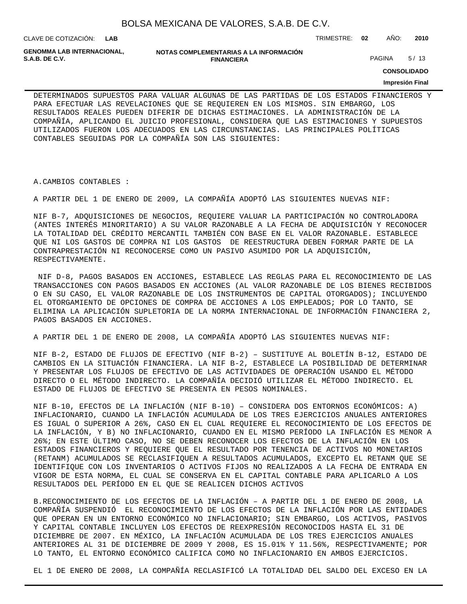| BOLSA MEXICANA DE VALORES, S.A.B. DE C.V. |  |  |  |
|-------------------------------------------|--|--|--|
|-------------------------------------------|--|--|--|

CLAVE DE COTIZACIÓN: TRIMESTRE: **02** AÑO: **2010**

**GENOMMA LAB INTERNACIONAL,**

**NOTAS COMPLEMENTARIAS A LA INFORMACIÓN FINANCIERA S.A.B. DE C.V.** PAGINA 5/13

**CONSOLIDADO**

#### **Impresión Final**

DETERMINADOS SUPUESTOS PARA VALUAR ALGUNAS DE LAS PARTIDAS DE LOS ESTADOS FINANCIEROS Y PARA EFECTUAR LAS REVELACIONES QUE SE REQUIEREN EN LOS MISMOS. SIN EMBARGO, LOS RESULTADOS REALES PUEDEN DIFERIR DE DICHAS ESTIMACIONES. LA ADMINISTRACIÓN DE LA COMPAÑÍA, APLICANDO EL JUICIO PROFESIONAL, CONSIDERA QUE LAS ESTIMACIONES Y SUPUESTOS UTILIZADOS FUERON LOS ADECUADOS EN LAS CIRCUNSTANCIAS. LAS PRINCIPALES POLÍTICAS CONTABLES SEGUIDAS POR LA COMPAÑÍA SON LAS SIGUIENTES:

A. CAMBIOS CONTABLES :

A PARTIR DEL 1 DE ENERO DE 2009, LA COMPAÑÍA ADOPTÓ LAS SIGUIENTES NUEVAS NIF:

NIF B-7, ADQUISICIONES DE NEGOCIOS, REQUIERE VALUAR LA PARTICIPACIÓN NO CONTROLADORA (ANTES INTERÉS MINORITARIO) A SU VALOR RAZONABLE A LA FECHA DE ADQUISICIÓN Y RECONOCER LA TOTALIDAD DEL CRÉDITO MERCANTIL TAMBIÉN CON BASE EN EL VALOR RAZONABLE. ESTABLECE QUE NI LOS GASTOS DE COMPRA NI LOS GASTOS DE REESTRUCTURA DEBEN FORMAR PARTE DE LA CONTRAPRESTACIÓN NI RECONOCERSE COMO UN PASIVO ASUMIDO POR LA ADQUISICIÓN, RESPECTIVAMENTE.

 NIF D-8, PAGOS BASADOS EN ACCIONES, ESTABLECE LAS REGLAS PARA EL RECONOCIMIENTO DE LAS TRANSACCIONES CON PAGOS BASADOS EN ACCIONES (AL VALOR RAZONABLE DE LOS BIENES RECIBIDOS O EN SU CASO, EL VALOR RAZONABLE DE LOS INSTRUMENTOS DE CAPITAL OTORGADOS); INCLUYENDO EL OTORGAMIENTO DE OPCIONES DE COMPRA DE ACCIONES A LOS EMPLEADOS; POR LO TANTO, SE ELIMINA LA APLICACIÓN SUPLETORIA DE LA NORMA INTERNACIONAL DE INFORMACIÓN FINANCIERA 2, PAGOS BASADOS EN ACCIONES.

A PARTIR DEL 1 DE ENERO DE 2008, LA COMPAÑÍA ADOPTÓ LAS SIGUIENTES NUEVAS NIF:

NIF B-2, ESTADO DE FLUJOS DE EFECTIVO (NIF B-2) – SUSTITUYE AL BOLETÍN B-12, ESTADO DE CAMBIOS EN LA SITUACIÓN FINANCIERA. LA NIF B-2, ESTABLECE LA POSIBILIDAD DE DETERMINAR Y PRESENTAR LOS FLUJOS DE EFECTIVO DE LAS ACTIVIDADES DE OPERACIÓN USANDO EL MÉTODO DIRECTO O EL MÉTODO INDIRECTO. LA COMPAÑÍA DECIDIÓ UTILIZAR EL MÉTODO INDIRECTO. EL ESTADO DE FLUJOS DE EFECTIVO SE PRESENTA EN PESOS NOMINALES.

NIF B-10, EFECTOS DE LA INFLACIÓN (NIF B-10) – CONSIDERA DOS ENTORNOS ECONÓMICOS: A) INFLACIONARIO, CUANDO LA INFLACIÓN ACUMULADA DE LOS TRES EJERCICIOS ANUALES ANTERIORES ES IGUAL O SUPERIOR A 26%, CASO EN EL CUAL REQUIERE EL RECONOCIMIENTO DE LOS EFECTOS DE LA INFLACIÓN, Y B) NO INFLACIONARIO, CUANDO EN EL MISMO PERÍODO LA INFLACIÓN ES MENOR A 26%; EN ESTE ÚLTIMO CASO, NO SE DEBEN RECONOCER LOS EFECTOS DE LA INFLACIÓN EN LOS ESTADOS FINANCIEROS Y REQUIERE QUE EL RESULTADO POR TENENCIA DE ACTIVOS NO MONETARIOS (RETANM) ACUMULADOS SE RECLASIFIQUEN A RESULTADOS ACUMULADOS, EXCEPTO EL RETANM QUE SE IDENTIFIQUE CON LOS INVENTARIOS O ACTIVOS FIJOS NO REALIZADOS A LA FECHA DE ENTRADA EN VIGOR DE ESTA NORMA, EL CUAL SE CONSERVA EN EL CAPITAL CONTABLE PARA APLICARLO A LOS RESULTADOS DEL PERÍODO EN EL QUE SE REALICEN DICHOS ACTIVOS

B. RECONOCIMIENTO DE LOS EFECTOS DE LA INFLACIÓN – A PARTIR DEL 1 DE ENERO DE 2008, LA COMPAÑÍA SUSPENDIÓ EL RECONOCIMIENTO DE LOS EFECTOS DE LA INFLACIÓN POR LAS ENTIDADES QUE OPERAN EN UN ENTORNO ECONÓMICO NO INFLACIONARIO; SIN EMBARGO, LOS ACTIVOS, PASIVOS Y CAPITAL CONTABLE INCLUYEN LOS EFECTOS DE REEXPRESIÓN RECONOCIDOS HASTA EL 31 DE DICIEMBRE DE 2007. EN MÉXICO, LA INFLACIÓN ACUMULADA DE LOS TRES EJERCICIOS ANUALES ANTERIORES AL 31 DE DICIEMBRE DE 2009 Y 2008, ES 15.01% Y 11.56%, RESPECTIVAMENTE; POR LO TANTO, EL ENTORNO ECONÓMICO CALIFICA COMO NO INFLACIONARIO EN AMBOS EJERCICIOS.

EL 1 DE ENERO DE 2008, LA COMPAÑÍA RECLASIFICÓ LA TOTALIDAD DEL SALDO DEL EXCESO EN LA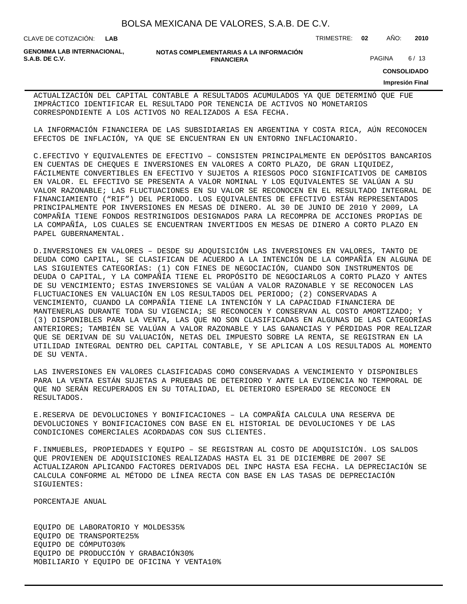**LAB**

CLAVE DE COTIZACIÓN: TRIMESTRE: **02** AÑO: **2010**

**GENOMMA LAB INTERNACIONAL,**

**NOTAS COMPLEMENTARIAS A LA INFORMACIÓN FINANCIERA S.A.B. DE C.V. EXAMPLE 2008 EXAMPLE 2008 EINANCIERA PAGINA** 6 / 13

**CONSOLIDADO**

**Impresión Final**

ACTUALIZACIÓN DEL CAPITAL CONTABLE A RESULTADOS ACUMULADOS YA QUE DETERMINÓ QUE FUE IMPRÁCTICO IDENTIFICAR EL RESULTADO POR TENENCIA DE ACTIVOS NO MONETARIOS CORRESPONDIENTE A LOS ACTIVOS NO REALIZADOS A ESA FECHA.

LA INFORMACIÓN FINANCIERA DE LAS SUBSIDIARIAS EN ARGENTINA Y COSTA RICA, AÚN RECONOCEN EFECTOS DE INFLACIÓN, YA QUE SE ENCUENTRAN EN UN ENTORNO INFLACIONARIO.

C. EFECTIVO Y EQUIVALENTES DE EFECTIVO – CONSISTEN PRINCIPALMENTE EN DEPÓSITOS BANCARIOS EN CUENTAS DE CHEQUES E INVERSIONES EN VALORES A CORTO PLAZO, DE GRAN LIQUIDEZ, FÁCILMENTE CONVERTIBLES EN EFECTIVO Y SUJETOS A RIESGOS POCO SIGNIFICATIVOS DE CAMBIOS EN VALOR. EL EFECTIVO SE PRESENTA A VALOR NOMINAL Y LOS EQUIVALENTES SE VALÚAN A SU VALOR RAZONABLE; LAS FLUCTUACIONES EN SU VALOR SE RECONOCEN EN EL RESULTADO INTEGRAL DE FINANCIAMIENTO ("RIF") DEL PERIODO. LOS EQUIVALENTES DE EFECTIVO ESTÁN REPRESENTADOS PRINCIPALMENTE POR INVERSIONES EN MESAS DE DINERO. AL 30 DE JUNIO DE 2010 Y 2009, LA COMPAÑÍA TIENE FONDOS RESTRINGIDOS DESIGNADOS PARA LA RECOMPRA DE ACCIONES PROPIAS DE LA COMPAÑÍA, LOS CUALES SE ENCUENTRAN INVERTIDOS EN MESAS DE DINERO A CORTO PLAZO EN PAPEL GUBERNAMENTAL.

D. INVERSIONES EN VALORES – DESDE SU ADQUISICIÓN LAS INVERSIONES EN VALORES, TANTO DE DEUDA COMO CAPITAL, SE CLASIFICAN DE ACUERDO A LA INTENCIÓN DE LA COMPAÑÍA EN ALGUNA DE LAS SIGUIENTES CATEGORÍAS: (1) CON FINES DE NEGOCIACIÓN, CUANDO SON INSTRUMENTOS DE DEUDA O CAPITAL, Y LA COMPAÑÍA TIENE EL PROPÓSITO DE NEGOCIARLOS A CORTO PLAZO Y ANTES DE SU VENCIMIENTO; ESTAS INVERSIONES SE VALÚAN A VALOR RAZONABLE Y SE RECONOCEN LAS FLUCTUACIONES EN VALUACIÓN EN LOS RESULTADOS DEL PERIODO; (2) CONSERVADAS A VENCIMIENTO, CUANDO LA COMPAÑÍA TIENE LA INTENCIÓN Y LA CAPACIDAD FINANCIERA DE MANTENERLAS DURANTE TODA SU VIGENCIA; SE RECONOCEN Y CONSERVAN AL COSTO AMORTIZADO; Y (3) DISPONIBLES PARA LA VENTA, LAS QUE NO SON CLASIFICADAS EN ALGUNAS DE LAS CATEGORÍAS ANTERIORES; TAMBIÉN SE VALÚAN A VALOR RAZONABLE Y LAS GANANCIAS Y PÉRDIDAS POR REALIZAR QUE SE DERIVAN DE SU VALUACIÓN, NETAS DEL IMPUESTO SOBRE LA RENTA, SE REGISTRAN EN LA UTILIDAD INTEGRAL DENTRO DEL CAPITAL CONTABLE, Y SE APLICAN A LOS RESULTADOS AL MOMENTO DE SU VENTA.

LAS INVERSIONES EN VALORES CLASIFICADAS COMO CONSERVADAS A VENCIMIENTO Y DISPONIBLES PARA LA VENTA ESTÁN SUJETAS A PRUEBAS DE DETERIORO Y ANTE LA EVIDENCIA NO TEMPORAL DE QUE NO SERÁN RECUPERADOS EN SU TOTALIDAD, EL DETERIORO ESPERADO SE RECONOCE EN RESULTADOS.

E. RESERVA DE DEVOLUCIONES Y BONIFICACIONES – LA COMPAÑÍA CALCULA UNA RESERVA DE DEVOLUCIONES Y BONIFICACIONES CON BASE EN EL HISTORIAL DE DEVOLUCIONES Y DE LAS CONDICIONES COMERCIALES ACORDADAS CON SUS CLIENTES.

F. INMUEBLES, PROPIEDADES Y EQUIPO – SE REGISTRAN AL COSTO DE ADQUISICIÓN. LOS SALDOS QUE PROVIENEN DE ADQUISICIONES REALIZADAS HASTA EL 31 DE DICIEMBRE DE 2007 SE ACTUALIZARON APLICANDO FACTORES DERIVADOS DEL INPC HASTA ESA FECHA. LA DEPRECIACIÓN SE CALCULA CONFORME AL MÉTODO DE LÍNEA RECTA CON BASE EN LAS TASAS DE DEPRECIACIÓN SIGUIENTES:

 PORCENTAJE ANUAL

EQUIPO DE LABORATORIO Y MOLDES 35% EQUIPO DE TRANSPORTE 25% EQUIPO DE CÓMPUTO 30% EQUIPO DE PRODUCCIÓN Y GRABACIÓN 30% MOBILIARIO Y EQUIPO DE OFICINA Y VENTA 10%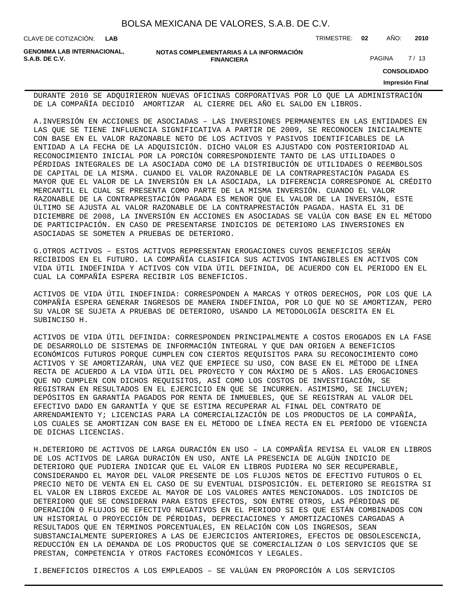| BOLSA MEXICANA DE VALORES, S.A.B. DE C.V. |  |  |  |  |  |
|-------------------------------------------|--|--|--|--|--|
|-------------------------------------------|--|--|--|--|--|

CLAVE DE COTIZACIÓN: TRIMESTRE: **02** AÑO: **2010**

**GENOMMA LAB INTERNACIONAL,**

**NOTAS COMPLEMENTARIAS A LA INFORMACIÓN FINANCIERA S.A.B. DE C.V.** PAGINA 27 / 13

**CONSOLIDADO**

#### **Impresión Final**

DURANTE 2010 SE ADQUIRIERON NUEVAS OFICINAS CORPORATIVAS POR LO QUE LA ADMINISTRACIÓN DE LA COMPAÑÍA DECIDIÓ AMORTIZAR AL CIERRE DEL AÑO EL SALDO EN LIBROS.

A. INVERSIÓN EN ACCIONES DE ASOCIADAS – LAS INVERSIONES PERMANENTES EN LAS ENTIDADES EN LAS QUE SE TIENE INFLUENCIA SIGNIFICATIVA A PARTIR DE 2009, SE RECONOCEN INICIALMENTE CON BASE EN EL VALOR RAZONABLE NETO DE LOS ACTIVOS Y PASIVOS IDENTIFICABLES DE LA ENTIDAD A LA FECHA DE LA ADQUISICIÓN. DICHO VALOR ES AJUSTADO CON POSTERIORIDAD AL RECONOCIMIENTO INICIAL POR LA PORCIÓN CORRESPONDIENTE TANTO DE LAS UTILIDADES O PÉRDIDAS INTEGRALES DE LA ASOCIADA COMO DE LA DISTRIBUCIÓN DE UTILIDADES O REEMBOLSOS DE CAPITAL DE LA MISMA. CUANDO EL VALOR RAZONABLE DE LA CONTRAPRESTACIÓN PAGADA ES MAYOR QUE EL VALOR DE LA INVERSIÓN EN LA ASOCIADA, LA DIFERENCIA CORRESPONDE AL CRÉDITO MERCANTIL EL CUAL SE PRESENTA COMO PARTE DE LA MISMA INVERSIÓN. CUANDO EL VALOR RAZONABLE DE LA CONTRAPRESTACIÓN PAGADA ES MENOR QUE EL VALOR DE LA INVERSIÓN, ESTE ÚLTIMO SE AJUSTA AL VALOR RAZONABLE DE LA CONTRAPRESTACIÓN PAGADA. HASTA EL 31 DE DICIEMBRE DE 2008, LA INVERSIÓN EN ACCIONES EN ASOCIADAS SE VALÚA CON BASE EN EL MÉTODO DE PARTICIPACIÓN. EN CASO DE PRESENTARSE INDICIOS DE DETERIORO LAS INVERSIONES EN ASOCIADAS SE SOMETEN A PRUEBAS DE DETERIORO.

G. OTROS ACTIVOS – ESTOS ACTIVOS REPRESENTAN EROGACIONES CUYOS BENEFICIOS SERÁN RECIBIDOS EN EL FUTURO. LA COMPAÑÍA CLASIFICA SUS ACTIVOS INTANGIBLES EN ACTIVOS CON VIDA ÚTIL INDEFINIDA Y ACTIVOS CON VIDA ÚTIL DEFINIDA, DE ACUERDO CON EL PERIODO EN EL CUAL LA COMPAÑÍA ESPERA RECIBIR LOS BENEFICIOS.

ACTIVOS DE VIDA ÚTIL INDEFINIDA: CORRESPONDEN A MARCAS Y OTROS DERECHOS, POR LOS QUE LA COMPAÑÍA ESPERA GENERAR INGRESOS DE MANERA INDEFINIDA, POR LO QUE NO SE AMORTIZAN, PERO SU VALOR SE SUJETA A PRUEBAS DE DETERIORO, USANDO LA METODOLOGÍA DESCRITA EN EL SUBINCISO H.

ACTIVOS DE VIDA ÚTIL DEFINIDA: CORRESPONDEN PRINCIPALMENTE A COSTOS EROGADOS EN LA FASE DE DESARROLLO DE SISTEMAS DE INFORMACIÓN INTEGRAL Y QUE DAN ORIGEN A BENEFICIOS ECONÓMICOS FUTUROS PORQUE CUMPLEN CON CIERTOS REQUISITOS PARA SU RECONOCIMIENTO COMO ACTIVOS Y SE AMORTIZARÁN, UNA VEZ QUE EMPIECE SU USO, CON BASE EN EL MÉTODO DE LÍNEA RECTA DE ACUERDO A LA VIDA ÚTIL DEL PROYECTO Y CON MÁXIMO DE 5 AÑOS. LAS EROGACIONES QUE NO CUMPLEN CON DICHOS REQUISITOS, ASÍ COMO LOS COSTOS DE INVESTIGACIÓN, SE REGISTRAN EN RESULTADOS EN EL EJERCICIO EN QUE SE INCURREN. ASIMISMO, SE INCLUYEN; DEPÓSITOS EN GARANTÍA PAGADOS POR RENTA DE INMUEBLES, QUE SE REGISTRAN AL VALOR DEL EFECTIVO DADO EN GARANTÍA Y QUE SE ESTIMA RECUPERAR AL FINAL DEL CONTRATO DE ARRENDAMIENTO Y; LICENCIAS PARA LA COMERCIALIZACIÓN DE LOS PRODUCTOS DE LA COMPAÑÍA, LOS CUALES SE AMORTIZAN CON BASE EN EL MÉTODO DE LÍNEA RECTA EN EL PERÍODO DE VIGENCIA DE DICHAS LICENCIAS.

H. DETERIORO DE ACTIVOS DE LARGA DURACIÓN EN USO – LA COMPAÑÍA REVISA EL VALOR EN LIBROS DE LOS ACTIVOS DE LARGA DURACIÓN EN USO, ANTE LA PRESENCIA DE ALGÚN INDICIO DE DETERIORO QUE PUDIERA INDICAR QUE EL VALOR EN LIBROS PUDIERA NO SER RECUPERABLE, CONSIDERANDO EL MAYOR DEL VALOR PRESENTE DE LOS FLUJOS NETOS DE EFECTIVO FUTUROS O EL PRECIO NETO DE VENTA EN EL CASO DE SU EVENTUAL DISPOSICIÓN. EL DETERIORO SE REGISTRA SI EL VALOR EN LIBROS EXCEDE AL MAYOR DE LOS VALORES ANTES MENCIONADOS. LOS INDICIOS DE DETERIORO QUE SE CONSIDERAN PARA ESTOS EFECTOS, SON ENTRE OTROS, LAS PÉRDIDAS DE OPERACIÓN O FLUJOS DE EFECTIVO NEGATIVOS EN EL PERIODO SI ES QUE ESTÁN COMBINADOS CON UN HISTORIAL O PROYECCIÓN DE PÉRDIDAS, DEPRECIACIONES Y AMORTIZACIONES CARGADAS A RESULTADOS QUE EN TÉRMINOS PORCENTUALES, EN RELACIÓN CON LOS INGRESOS, SEAN SUBSTANCIALMENTE SUPERIORES A LAS DE EJERCICIOS ANTERIORES, EFECTOS DE OBSOLESCENCIA, REDUCCIÓN EN LA DEMANDA DE LOS PRODUCTOS QUE SE COMERCIALIZAN O LOS SERVICIOS QUE SE PRESTAN, COMPETENCIA Y OTROS FACTORES ECONÓMICOS Y LEGALES.

I. BENEFICIOS DIRECTOS A LOS EMPLEADOS – SE VALÚAN EN PROPORCIÓN A LOS SERVICIOS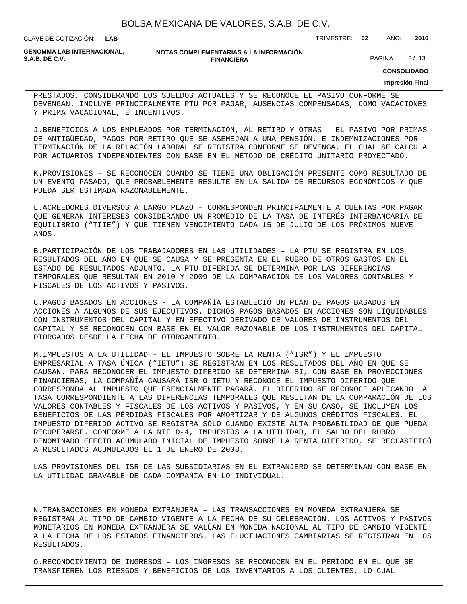| BOLSA MEXICANA DE VALORES, S.A.B. DE C.V. |  |  |  |  |  |
|-------------------------------------------|--|--|--|--|--|
|-------------------------------------------|--|--|--|--|--|

CLAVE DE COTIZACIÓN: TRIMESTRE: **02** AÑO: **2010**

**GENOMMA LAB INTERNACIONAL,**

**NOTAS COMPLEMENTARIAS A LA INFORMACIÓN FINANCIERA S.A.B. DE C.V.** PAGINA 8 / 13

**CONSOLIDADO**

#### **Impresión Final**

PRESTADOS, CONSIDERANDO LOS SUELDOS ACTUALES Y SE RECONOCE EL PASIVO CONFORME SE DEVENGAN. INCLUYE PRINCIPALMENTE PTU POR PAGAR, AUSENCIAS COMPENSADAS, COMO VACACIONES Y PRIMA VACACIONAL, E INCENTIVOS.

J. BENEFICIOS A LOS EMPLEADOS POR TERMINACIÓN, AL RETIRO Y OTRAS - EL PASIVO POR PRIMAS DE ANTIGÜEDAD, PAGOS POR RETIRO QUE SE ASEMEJAN A UNA PENSIÓN, E INDEMNIZACIONES POR TERMINACIÓN DE LA RELACIÓN LABORAL SE REGISTRA CONFORME SE DEVENGA, EL CUAL SE CALCULA POR ACTUARIOS INDEPENDIENTES CON BASE EN EL MÉTODO DE CRÉDITO UNITARIO PROYECTADO.

K. PROVISIONES - SE RECONOCEN CUANDO SE TIENE UNA OBLIGACIÓN PRESENTE COMO RESULTADO DE UN EVENTO PASADO, QUE PROBABLEMENTE RESULTE EN LA SALIDA DE RECURSOS ECONÓMICOS Y QUE PUEDA SER ESTIMADA RAZONABLEMENTE.

L. ACREEDORES DIVERSOS A LARGO PLAZO – CORRESPONDEN PRINCIPALMENTE A CUENTAS POR PAGAR QUE GENERAN INTERESES CONSIDERANDO UN PROMEDIO DE LA TASA DE INTERÉS INTERBANCARIA DE EQUILIBRIO ("TIIE") Y QUE TIENEN VENCIMIENTO CADA 15 DE JULIO DE LOS PRÓXIMOS NUEVE AÑOS.

B. PARTICIPACIÓN DE LOS TRABAJADORES EN LAS UTILIDADES – LA PTU SE REGISTRA EN LOS RESULTADOS DEL AÑO EN QUE SE CAUSA Y SE PRESENTA EN EL RUBRO DE OTROS GASTOS EN EL ESTADO DE RESULTADOS ADJUNTO. LA PTU DIFERIDA SE DETERMINA POR LAS DIFERENCIAS TEMPORALES QUE RESULTAN EN 2010 Y 2009 DE LA COMPARACIÓN DE LOS VALORES CONTABLES Y FISCALES DE LOS ACTIVOS Y PASIVOS.

C. PAGOS BASADOS EN ACCIONES - LA COMPAÑÍA ESTABLECIÓ UN PLAN DE PAGOS BASADOS EN ACCIONES A ALGUNOS DE SUS EJECUTIVOS. DICHOS PAGOS BASADOS EN ACCIONES SON LIQUIDABLES CON INSTRUMENTOS DEL CAPITAL Y EN EFECTIVO DERIVADO DE VALORES DE INSTRUMENTOS DEL CAPITAL Y SE RECONOCEN CON BASE EN EL VALOR RAZONABLE DE LOS INSTRUMENTOS DEL CAPITAL OTORGADOS DESDE LA FECHA DE OTORGAMIENTO.

M. IMPUESTOS A LA UTILIDAD – EL IMPUESTO SOBRE LA RENTA ("ISR") Y EL IMPUESTO EMPRESARIAL A TASA ÚNICA ("IETU") SE REGISTRAN EN LOS RESULTADOS DEL AÑO EN QUE SE CAUSAN. PARA RECONOCER EL IMPUESTO DIFERIDO SE DETERMINA SI, CON BASE EN PROYECCIONES FINANCIERAS, LA COMPAÑÍA CAUSARÁ ISR O IETU Y RECONOCE EL IMPUESTO DIFERIDO QUE CORRESPONDA AL IMPUESTO QUE ESENCIALMENTE PAGARÁ. EL DIFERIDO SE RECONOCE APLICANDO LA TASA CORRESPONDIENTE A LAS DIFERENCIAS TEMPORALES QUE RESULTAN DE LA COMPARACIÓN DE LOS VALORES CONTABLES Y FISCALES DE LOS ACTIVOS Y PASIVOS, Y EN SU CASO, SE INCLUYEN LOS BENEFICIOS DE LAS PÉRDIDAS FISCALES POR AMORTIZAR Y DE ALGUNOS CRÉDITOS FISCALES. EL IMPUESTO DIFERIDO ACTIVO SE REGISTRA SÓLO CUANDO EXISTE ALTA PROBABILIDAD DE QUE PUEDA RECUPERARSE. CONFORME A LA NIF D-4, IMPUESTOS A LA UTILIDAD, EL SALDO DEL RUBRO DENOMINADO EFECTO ACUMULADO INICIAL DE IMPUESTO SOBRE LA RENTA DIFERIDO, SE RECLASIFICÓ A RESULTADOS ACUMULADOS EL 1 DE ENERO DE 2008.

LAS PROVISIONES DEL ISR DE LAS SUBSIDIARIAS EN EL EXTRANJERO SE DETERMINAN CON BASE EN LA UTILIDAD GRAVABLE DE CADA COMPAÑÍA EN LO INDIVIDUAL.

N. TRANSACCIONES EN MONEDA EXTRANJERA – LAS TRANSACCIONES EN MONEDA EXTRANJERA SE REGISTRAN AL TIPO DE CAMBIO VIGENTE A LA FECHA DE SU CELEBRACIÓN. LOS ACTIVOS Y PASIVOS MONETARIOS EN MONEDA EXTRANJERA SE VALÚAN EN MONEDA NACIONAL AL TIPO DE CAMBIO VIGENTE A LA FECHA DE LOS ESTADOS FINANCIEROS. LAS FLUCTUACIONES CAMBIARIAS SE REGISTRAN EN LOS RESULTADOS.

O. RECONOCIMIENTO DE INGRESOS – LOS INGRESOS SE RECONOCEN EN EL PERÍODO EN EL QUE SE TRANSFIEREN LOS RIESGOS Y BENEFICIOS DE LOS INVENTARIOS A LOS CLIENTES, LO CUAL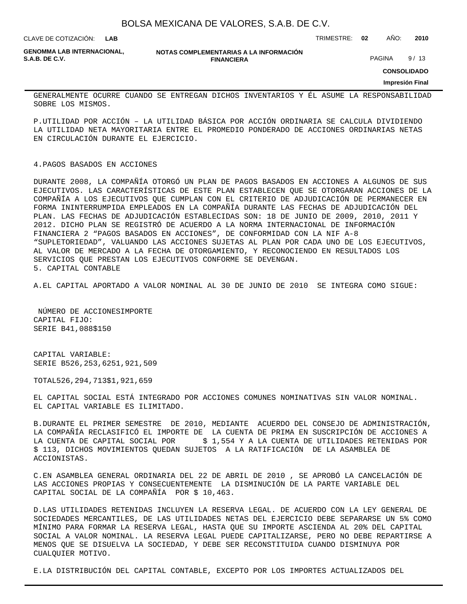| BOLSA MEXICANA DE VALORES, S.A.B. DE C.V. |  |  |
|-------------------------------------------|--|--|
|-------------------------------------------|--|--|

CLAVE DE COTIZACIÓN: TRIMESTRE: **02** AÑO: **2010**

**GENOMMA LAB INTERNACIONAL,**

**NOTAS COMPLEMENTARIAS A LA INFORMACIÓN FINANCIERA S.A.B. DE C.V.** PAGINA 9/13

**CONSOLIDADO**

**Impresión Final**

GENERALMENTE OCURRE CUANDO SE ENTREGAN DICHOS INVENTARIOS Y ÉL ASUME LA RESPONSABILIDAD SOBRE LOS MISMOS.

P. UTILIDAD POR ACCIÓN – LA UTILIDAD BÁSICA POR ACCIÓN ORDINARIA SE CALCULA DIVIDIENDO LA UTILIDAD NETA MAYORITARIA ENTRE EL PROMEDIO PONDERADO DE ACCIONES ORDINARIAS NETAS EN CIRCULACIÓN DURANTE EL EJERCICIO.

4. PAGOS BASADOS EN ACCIONES

DURANTE 2008, LA COMPAÑÍA OTORGÓ UN PLAN DE PAGOS BASADOS EN ACCIONES A ALGUNOS DE SUS EJECUTIVOS. LAS CARACTERÍSTICAS DE ESTE PLAN ESTABLECEN QUE SE OTORGARAN ACCIONES DE LA COMPAÑÍA A LOS EJECUTIVOS QUE CUMPLAN CON EL CRITERIO DE ADJUDICACIÓN DE PERMANECER EN FORMA ININTERRUMPIDA EMPLEADOS EN LA COMPAÑÍA DURANTE LAS FECHAS DE ADJUDICACIÓN DEL PLAN. LAS FECHAS DE ADJUDICACIÓN ESTABLECIDAS SON: 18 DE JUNIO DE 2009, 2010, 2011 Y 2012. DICHO PLAN SE REGISTRÓ DE ACUERDO A LA NORMA INTERNACIONAL DE INFORMACIÓN FINANCIERA 2 "PAGOS BASADOS EN ACCIONES", DE CONFORMIDAD CON LA NIF A-8 "SUPLETORIEDAD", VALUANDO LAS ACCIONES SUJETAS AL PLAN POR CADA UNO DE LOS EJECUTIVOS, AL VALOR DE MERCADO A LA FECHA DE OTORGAMIENTO, Y RECONOCIENDO EN RESULTADOS LOS SERVICIOS QUE PRESTAN LOS EJECUTIVOS CONFORME SE DEVENGAN. 5. CAPITAL CONTABLE

A. EL CAPITAL APORTADO A VALOR NOMINAL AL 30 DE JUNIO DE 2010 SE INTEGRA COMO SIGUE:

 NÚMERO DE ACCIONES IMPORTE CAPITAL FIJO: SERIE B 41,088 \$150

CAPITAL VARIABLE: SERIE B 526,253,625 1,921,509

TOTAL 526,294,713 \$1,921,659

EL CAPITAL SOCIAL ESTÁ INTEGRADO POR ACCIONES COMUNES NOMINATIVAS SIN VALOR NOMINAL. EL CAPITAL VARIABLE ES ILIMITADO.

B. DURANTE EL PRIMER SEMESTRE DE 2010, MEDIANTE ACUERDO DEL CONSEJO DE ADMINISTRACIÓN, LA COMPAÑÍA RECLASIFICÓ EL IMPORTE DE LA CUENTA DE PRIMA EN SUSCRIPCIÓN DE ACCIONES A LA CUENTA DE CAPITAL SOCIAL POR \$ 1,554 Y A LA CUENTA DE UTILIDADES RETENIDAS POR \$ 113, DICHOS MOVIMIENTOS QUEDAN SUJETOS A LA RATIFICACIÓN DE LA ASAMBLEA DE ACCIONISTAS.

C. EN ASAMBLEA GENERAL ORDINARIA DEL 22 DE ABRIL DE 2010 , SE APROBÓ LA CANCELACIÓN DE LAS ACCIONES PROPIAS Y CONSECUENTEMENTE LA DISMINUCIÓN DE LA PARTE VARIABLE DEL CAPITAL SOCIAL DE LA COMPAÑÍA POR \$ 10,463.

D. LAS UTILIDADES RETENIDAS INCLUYEN LA RESERVA LEGAL. DE ACUERDO CON LA LEY GENERAL DE SOCIEDADES MERCANTILES, DE LAS UTILIDADES NETAS DEL EJERCICIO DEBE SEPARARSE UN 5% COMO MÍNIMO PARA FORMAR LA RESERVA LEGAL, HASTA QUE SU IMPORTE ASCIENDA AL 20% DEL CAPITAL SOCIAL A VALOR NOMINAL. LA RESERVA LEGAL PUEDE CAPITALIZARSE, PERO NO DEBE REPARTIRSE A MENOS QUE SE DISUELVA LA SOCIEDAD, Y DEBE SER RECONSTITUIDA CUANDO DISMINUYA POR CUALQUIER MOTIVO.

E. LA DISTRIBUCIÓN DEL CAPITAL CONTABLE, EXCEPTO POR LOS IMPORTES ACTUALIZADOS DEL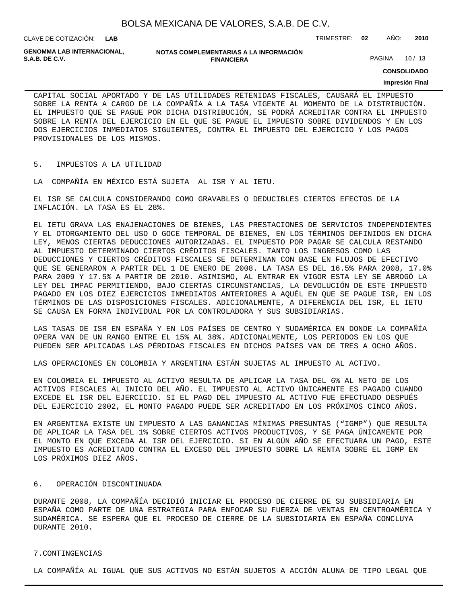CLAVE DE COTIZACIÓN: TRIMESTRE: **02** AÑO: **2010**

**GENOMMA LAB INTERNACIONAL,**

#### **NOTAS COMPLEMENTARIAS A LA INFORMACIÓN FINANCIERA**

PAGINA 10 / 13

**CONSOLIDADO**

#### **Impresión Final**

CAPITAL SOCIAL APORTADO Y DE LAS UTILIDADES RETENIDAS FISCALES, CAUSARÁ EL IMPUESTO SOBRE LA RENTA A CARGO DE LA COMPAÑÍA A LA TASA VIGENTE AL MOMENTO DE LA DISTRIBUCIÓN. EL IMPUESTO QUE SE PAGUE POR DICHA DISTRIBUCIÓN, SE PODRÁ ACREDITAR CONTRA EL IMPUESTO SOBRE LA RENTA DEL EJERCICIO EN EL QUE SE PAGUE EL IMPUESTO SOBRE DIVIDENDOS Y EN LOS DOS EJERCICIOS INMEDIATOS SIGUIENTES, CONTRA EL IMPUESTO DEL EJERCICIO Y LOS PAGOS PROVISIONALES DE LOS MISMOS.

5. IMPUESTOS A LA UTILIDAD

LA COMPAÑÍA EN MÉXICO ESTÁ SUJETA AL ISR Y AL IETU.

EL ISR SE CALCULA CONSIDERANDO COMO GRAVABLES O DEDUCIBLES CIERTOS EFECTOS DE LA INFLACIÓN. LA TASA ES EL 28%.

EL IETU GRAVA LAS ENAJENACIONES DE BIENES, LAS PRESTACIONES DE SERVICIOS INDEPENDIENTES Y EL OTORGAMIENTO DEL USO O GOCE TEMPORAL DE BIENES, EN LOS TÉRMINOS DEFINIDOS EN DICHA LEY, MENOS CIERTAS DEDUCCIONES AUTORIZADAS. EL IMPUESTO POR PAGAR SE CALCULA RESTANDO AL IMPUESTO DETERMINADO CIERTOS CRÉDITOS FISCALES. TANTO LOS INGRESOS COMO LAS DEDUCCIONES Y CIERTOS CRÉDITOS FISCALES SE DETERMINAN CON BASE EN FLUJOS DE EFECTIVO QUE SE GENERARON A PARTIR DEL 1 DE ENERO DE 2008. LA TASA ES DEL 16.5% PARA 2008, 17.0% PARA 2009 Y 17.5% A PARTIR DE 2010. ASIMISMO, AL ENTRAR EN VIGOR ESTA LEY SE ABROGÓ LA LEY DEL IMPAC PERMITIENDO, BAJO CIERTAS CIRCUNSTANCIAS, LA DEVOLUCIÓN DE ESTE IMPUESTO PAGADO EN LOS DIEZ EJERCICIOS INMEDIATOS ANTERIORES A AQUÉL EN QUE SE PAGUE ISR, EN LOS TÉRMINOS DE LAS DISPOSICIONES FISCALES. ADICIONALMENTE, A DIFERENCIA DEL ISR, EL IETU SE CAUSA EN FORMA INDIVIDUAL POR LA CONTROLADORA Y SUS SUBSIDIARIAS.

LAS TASAS DE ISR EN ESPAÑA Y EN LOS PAÍSES DE CENTRO Y SUDAMÉRICA EN DONDE LA COMPAÑÍA OPERA VAN DE UN RANGO ENTRE EL 15% AL 38%. ADICIONALMENTE, LOS PERIODOS EN LOS QUE PUEDEN SER APLICADAS LAS PÉRDIDAS FISCALES EN DICHOS PAÍSES VAN DE TRES A OCHO AÑOS.

LAS OPERACIONES EN COLOMBIA Y ARGENTINA ESTÁN SUJETAS AL IMPUESTO AL ACTIVO.

EN COLOMBIA EL IMPUESTO AL ACTIVO RESULTA DE APLICAR LA TASA DEL 6% AL NETO DE LOS ACTIVOS FISCALES AL INICIO DEL AÑO. EL IMPUESTO AL ACTIVO ÚNICAMENTE ES PAGADO CUANDO EXCEDE EL ISR DEL EJERCICIO. SI EL PAGO DEL IMPUESTO AL ACTIVO FUE EFECTUADO DESPUÉS DEL EJERCICIO 2002, EL MONTO PAGADO PUEDE SER ACREDITADO EN LOS PRÓXIMOS CINCO AÑOS.

EN ARGENTINA EXISTE UN IMPUESTO A LAS GANANCIAS MÍNIMAS PRESUNTAS ("IGMP") QUE RESULTA DE APLICAR LA TASA DEL 1% SOBRE CIERTOS ACTIVOS PRODUCTIVOS, Y SE PAGA ÚNICAMENTE POR EL MONTO EN QUE EXCEDA AL ISR DEL EJERCICIO. SI EN ALGÚN AÑO SE EFECTUARA UN PAGO, ESTE IMPUESTO ES ACREDITADO CONTRA EL EXCESO DEL IMPUESTO SOBRE LA RENTA SOBRE EL IGMP EN LOS PRÓXIMOS DIEZ AÑOS.

#### 6. OPERACIÓN DISCONTINUADA

DURANTE 2008, LA COMPAÑÍA DECIDIÓ INICIAR EL PROCESO DE CIERRE DE SU SUBSIDIARIA EN ESPAÑA COMO PARTE DE UNA ESTRATEGIA PARA ENFOCAR SU FUERZA DE VENTAS EN CENTROAMÉRICA Y SUDAMÉRICA. SE ESPERA QUE EL PROCESO DE CIERRE DE LA SUBSIDIARIA EN ESPAÑA CONCLUYA DURANTE 2010.

#### 7. CONTINGENCIAS

LA COMPAÑÍA AL IGUAL QUE SUS ACTIVOS NO ESTÁN SUJETOS A ACCIÓN ALUNA DE TIPO LEGAL QUE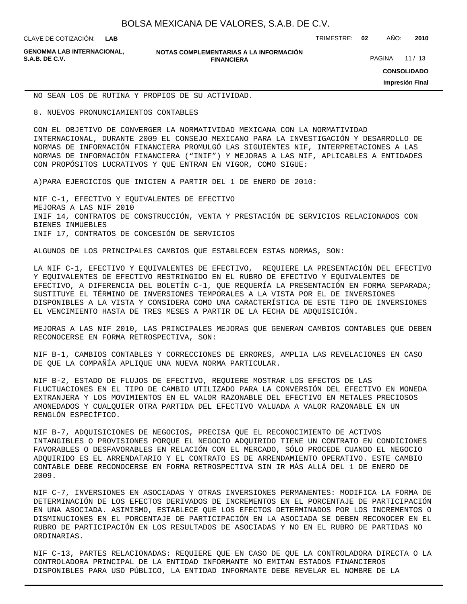CLAVE DE COTIZACIÓN: TRIMESTRE: **02** AÑO: **2010**

**GENOMMA LAB INTERNACIONAL,**

**NOTAS COMPLEMENTARIAS A LA INFORMACIÓN FINANCIERA**

PAGINA 11 / 13

**CONSOLIDADO**

**Impresión Final**

NO SEAN LOS DE RUTINA Y PROPIOS DE SU ACTIVIDAD.

8. NUEVOS PRONUNCIAMIENTOS CONTABLES

CON EL OBJETIVO DE CONVERGER LA NORMATIVIDAD MEXICANA CON LA NORMATIVIDAD INTERNACIONAL, DURANTE 2009 EL CONSEJO MEXICANO PARA LA INVESTIGACIÓN Y DESARROLLO DE NORMAS DE INFORMACIÓN FINANCIERA PROMULGÓ LAS SIGUIENTES NIF, INTERPRETACIONES A LAS NORMAS DE INFORMACIÓN FINANCIERA ("INIF") Y MEJORAS A LAS NIF, APLICABLES A ENTIDADES CON PROPÓSITOS LUCRATIVOS Y QUE ENTRAN EN VIGOR, COMO SIGUE:

A) PARA EJERCICIOS QUE INICIEN A PARTIR DEL 1 DE ENERO DE 2010:

NIF C-1, EFECTIVO Y EQUIVALENTES DE EFECTIVO MEJORAS A LAS NIF 2010 INIF 14, CONTRATOS DE CONSTRUCCIÓN, VENTA Y PRESTACIÓN DE SERVICIOS RELACIONADOS CON BIENES INMUEBLES INIF 17, CONTRATOS DE CONCESIÓN DE SERVICIOS

ALGUNOS DE LOS PRINCIPALES CAMBIOS QUE ESTABLECEN ESTAS NORMAS, SON:

LA NIF C-1, EFECTIVO Y EQUIVALENTES DE EFECTIVO, REQUIERE LA PRESENTACIÓN DEL EFECTIVO Y EQUIVALENTES DE EFECTIVO RESTRINGIDO EN EL RUBRO DE EFECTIVO Y EQUIVALENTES DE EFECTIVO, A DIFERENCIA DEL BOLETÍN C-1, QUE REQUERÍA LA PRESENTACIÓN EN FORMA SEPARADA; SUSTITUYE EL TÉRMINO DE INVERSIONES TEMPORALES A LA VISTA POR EL DE INVERSIONES DISPONIBLES A LA VISTA Y CONSIDERA COMO UNA CARACTERÍSTICA DE ESTE TIPO DE INVERSIONES EL VENCIMIENTO HASTA DE TRES MESES A PARTIR DE LA FECHA DE ADQUISICIÓN.

MEJORAS A LAS NIF 2010, LAS PRINCIPALES MEJORAS QUE GENERAN CAMBIOS CONTABLES QUE DEBEN RECONOCERSE EN FORMA RETROSPECTIVA, SON:

NIF B-1, CAMBIOS CONTABLES Y CORRECCIONES DE ERRORES, AMPLIA LAS REVELACIONES EN CASO DE QUE LA COMPAÑÍA APLIQUE UNA NUEVA NORMA PARTICULAR.

NIF B-2, ESTADO DE FLUJOS DE EFECTIVO, REQUIERE MOSTRAR LOS EFECTOS DE LAS FLUCTUACIONES EN EL TIPO DE CAMBIO UTILIZADO PARA LA CONVERSIÓN DEL EFECTIVO EN MONEDA EXTRANJERA Y LOS MOVIMIENTOS EN EL VALOR RAZONABLE DEL EFECTIVO EN METALES PRECIOSOS AMONEDADOS Y CUALQUIER OTRA PARTIDA DEL EFECTIVO VALUADA A VALOR RAZONABLE EN UN RENGLÓN ESPECÍFICO.

NIF B-7, ADQUISICIONES DE NEGOCIOS, PRECISA QUE EL RECONOCIMIENTO DE ACTIVOS INTANGIBLES O PROVISIONES PORQUE EL NEGOCIO ADQUIRIDO TIENE UN CONTRATO EN CONDICIONES FAVORABLES O DESFAVORABLES EN RELACIÓN CON EL MERCADO, SÓLO PROCEDE CUANDO EL NEGOCIO ADQUIRIDO ES EL ARRENDATARIO Y EL CONTRATO ES DE ARRENDAMIENTO OPERATIVO. ESTE CAMBIO CONTABLE DEBE RECONOCERSE EN FORMA RETROSPECTIVA SIN IR MÁS ALLÁ DEL 1 DE ENERO DE 2009.

NIF C-7, INVERSIONES EN ASOCIADAS Y OTRAS INVERSIONES PERMANENTES: MODIFICA LA FORMA DE DETERMINACIÓN DE LOS EFECTOS DERIVADOS DE INCREMENTOS EN EL PORCENTAJE DE PARTICIPACIÓN EN UNA ASOCIADA. ASIMISMO, ESTABLECE QUE LOS EFECTOS DETERMINADOS POR LOS INCREMENTOS O DISMINUCIONES EN EL PORCENTAJE DE PARTICIPACIÓN EN LA ASOCIADA SE DEBEN RECONOCER EN EL RUBRO DE PARTICIPACIÓN EN LOS RESULTADOS DE ASOCIADAS Y NO EN EL RUBRO DE PARTIDAS NO ORDINARIAS.

NIF C-13, PARTES RELACIONADAS: REQUIERE QUE EN CASO DE QUE LA CONTROLADORA DIRECTA O LA CONTROLADORA PRINCIPAL DE LA ENTIDAD INFORMANTE NO EMITAN ESTADOS FINANCIEROS DISPONIBLES PARA USO PÚBLICO, LA ENTIDAD INFORMANTE DEBE REVELAR EL NOMBRE DE LA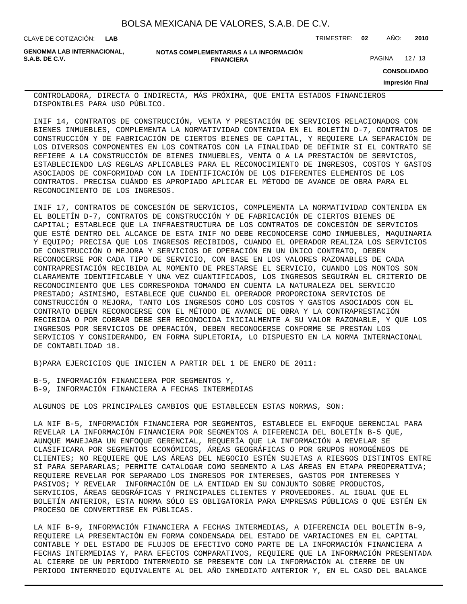CLAVE DE COTIZACIÓN: TRIMESTRE: **02** AÑO: **2010**

**GENOMMA LAB INTERNACIONAL,**

**NOTAS COMPLEMENTARIAS A LA INFORMACIÓN FINANCIERA**

PAGINA 12 / 13

**CONSOLIDADO**

**Impresión Final**

CONTROLADORA, DIRECTA O INDIRECTA, MÁS PRÓXIMA, QUE EMITA ESTADOS FINANCIEROS DISPONIBLES PARA USO PÚBLICO.

INIF 14, CONTRATOS DE CONSTRUCCIÓN, VENTA Y PRESTACIÓN DE SERVICIOS RELACIONADOS CON BIENES INMUEBLES, COMPLEMENTA LA NORMATIVIDAD CONTENIDA EN EL BOLETÍN D-7, CONTRATOS DE CONSTRUCCIÓN Y DE FABRICACIÓN DE CIERTOS BIENES DE CAPITAL, Y REQUIERE LA SEPARACIÓN DE LOS DIVERSOS COMPONENTES EN LOS CONTRATOS CON LA FINALIDAD DE DEFINIR SI EL CONTRATO SE REFIERE A LA CONSTRUCCIÓN DE BIENES INMUEBLES, VENTA O A LA PRESTACIÓN DE SERVICIOS, ESTABLECIENDO LAS REGLAS APLICABLES PARA EL RECONOCIMIENTO DE INGRESOS, COSTOS Y GASTOS ASOCIADOS DE CONFORMIDAD CON LA IDENTIFICACIÓN DE LOS DIFERENTES ELEMENTOS DE LOS CONTRATOS. PRECISA CUÁNDO ES APROPIADO APLICAR EL MÉTODO DE AVANCE DE OBRA PARA EL RECONOCIMIENTO DE LOS INGRESOS.

INIF 17, CONTRATOS DE CONCESIÓN DE SERVICIOS, COMPLEMENTA LA NORMATIVIDAD CONTENIDA EN EL BOLETÍN D-7, CONTRATOS DE CONSTRUCCIÓN Y DE FABRICACIÓN DE CIERTOS BIENES DE CAPITAL; ESTABLECE QUE LA INFRAESTRUCTURA DE LOS CONTRATOS DE CONCESIÓN DE SERVICIOS QUE ESTÉ DENTRO DEL ALCANCE DE ESTA INIF NO DEBE RECONOCERSE COMO INMUEBLES, MAQUINARIA Y EQUIPO; PRECISA QUE LOS INGRESOS RECIBIDOS, CUANDO EL OPERADOR REALIZA LOS SERVICIOS DE CONSTRUCCIÓN O MEJORA Y SERVICIOS DE OPERACIÓN EN UN ÚNICO CONTRATO, DEBEN RECONOCERSE POR CADA TIPO DE SERVICIO, CON BASE EN LOS VALORES RAZONABLES DE CADA CONTRAPRESTACIÓN RECIBIDA AL MOMENTO DE PRESTARSE EL SERVICIO, CUANDO LOS MONTOS SON CLARAMENTE IDENTIFICABLE Y UNA VEZ CUANTIFICADOS, LOS INGRESOS SEGUIRÁN EL CRITERIO DE RECONOCIMIENTO QUE LES CORRESPONDA TOMANDO EN CUENTA LA NATURALEZA DEL SERVICIO PRESTADO; ASIMISMO, ESTABLECE QUE CUANDO EL OPERADOR PROPORCIONA SERVICIOS DE CONSTRUCCIÓN O MEJORA, TANTO LOS INGRESOS COMO LOS COSTOS Y GASTOS ASOCIADOS CON EL CONTRATO DEBEN RECONOCERSE CON EL MÉTODO DE AVANCE DE OBRA Y LA CONTRAPRESTACIÓN RECIBIDA O POR COBRAR DEBE SER RECONOCIDA INICIALMENTE A SU VALOR RAZONABLE, Y QUE LOS INGRESOS POR SERVICIOS DE OPERACIÓN, DEBEN RECONOCERSE CONFORME SE PRESTAN LOS SERVICIOS Y CONSIDERANDO, EN FORMA SUPLETORIA, LO DISPUESTO EN LA NORMA INTERNACIONAL DE CONTABILIDAD 18.

B) PARA EJERCICIOS QUE INICIEN A PARTIR DEL 1 DE ENERO DE 2011:

B-5, INFORMACIÓN FINANCIERA POR SEGMENTOS Y, B-9, INFORMACIÓN FINANCIERA A FECHAS INTERMEDIAS

ALGUNOS DE LOS PRINCIPALES CAMBIOS QUE ESTABLECEN ESTAS NORMAS, SON:

LA NIF B-5, INFORMACIÓN FINANCIERA POR SEGMENTOS, ESTABLECE EL ENFOQUE GERENCIAL PARA REVELAR LA INFORMACIÓN FINANCIERA POR SEGMENTOS A DIFERENCIA DEL BOLETÍN B-5 QUE, AUNQUE MANEJABA UN ENFOQUE GERENCIAL, REQUERÍA QUE LA INFORMACIÓN A REVELAR SE CLASIFICARA POR SEGMENTOS ECONÓMICOS, ÁREAS GEOGRÁFICAS O POR GRUPOS HOMOGÉNEOS DE CLIENTES; NO REQUIERE QUE LAS ÁREAS DEL NEGOCIO ESTÉN SUJETAS A RIESGOS DISTINTOS ENTRE SÍ PARA SEPARARLAS; PERMITE CATALOGAR COMO SEGMENTO A LAS ÁREAS EN ETAPA PREOPERATIVA; REQUIERE REVELAR POR SEPARADO LOS INGRESOS POR INTERESES, GASTOS POR INTERESES Y PASIVOS; Y REVELAR INFORMACIÓN DE LA ENTIDAD EN SU CONJUNTO SOBRE PRODUCTOS, SERVICIOS, ÁREAS GEOGRÁFICAS Y PRINCIPALES CLIENTES Y PROVEEDORES. AL IGUAL QUE EL BOLETÍN ANTERIOR, ESTA NORMA SÓLO ES OBLIGATORIA PARA EMPRESAS PÚBLICAS O QUE ESTÉN EN PROCESO DE CONVERTIRSE EN PÚBLICAS.

LA NIF B-9, INFORMACIÓN FINANCIERA A FECHAS INTERMEDIAS, A DIFERENCIA DEL BOLETÍN B-9, REQUIERE LA PRESENTACIÓN EN FORMA CONDENSADA DEL ESTADO DE VARIACIONES EN EL CAPITAL CONTABLE Y DEL ESTADO DE FLUJOS DE EFECTIVO COMO PARTE DE LA INFORMACIÓN FINANCIERA A FECHAS INTERMEDIAS Y, PARA EFECTOS COMPARATIVOS, REQUIERE QUE LA INFORMACIÓN PRESENTADA AL CIERRE DE UN PERIODO INTERMEDIO SE PRESENTE CON LA INFORMACIÓN AL CIERRE DE UN PERIODO INTERMEDIO EQUIVALENTE AL DEL AÑO INMEDIATO ANTERIOR Y, EN EL CASO DEL BALANCE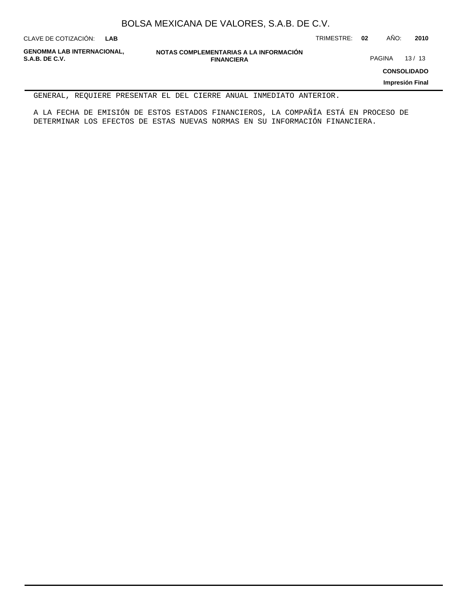| BOLSA MEXICANA DE VALORES, S.A.B. DE C.V. |  |  |
|-------------------------------------------|--|--|
|-------------------------------------------|--|--|

| CLAVE DE COTIZACIÓN: L <b>AB</b>             |                                                             | TRIMESTRE: 02 | AÑO:   | 2010               |  |
|----------------------------------------------|-------------------------------------------------------------|---------------|--------|--------------------|--|
| GENOMMA LAB INTERNACIONAL,<br>S.A.B. DE C.V. | NOTAS COMPLEMENTARIAS A LA INFORMACIÓN<br><b>FINANCIERA</b> |               | PAGINA | 13/13              |  |
|                                              |                                                             |               |        | <b>CONSOLIDADO</b> |  |
|                                              |                                                             |               |        | Impresión Final    |  |

GENERAL, REQUIERE PRESENTAR EL DEL CIERRE ANUAL INMEDIATO ANTERIOR.

A LA FECHA DE EMISIÓN DE ESTOS ESTADOS FINANCIEROS, LA COMPAÑÍA ESTÁ EN PROCESO DE DETERMINAR LOS EFECTOS DE ESTAS NUEVAS NORMAS EN SU INFORMACIÓN FINANCIERA.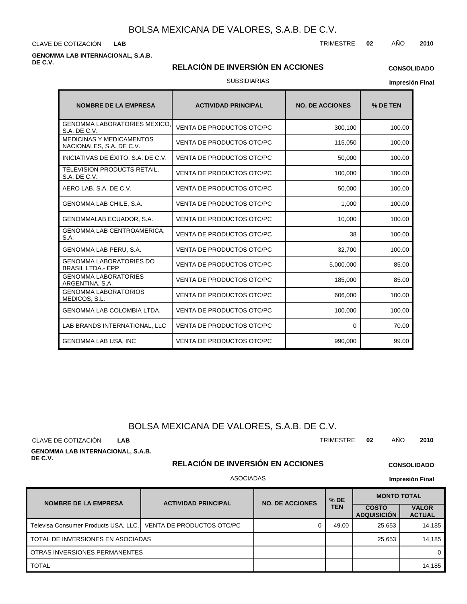CLAVE DE COTIZACIÓN TRIMESTRE **02** AÑO **2010 LAB**

### **GENOMMA LAB INTERNACIONAL, S.A.B. DE C.V.**

## **RELACIÓN DE INVERSIÓN EN ACCIONES**

# **CONSOLIDADO**

SUBSIDIARIAS

**Impresión Final**

| <b>NOMBRE DE LA EMPRESA</b>                                 | <b>ACTIVIDAD PRINCIPAL</b>       | <b>NO. DE ACCIONES</b> | % DE TEN |
|-------------------------------------------------------------|----------------------------------|------------------------|----------|
| <b>GENOMMA LABORATORIES MEXICO,</b><br>S.A. DE C.V.         | VENTA DE PRODUCTOS OTC/PC        | 300,100                | 100.00   |
| <b>MEDICINAS Y MEDICAMENTOS</b><br>NACIONALES, S.A. DE C.V. | VENTA DE PRODUCTOS OTC/PC        | 115,050                | 100.00   |
| INICIATIVAS DE ÉXITO, S.A. DE C.V.                          | <b>VENTA DE PRODUCTOS OTC/PC</b> | 50,000                 | 100.00   |
| TELEVISION PRODUCTS RETAIL,<br>S.A. DE C.V.                 | VENTA DE PRODUCTOS OTC/PC        | 100,000                | 100.00   |
| AERO LAB, S.A. DE C.V.                                      | <b>VENTA DE PRODUCTOS OTC/PC</b> | 50,000                 | 100.00   |
| GENOMMA LAB CHILE, S.A.                                     | <b>VENTA DE PRODUCTOS OTC/PC</b> | 1,000                  | 100.00   |
| GENOMMALAB ECUADOR, S.A.                                    | <b>VENTA DE PRODUCTOS OTC/PC</b> | 10,000                 | 100.00   |
| GENOMMA LAB CENTROAMERICA,<br>S.A.                          | VENTA DE PRODUCTOS OTC/PC        | 38                     | 100.00   |
| GENOMMA LAB PERU, S.A.                                      | <b>VENTA DE PRODUCTOS OTC/PC</b> | 32,700                 | 100.00   |
| GENOMMA LABORATORIES DO<br><b>BRASIL LTDA.- EPP</b>         | <b>VENTA DE PRODUCTOS OTC/PC</b> | 5,000,000              | 85.00    |
| <b>GENOMMA LABORATORIES</b><br>ARGENTINA, S.A.              | <b>VENTA DE PRODUCTOS OTC/PC</b> | 185,000                | 85.00    |
| <b>GENOMMA LABORATORIOS</b><br>MEDICOS, S.L.                | VENTA DE PRODUCTOS OTC/PC        | 606,000                | 100.00   |
| <b>GENOMMA LAB COLOMBIA LTDA.</b>                           | VENTA DE PRODUCTOS OTC/PC        | 100,000                | 100.00   |
| LAB BRANDS INTERNATIONAL, LLC                               | VENTA DE PRODUCTOS OTC/PC        | 0                      | 70.00    |
| <b>GENOMMA LAB USA, INC</b>                                 | VENTA DE PRODUCTOS OTC/PC        | 990,000                | 99.00    |

# BOLSA MEXICANA DE VALORES, S.A.B. DE C.V.

CLAVE DE COTIZACIÓN TRIMESTRE **02** AÑO **2010 LAB**

**GENOMMA LAB INTERNACIONAL, S.A.B. DE C.V.**

# **RELACIÓN DE INVERSIÓN EN ACCIONES**

ASOCIADAS

**NOMBRE DE LA EMPRESA | ACTIVIDAD PRINCIPAL COSTO ADQUISICIÓN VALOR ACTUAL MONTO TOTAL**<br>TEN COSTO I VAL **TEN NO. DE ACCIONES** Televisa Consumer Products USA, LLC. VENTA DE PRODUCTOS OTC/PC | 0 49.00 | 49.00 25,653 | 14,185 TOTAL 14,185 OTRAS INVERSIONES PERMANENTES TOTAL DE INVERSIONES EN ASOCIADAS 25,653 14,185 0

**CONSOLIDADO Impresión Final**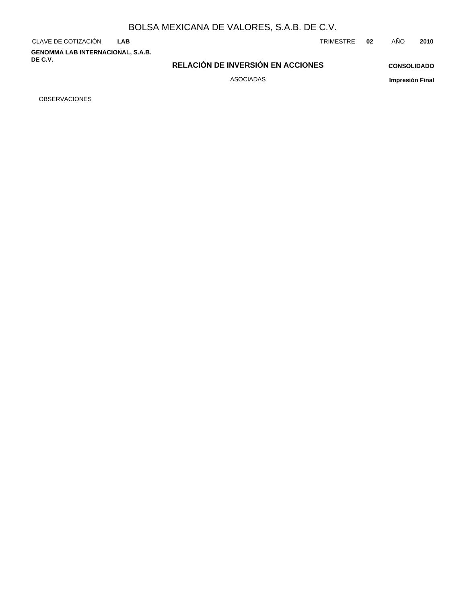| BOLSA MEXICANA DE VALORES, S.A.B. DE C.V. |  |  |  |
|-------------------------------------------|--|--|--|
|-------------------------------------------|--|--|--|

**GENOMMA LAB INTERNACIONAL, S.A.B. DE C.V.**

CLAVE DE COTIZACIÓN TRIMESTRE **02** AÑO **2010**

**RELACIÓN DE INVERSIÓN EN ACCIONES**

**CONSOLIDADO**

ASOCIADAS

**Impresión Final**

OBSERVACIONES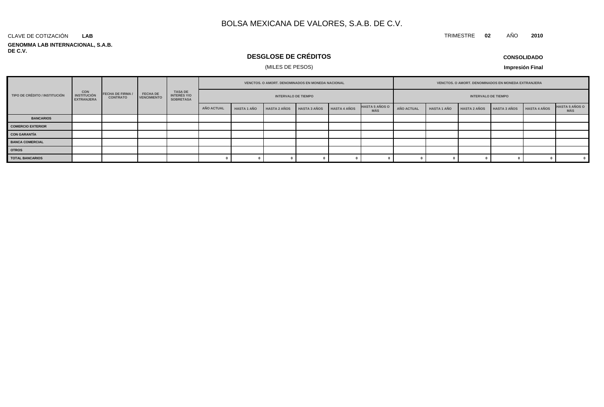#### **GENOMMA LAB INTERNACIONAL, S.A.B. DE C.V.** CLAVE DE COTIZACIÓN **LAB**

# **DESGLOSE DE CRÉDITOS**

## (MILES DE PESOS)

**Impresión Final**

|                               |                                                       |                                            |                                       |                                            |                   |                            | VENCTOS. O AMORT. DENOMINADOS EN MONEDA NACIONAL |                     |                     |                                     |                            | VENCTOS. O AMORT. DENOMINADOS EN MONEDA EXTRANJERA |                     |                     |                     |                              |  |
|-------------------------------|-------------------------------------------------------|--------------------------------------------|---------------------------------------|--------------------------------------------|-------------------|----------------------------|--------------------------------------------------|---------------------|---------------------|-------------------------------------|----------------------------|----------------------------------------------------|---------------------|---------------------|---------------------|------------------------------|--|
| TIPO DE CRÉDITO / INSTITUCIÓN | <b>CON</b><br><b>INSTITUCIÓN</b><br><b>EXTRANJERA</b> | <b>FECHA DE FIRMA /</b><br><b>CONTRATO</b> | <b>FECHA DE</b><br><b>VENCIMIENTO</b> | TASA DE<br>INTERÉS Y/O<br><b>SOBRETASA</b> |                   | <b>INTERVALO DE TIEMPO</b> |                                                  |                     |                     |                                     | <b>INTERVALO DE TIEMPO</b> |                                                    |                     |                     |                     |                              |  |
|                               |                                                       |                                            |                                       |                                            | <b>AÑO ACTUAL</b> | <b>HASTA 1 AÑO</b>         | <b>HASTA 2 AÑOS</b>                              | <b>HASTA 3 AÑOS</b> | <b>HASTA 4 AÑOS</b> | <b>HASTA 5 AÑOS O</b><br><b>MÁS</b> | AÑO ACTUAL                 | <b>HASTA 1 AÑO</b>                                 | <b>HASTA 2 AÑOS</b> | <b>HASTA 3 AÑOS</b> | <b>HASTA 4 AÑOS</b> | <b>HASTA 5 AÑOS O</b><br>MÁS |  |
| <b>BANCARIOS</b>              |                                                       |                                            |                                       |                                            |                   |                            |                                                  |                     |                     |                                     |                            |                                                    |                     |                     |                     |                              |  |
| <b>COMERCIO EXTERIOR</b>      |                                                       |                                            |                                       |                                            |                   |                            |                                                  |                     |                     |                                     |                            |                                                    |                     |                     |                     |                              |  |
| <b>CON GARANTÍA</b>           |                                                       |                                            |                                       |                                            |                   |                            |                                                  |                     |                     |                                     |                            |                                                    |                     |                     |                     |                              |  |
| <b>BANCA COMERCIAL</b>        |                                                       |                                            |                                       |                                            |                   |                            |                                                  |                     |                     |                                     |                            |                                                    |                     |                     |                     |                              |  |
| <b>OTROS</b>                  |                                                       |                                            |                                       |                                            |                   |                            |                                                  |                     |                     |                                     |                            |                                                    |                     |                     |                     |                              |  |
| <b>TOTAL BANCARIOS</b>        |                                                       |                                            |                                       |                                            |                   |                            |                                                  |                     |                     |                                     |                            |                                                    |                     |                     |                     | $\overline{\mathbf{0}}$      |  |

### **CONSOLIDADO**

TRIMESTRE **02** AÑO **2010**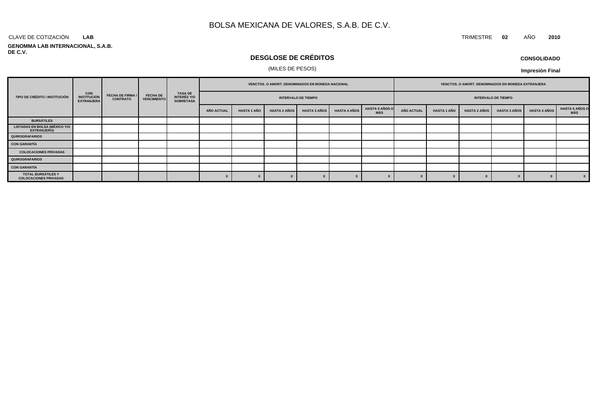#### CLAVE DE COTIZACIÓN TRIMESTRE **02** AÑO **2010 LAB**

#### **GENOMMA LAB INTERNACIONAL, S.A.B. DE C.V.**

# **DESGLOSE DE CRÉDITOS**

## (MILES DE PESOS)

| <b>CONSOLIDADO</b> |  |
|--------------------|--|
|--------------------|--|

|                                                            |                                                       |                                            |                                       |                                              |                   | VENCTOS. O AMORT. DENOMINADOS EN MONEDA NACIONAL<br>VENCTOS. O AMORT. DENOMINADOS EN MONEDA EXTRANJERA |                     |                            |                     |                              |                   |                    |                     |                            |                     |                               |
|------------------------------------------------------------|-------------------------------------------------------|--------------------------------------------|---------------------------------------|----------------------------------------------|-------------------|--------------------------------------------------------------------------------------------------------|---------------------|----------------------------|---------------------|------------------------------|-------------------|--------------------|---------------------|----------------------------|---------------------|-------------------------------|
| TIPO DE CRÉDITO / INSTITUCIÓN                              | <b>CON</b><br><b>INSTITUCIÓN</b><br><b>EXTRANJERA</b> | <b>FECHA DE FIRMA /</b><br><b>CONTRATO</b> | <b>FECHA DE</b><br><b>VENCIMIENTO</b> | <b>TASA DE<br/>INTERÉS Y/O<br/>SOBRETASA</b> |                   |                                                                                                        |                     | <b>INTERVALO DE TIEMPO</b> |                     |                              |                   |                    |                     | <b>INTERVALO DE TIEMPO</b> |                     |                               |
|                                                            |                                                       |                                            |                                       |                                              | <b>AÑO ACTUAL</b> | <b>HASTA 1 AÑO</b>                                                                                     | <b>HASTA 2 AÑOS</b> | <b>HASTA 3 AÑOS</b>        | <b>HASTA 4 AÑOS</b> | <b>HASTA 5 AÑOS O</b><br>MÁS | <b>AÑO ACTUAL</b> | <b>HASTA 1 AÑO</b> | <b>HASTA 2 AÑOS</b> | <b>HASTA 3 AÑOS</b>        | <b>HASTA 4 AÑOS</b> | <b>HASTA 5 AÑOS O<br/>MÁS</b> |
| <b>BURSÁTILES</b>                                          |                                                       |                                            |                                       |                                              |                   |                                                                                                        |                     |                            |                     |                              |                   |                    |                     |                            |                     |                               |
| <b>LISTADAS EN BOLSA (MÉXICO Y/O</b><br><b>EXTRANJERO)</b> |                                                       |                                            |                                       |                                              |                   |                                                                                                        |                     |                            |                     |                              |                   |                    |                     |                            |                     |                               |
| QUIROGRAFARIOS                                             |                                                       |                                            |                                       |                                              |                   |                                                                                                        |                     |                            |                     |                              |                   |                    |                     |                            |                     |                               |
| CON GARANTÍA                                               |                                                       |                                            |                                       |                                              |                   |                                                                                                        |                     |                            |                     |                              |                   |                    |                     |                            |                     |                               |
| <b>COLOCACIONES PRIVADAS</b>                               |                                                       |                                            |                                       |                                              |                   |                                                                                                        |                     |                            |                     |                              |                   |                    |                     |                            |                     |                               |
| QUIROGRAFARIOS                                             |                                                       |                                            |                                       |                                              |                   |                                                                                                        |                     |                            |                     |                              |                   |                    |                     |                            |                     |                               |
| CON GARANTÍA                                               |                                                       |                                            |                                       |                                              |                   |                                                                                                        |                     |                            |                     |                              |                   |                    |                     |                            |                     |                               |
| TOTAL BURSÁTILES Y<br><b>COLOCACIONES PRIVADAS</b>         |                                                       |                                            |                                       |                                              |                   |                                                                                                        |                     |                            |                     |                              |                   |                    |                     |                            |                     | $\sqrt{0}$ ,                  |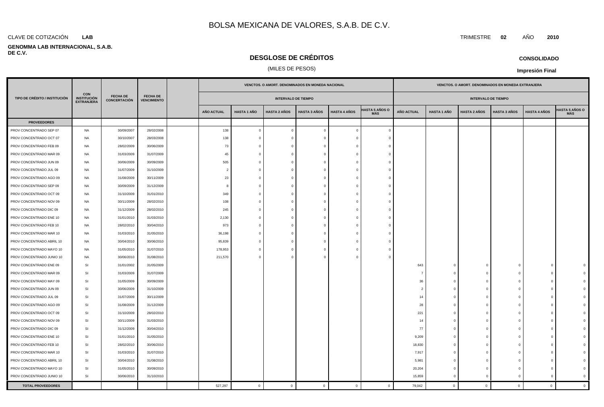## **LAB**

#### **GENOMMA LAB INTERNACIONAL, S.A.B. DE C.V.**

# **DESGLOSE DE CRÉDITOS**

## (MILES DE PESOS)

|                               |                                                       |                                        |                                       |                   |                    | VENCTOS. O AMORT. DENOMINADOS EN MONEDA NACIONAL |                     |                     |                              | VENCTOS. O AMORT. DENOMINADOS EN MONEDA EXTRANJERA |                    |                            |                     |                     |                              |
|-------------------------------|-------------------------------------------------------|----------------------------------------|---------------------------------------|-------------------|--------------------|--------------------------------------------------|---------------------|---------------------|------------------------------|----------------------------------------------------|--------------------|----------------------------|---------------------|---------------------|------------------------------|
| TIPO DE CRÉDITO / INSTITUCIÓN | <b>CON</b><br><b>INSTITUCIÓN</b><br><b>EXTRANJERA</b> | <b>FECHA DE</b><br><b>CONCERTACIÓN</b> | <b>FECHA DE</b><br><b>VENCIMIENTO</b> |                   |                    | <b>INTERVALO DE TIEMPO</b>                       |                     |                     |                              |                                                    |                    | <b>INTERVALO DE TIEMPO</b> |                     |                     |                              |
|                               |                                                       |                                        |                                       | <b>AÑO ACTUAL</b> | <b>HASTA 1 AÑO</b> | <b>HASTA 2 AÑOS</b>                              | <b>HASTA 3 AÑOS</b> | <b>HASTA 4 AÑOS</b> | <b>HASTA 5 AÑOS O</b><br>MÁS | <b>AÑO ACTUAL</b>                                  | <b>HASTA 1 AÑO</b> | <b>HASTA 2 AÑOS</b>        | <b>HASTA 3 AÑOS</b> | <b>HASTA 4 AÑOS</b> | <b>IASTA 5 AÑOS O</b><br>MÁS |
| <b>PROVEEDORES</b>            |                                                       |                                        |                                       |                   |                    |                                                  |                     |                     |                              |                                                    |                    |                            |                     |                     |                              |
| PROV CONCENTRADO SEP 07       | <b>NA</b>                                             | 30/09/2007                             | 28/02/2008                            | 138               | $\overline{0}$     | $\overline{0}$                                   | $\Omega$            | $\mathbf{0}$        | $\Omega$                     |                                                    |                    |                            |                     |                     |                              |
| PROV CONCENTRADO OCT 07       | NA                                                    | 30/10/2007                             | 28/03/2008                            | 138               | $\Omega$           | $\overline{0}$                                   |                     | $\mathbf{0}$        |                              |                                                    |                    |                            |                     |                     |                              |
| PROV CONCENTRADO FEB 09       | NA                                                    | 28/02/2009                             | 30/06/2009                            | 73                | $\Omega$           | $\overline{0}$                                   |                     | $\Omega$            |                              |                                                    |                    |                            |                     |                     |                              |
| PROV CONCENTRADO MAR 09       | NA                                                    | 31/03/2009                             | 31/07/2009                            | 45                | $\Omega$           | $\overline{0}$                                   | $\Omega$            | $\mathbf 0$         |                              |                                                    |                    |                            |                     |                     |                              |
| PROV CONCENTRADO JUN 09       | NA                                                    | 30/06/2009                             | 30/09/2009                            | 505               | $\Omega$           | $\overline{0}$                                   | $\Omega$            | $\mathbf 0$         |                              |                                                    |                    |                            |                     |                     |                              |
| PROV CONCENTRADO JUL 09       | NA                                                    | 31/07/2009                             | 31/10/2009                            | $\overline{2}$    | $\Omega$           | $\overline{0}$                                   | $\Omega$            | $\mathbf{0}$        |                              |                                                    |                    |                            |                     |                     |                              |
| PROV CONCENTRADO AGO 09       | <b>NA</b>                                             | 31/08/2009                             | 30/11/2009                            | 23                | $\Omega$           | $\mathbf{0}$                                     | - 0                 | $\Omega$            |                              |                                                    |                    |                            |                     |                     |                              |
| PROV CONCENTRADO SEP 09       | NA                                                    | 30/09/2009                             | 31/12/2009                            | 8                 | $\Omega$           | $\overline{0}$                                   | $\Omega$            | $\overline{0}$      |                              |                                                    |                    |                            |                     |                     |                              |
| PROV CONCENTRADO OCT 09       | NA                                                    | 31/10/2009                             | 31/01/2010                            | 349               | $\Omega$           | $\overline{0}$                                   | $\Omega$            | $\Omega$            |                              |                                                    |                    |                            |                     |                     |                              |
| PROV CONCENTRADO NOV 09       | NA                                                    | 30/11/2009                             | 28/02/2010                            | 108               | $\Omega$           | $\overline{0}$                                   |                     | $\Omega$            |                              |                                                    |                    |                            |                     |                     |                              |
| PROV CONCENTRADO DIC 09       | NA                                                    | 31/12/2009                             | 28/02/2010                            | 245               | $\Omega$           | $\overline{0}$                                   | $\Omega$            | $\Omega$            |                              |                                                    |                    |                            |                     |                     |                              |
| PROV CONCENTRADO ENE 10       | NA                                                    | 31/01/2010                             | 31/03/2010                            | 2,130             | $\Omega$           | $\overline{0}$                                   | $\Omega$            | $\mathbf{0}$        |                              |                                                    |                    |                            |                     |                     |                              |
| PROV CONCENTRADO FEB 10       | <b>NA</b>                                             | 28/02/2010                             | 30/04/2010                            | 973               | $\Omega$           | $\overline{0}$                                   | $\Omega$            | $\overline{0}$      |                              |                                                    |                    |                            |                     |                     |                              |
| PROV CONCENTRADO MAR 10       | NA                                                    | 31/03/2010                             | 31/05/2010                            | 36,198            | $\Omega$           | $\overline{0}$                                   | $\Omega$            | $\overline{0}$      |                              |                                                    |                    |                            |                     |                     |                              |
| PROV CONCENTRADO ABRIL 10     | NA                                                    | 30/04/2010                             | 30/06/2010                            | 95,839            | $\Omega$           | $\overline{0}$                                   | $\Omega$            | $\overline{0}$      |                              |                                                    |                    |                            |                     |                     |                              |
| PROV CONCENTRADO MAYO 10      | NA                                                    | 31/05/2010                             | 31/07/2010                            | 178,953           | $\Omega$           | $\overline{0}$                                   | $\Omega$            | $\overline{0}$      |                              |                                                    |                    |                            |                     |                     |                              |
| PROV CONCENTRADO JUNIO 10     | NA                                                    | 30/06/2010                             | 31/08/2010                            | 211,570           |                    | $\overline{0}$                                   |                     | $\mathbf 0$         |                              |                                                    |                    |                            |                     |                     |                              |
| PROV CONCENTRADO ENE 09       | SI                                                    | 31/01/2002                             | 31/05/2009                            |                   |                    |                                                  |                     |                     |                              | 643                                                | $\Omega$           | $\mathbf{0}$               | $\Omega$            | $\mathbf 0$         |                              |
| PROV CONCENTRADO MAR 09       | SI                                                    | 31/03/2009                             | 31/07/2009                            |                   |                    |                                                  |                     |                     |                              | -7                                                 | $^{\circ}$         | $\mathsf 0$                | $\mathbf 0$         | $\mathbf 0$         |                              |
| PROV CONCENTRADO MAY 09       | SI                                                    | 31/05/2009                             | 30/09/2009                            |                   |                    |                                                  |                     |                     |                              | 36                                                 | $\Omega$           | $\mathbf{0}$               | $\Omega$            | $^{\circ}$          |                              |
| PROV CONCENTRADO JUN 09       | SI                                                    | 30/06/2009                             | 31/10/2009                            |                   |                    |                                                  |                     |                     |                              | $\overline{2}$                                     | - 0                | $\mathbf{0}$               | $\Omega$            | $^{\circ}$          |                              |
| PROV CONCENTRADO JUL 09       | SI                                                    | 31/07/2009                             | 30/11/2009                            |                   |                    |                                                  |                     |                     |                              | 14                                                 | $\Omega$           | $\mathbf{0}$               | $\sqrt{2}$          | $\Omega$            |                              |
| PROV CONCENTRADO AGO 09       | SI                                                    | 31/08/2009                             | 31/12/2009                            |                   |                    |                                                  |                     |                     |                              | 28                                                 | $\Omega$           | $\mathbf{0}$               | $\Omega$            | $\Omega$            |                              |
| PROV CONCENTRADO OCT 09       | SI                                                    | 31/10/2009                             | 28/02/2010                            |                   |                    |                                                  |                     |                     |                              | 221                                                | $\Omega$           | $\mathbf{0}$               | $\Omega$            | $\Omega$            |                              |
| PROV CONCENTRADO NOV 09       | SI                                                    | 30/11/2009                             | 31/03/2010                            |                   |                    |                                                  |                     |                     |                              | 14                                                 | $\overline{0}$     | $\mathbf{0}$               |                     | $^{\circ}$          |                              |
| PROV CONCENTRADO DIC 09       | SI                                                    | 31/12/2009                             | 30/04/2010                            |                   |                    |                                                  |                     |                     |                              | 77                                                 | $\Omega$           | $\mathbf{0}$               | $\sqrt{2}$          | $\mathbf 0$         |                              |
| PROV CONCENTRADO ENE 10       | SI                                                    | 31/01/2010                             | 31/05/2010                            |                   |                    |                                                  |                     |                     |                              | 9,209                                              | $^{\circ}$         | $^{\circ}$                 |                     | $^{\circ}$          |                              |
| PROV CONCENTRADO FEB 10       | SI                                                    | 28/02/2010                             | 30/06/2010                            |                   |                    |                                                  |                     |                     |                              | 18,830                                             | $\Omega$           | $\mathbf{0}$               |                     | $\Omega$            |                              |
| PROV CONCENTRADO MAR 10       | SI                                                    | 31/03/2010                             | 31/07/2010                            |                   |                    |                                                  |                     |                     |                              | 7,917                                              | - 0                | $^{\circ}$                 |                     | $^{\circ}$          |                              |
| PROV CONCENTRADO ABRIL 10     | SI                                                    | 30/04/2010                             | 31/08/2010                            |                   |                    |                                                  |                     |                     |                              | 5,981                                              | ſ                  | $\Omega$                   |                     | $\Omega$            |                              |
| PROV CONCENTRADO MAYO 10      | SI                                                    | 31/05/2010                             | 30/09/2010                            |                   |                    |                                                  |                     |                     |                              | 20,204                                             | $\Omega$           | $\mathbf{0}$               |                     | $\Omega$            |                              |
| PROV CONCENTRADO JUNIO 10     | SI                                                    | 30/06/2010                             | 31/10/2010                            |                   |                    |                                                  |                     |                     |                              | 15.859                                             | $\Omega$           | $\Omega$                   |                     | $\Omega$            |                              |

**TOTAL PROVEEDORES** 527,297 0 0 0 0 0 79,042 0 0 0 0 0

CLAVE DE COTIZACIÓN TRIMESTRE **02** AÑO **2010**

**CONSOLIDADO**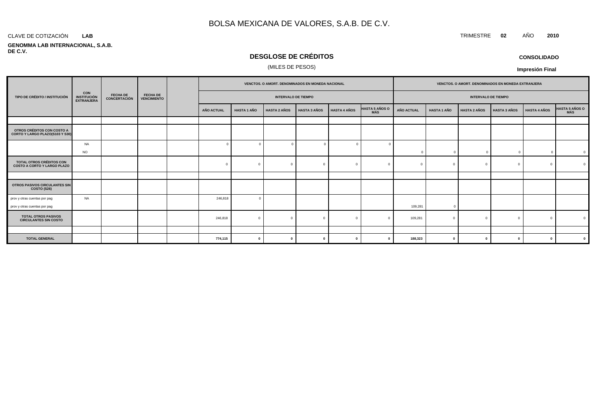#### CLAVE DE COTIZACIÓN TRIMESTRE **02** AÑO **2010 LAB**

#### **GENOMMA LAB INTERNACIONAL, S.A.B. DE C.V.**

# **DESGLOSE DE CRÉDITOS**

## (MILES DE PESOS)

| <b>CONSOLIDADO</b> |  |
|--------------------|--|
|--------------------|--|

|                                                                       |                                                       |                                 |                                       | VENCTOS. O AMORT. DENOMINADOS EN MONEDA NACIONAL |                    |                            |                     |                     | VENCTOS. O AMORT. DENOMINADOS EN MONEDA EXTRANJERA |                   |                    |                            |                     |                     |                       |
|-----------------------------------------------------------------------|-------------------------------------------------------|---------------------------------|---------------------------------------|--------------------------------------------------|--------------------|----------------------------|---------------------|---------------------|----------------------------------------------------|-------------------|--------------------|----------------------------|---------------------|---------------------|-----------------------|
| TIPO DE CRÉDITO / INSTITUCIÓN                                         | <b>CON</b><br><b>INSTITUCIÓN</b><br><b>EXTRANJERA</b> | <b>FECHA DE</b><br>CONCERTACIÓN | <b>FECHA DE</b><br><b>VENCIMIENTO</b> |                                                  |                    | <b>INTERVALO DE TIEMPO</b> |                     |                     |                                                    |                   |                    | <b>INTERVALO DE TIEMPO</b> |                     |                     |                       |
|                                                                       |                                                       |                                 |                                       | <b>AÑO ACTUAL</b>                                | <b>HASTA 1 AÑO</b> | <b>HASTA 2 AÑOS</b>        | <b>HASTA 3 AÑOS</b> | <b>HASTA 4 AÑOS</b> | <b>HASTA 5 AÑOS O</b><br>MÁS                       | <b>AÑO ACTUAL</b> | <b>HASTA 1 AÑO</b> | <b>HASTA 2 AÑOS</b>        | <b>HASTA 3 AÑOS</b> | <b>HASTA 4 AÑOS</b> | HASTA 5 AÑOS O<br>MÁS |
|                                                                       |                                                       |                                 |                                       |                                                  |                    |                            |                     |                     |                                                    |                   |                    |                            |                     |                     |                       |
| OTROS CRÉDITOS CON COSTO A<br>CORTO Y LARGO PLAZO(S103 Y S30)         |                                                       |                                 |                                       |                                                  |                    |                            |                     |                     |                                                    |                   |                    |                            |                     |                     |                       |
|                                                                       | <b>NA</b><br><b>NO</b>                                |                                 |                                       | $\Omega$                                         | $\mathbf{0}$       | $\Omega$                   |                     |                     |                                                    |                   | $\Omega$           |                            |                     |                     | $\mathbf{0}$          |
| <b>TOTAL OTROS CRÉDITOS CON</b><br><b>COSTO A CORTO Y LARGO PLAZO</b> |                                                       |                                 |                                       | $\Omega$                                         | $\Omega$           | $\sqrt{ }$                 |                     |                     | $\Omega$                                           |                   | $\mathbf{0}$       |                            |                     | $\mathbf{0}$        | $\overline{0}$        |
|                                                                       |                                                       |                                 |                                       |                                                  |                    |                            |                     |                     |                                                    |                   |                    |                            |                     |                     |                       |
| OTROS PASIVOS CIRCULANTES SIN<br><b>COSTO (S26)</b>                   |                                                       |                                 |                                       |                                                  |                    |                            |                     |                     |                                                    |                   |                    |                            |                     |                     |                       |
| prov y otras cuentas por pag<br>prov y otras cuentas por pag          | NA                                                    |                                 |                                       | 246,818                                          | $\mathbf{0}$       |                            |                     |                     |                                                    | 109,281           | $\Omega$           |                            |                     |                     |                       |
| <b>TOTAL OTROS PASIVOS</b><br><b>CIRCULANTES SIN COSTO</b>            |                                                       |                                 |                                       | 246,818                                          | $\Omega$           | $\Omega$                   |                     | $\Omega$            | $\sqrt{2}$                                         | 109,281           | $\mathbf{0}$       |                            |                     | $\mathbf{0}$        | $\mathbf{0}$          |
|                                                                       |                                                       |                                 |                                       |                                                  |                    |                            |                     |                     |                                                    |                   |                    |                            |                     |                     |                       |
| <b>TOTAL GENERAL</b>                                                  |                                                       |                                 |                                       | 774,115                                          | $\mathbf{0}$       | $\mathbf{0}$               |                     |                     |                                                    | 188,323           | $\mathbf 0$        |                            | $\mathbf{a}$        | $\mathbf 0$         | $\mathbf{0}$          |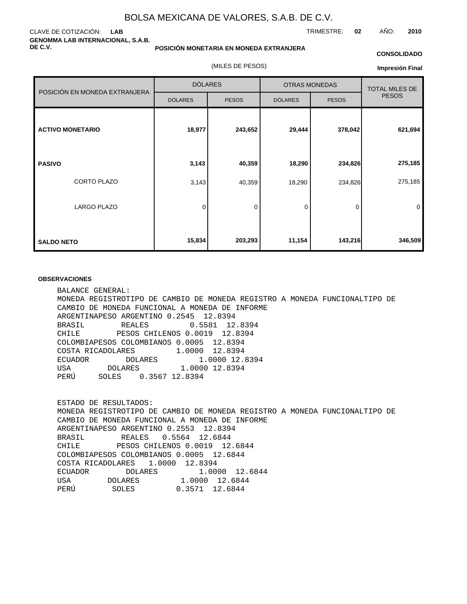### CLAVE DE COTIZACIÓN: **LAB GENOMMA LAB INTERNACIONAL, S.A.B. DE C.V.**

#### **POSICIÓN MONETARIA EN MONEDA EXTRANJERA**

(MILES DE PESOS)

#### **CONSOLIDADO**

TRIMESTRE: **02** AÑO: **2010**

**Impresión Final**

|                               | <b>DÓLARES</b> |              |                | <b>OTRAS MONEDAS</b> | <b>TOTAL MILES DE</b> |
|-------------------------------|----------------|--------------|----------------|----------------------|-----------------------|
| POSICIÓN EN MONEDA EXTRANJERA | <b>DÓLARES</b> | <b>PESOS</b> | <b>DÓLARES</b> | <b>PESOS</b>         | <b>PESOS</b>          |
| <b>ACTIVO MONETARIO</b>       | 18,977         | 243,652      | 29,444         | 378,042              | 621,694               |
| <b>PASIVO</b>                 | 3,143          | 40,359       | 18,290         | 234,826              | 275,185               |
| CORTO PLAZO                   | 3,143          | 40,359       | 18,290         | 234,826              | 275,185               |
| <b>LARGO PLAZO</b>            | 0              | $\mathbf 0$  | 0              | 0                    | 0                     |
| <b>SALDO NETO</b>             | 15,834         | 203,293      | 11,154         | 143,216              | 346,509               |

### **OBSERVACIONES**

BALANCE GENERAL: MONEDA REGISTRO TIPO DE CAMBIO DE MONEDA REGISTRO A MONEDA FUNCIONAL TIPO DE CAMBIO DE MONEDA FUNCIONAL A MONEDA DE INFORME ARGENTINA PESO ARGENTINO 0.2545 12.8394<br>BRASIL REALES 0.5581 12 BRASIL REALES 0.5581 12.8394 CHILE PESOS CHILENOS 0.0019 12.8394 COLOMBIA PESOS COLOMBIANOS 0.0005 12.8394 COSTA RICA DOLARES 1.0000 12.8394 ECUADOR DOLARES 1.0000 12.8394 USA DOLARES 1.0000 12.8394 SOLES 0.3567 12.8394

ESTADO DE RESULTADOS: MONEDA REGISTRO TIPO DE CAMBIO DE MONEDA REGISTRO A MONEDA FUNCIONAL TIPO DE CAMBIO DE MONEDA FUNCIONAL A MONEDA DE INFORME ARGENTINA PESO ARGENTINO 0.2553 12.8394 BRASIL REALES 0.5564 12.6844 CHILE PESOS CHILENOS 0.0019 12.6844 COLOMBIA PESOS COLOMBIANOS 0.0005 12.6844 COSTA RICA DOLARES 1.0000 12.8394<br>ECUADOR DOLARES 1.0000 ECUADOR DOLARES 1.0000 12.6844 USA DOLARES 1.0000 12.6844 PERÚ SOLES 0.3571 12.6844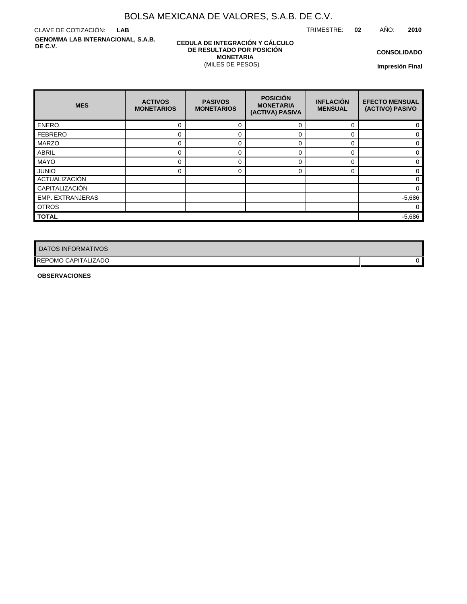TRIMESTRE: **02** AÑO: **2010**

CLAVE DE COTIZACIÓN: **LAB GENOMMA LAB INTERNACIONAL, S.A.B. DE C.V.**

#### **CEDULA DE INTEGRACIÓN Y CÁLCULO DE RESULTADO POR POSICIÓN MONETARIA** (MILES DE PESOS)

**CONSOLIDADO**

**Impresión Final**

| <b>MES</b>           | <b>ACTIVOS</b><br><b>MONETARIOS</b> | <b>PASIVOS</b><br><b>MONETARIOS</b> | <b>POSICIÓN</b><br><b>MONETARIA</b><br>(ACTIVA) PASIVA | <b>INFLACIÓN</b><br><b>MENSUAL</b> | <b>EFECTO MENSUAL</b><br>(ACTIVO) PASIVO |
|----------------------|-------------------------------------|-------------------------------------|--------------------------------------------------------|------------------------------------|------------------------------------------|
| <b>ENERO</b>         | 0                                   | 0                                   | ∩                                                      | U                                  |                                          |
| <b>FEBRERO</b>       | 0                                   | 0                                   | $\Omega$                                               | $\Omega$                           |                                          |
| <b>MARZO</b>         | 0                                   | $\Omega$                            | $\Omega$                                               | $\Omega$                           | 0                                        |
| <b>ABRIL</b>         | 0                                   | 0                                   | 0                                                      | 0                                  |                                          |
| <b>MAYO</b>          | 0                                   | O                                   | $\Omega$                                               | U                                  |                                          |
| <b>JUNIO</b>         | $\Omega$                            | 0                                   | 0                                                      | 0                                  |                                          |
| <b>ACTUALIZACIÓN</b> |                                     |                                     |                                                        |                                    | U                                        |
| CAPITALIZACIÓN       |                                     |                                     |                                                        |                                    | 0                                        |
| EMP. EXTRANJERAS     |                                     |                                     |                                                        |                                    | $-5,686$                                 |
| <b>OTROS</b>         |                                     |                                     |                                                        |                                    | $\Omega$                                 |
| <b>TOTAL</b>         |                                     |                                     |                                                        |                                    | $-5,686$                                 |

| DATOS INFORMATIVOS         |  |
|----------------------------|--|
| <b>REPOMO CAPITALIZADO</b> |  |

**OBSERVACIONES**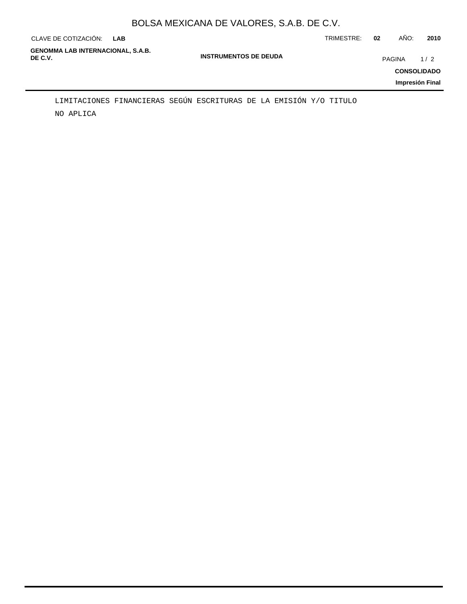| CLAVE DE COTIZACIÓN:                                | <b>LAB</b> |                              | TRIMESTRE: | 02     | AÑO:                                  | 2010 |
|-----------------------------------------------------|------------|------------------------------|------------|--------|---------------------------------------|------|
| <b>GENOMMA LAB INTERNACIONAL, S.A.B.</b><br>DE C.V. |            | <b>INSTRUMENTOS DE DEUDA</b> |            | PAGINA | <b>CONSOLIDADO</b><br>Impresión Final | 1/2  |
|                                                     |            |                              |            |        |                                       |      |

NO APLICA LIMITACIONES FINANCIERAS SEGÚN ESCRITURAS DE LA EMISIÓN Y/O TITULO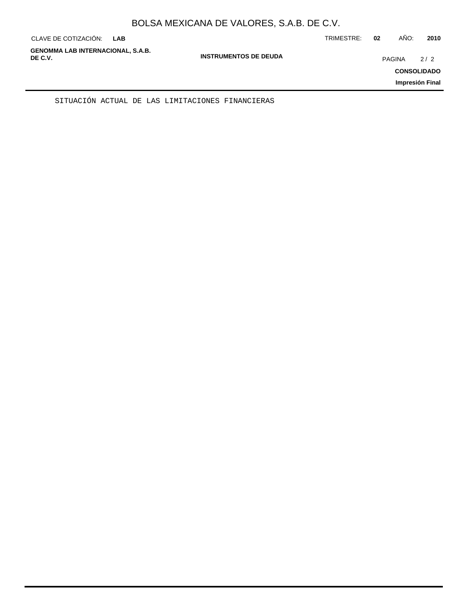| CLAVE DE COTIZACIÓN:                                | <b>LAB</b> |                              | TRIMESTRE:    | 02 | AÑO: | 2010                      |
|-----------------------------------------------------|------------|------------------------------|---------------|----|------|---------------------------|
| <b>GENOMMA LAB INTERNACIONAL, S.A.B.</b><br>DE C.V. |            | <b>INSTRUMENTOS DE DEUDA</b> | <b>PAGINA</b> |    |      | 2/2<br><b>CONSOLIDADO</b> |
|                                                     |            |                              |               |    |      | Impresión Final           |

SITUACIÓN ACTUAL DE LAS LIMITACIONES FINANCIERAS

÷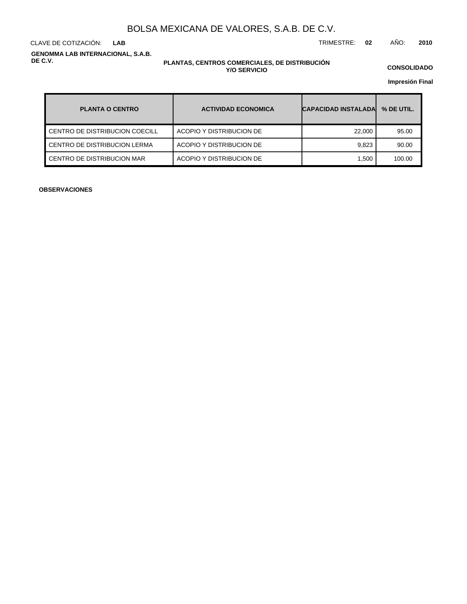**LAB**

CLAVE DE COTIZACIÓN: TRIMESTRE: **02** AÑO: **2010**

**GENOMMA LAB INTERNACIONAL, S.A.B. DE C.V.**

#### **PLANTAS, CENTROS COMERCIALES, DE DISTRIBUCIÓN Y/O SERVICIO**

**CONSOLIDADO**

**Impresión Final**

| <b>PLANTA O CENTRO</b>         | <b>ACTIVIDAD ECONOMICA</b> | <b>CAPACIDAD INSTALADAL</b> | % DE UTIL. |
|--------------------------------|----------------------------|-----------------------------|------------|
| CENTRO DE DISTRIBUCION COECILL | ACOPIO Y DISTRIBUCION DE   | 22,000                      | 95.00      |
| CENTRO DE DISTRIBUCION LERMA   | ACOPIO Y DISTRIBUCION DE   | 9.823                       | 90.00      |
| CENTRO DE DISTRIBUCION MAR     | ACOPIO Y DISTRIBUCION DE   | 1.500                       | 100.00     |

**OBSERVACIONES**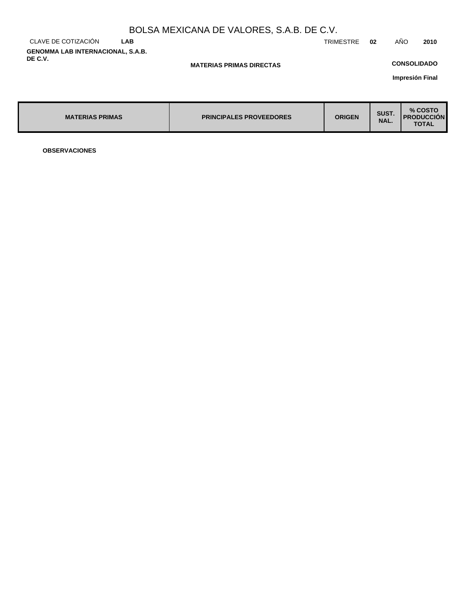|                                                     |     | BOLSA MEXICANA DE VALORES, S.A.B. DE C.V. |           |    |                    |      |
|-----------------------------------------------------|-----|-------------------------------------------|-----------|----|--------------------|------|
| CLAVE DE COTIZACIÓN                                 | LAB |                                           | TRIMESTRE | 02 | AÑO                | 2010 |
| <b>GENOMMA LAB INTERNACIONAL, S.A.B.</b><br>DE C.V. |     |                                           |           |    |                    |      |
| <b>MATERIAS PRIMAS DIRECTAS</b>                     |     |                                           |           |    | <b>CONSOLIDADO</b> |      |
|                                                     |     |                                           |           |    |                    |      |

**Impresión Final**

| <b>MATERIAS PRIMAS</b> | <b>PRINCIPALES PROVEEDORES</b> | <b>ORIGEN</b> | SUST.<br>NAL. | % COSTO<br><b>I PRODUCCIÓN</b><br><b>TOTAL</b> |
|------------------------|--------------------------------|---------------|---------------|------------------------------------------------|
|------------------------|--------------------------------|---------------|---------------|------------------------------------------------|

**OBSERVACIONES**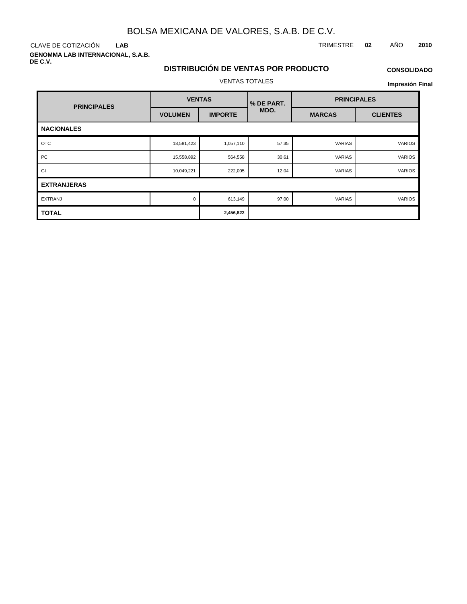**LAB**

**GENOMMA LAB INTERNACIONAL, S.A.B. DE C.V.**

## CLAVE DE COTIZACIÓN TRIMESTRE **02** AÑO **2010**

# **DISTRIBUCIÓN DE VENTAS POR PRODUCTO** VENTAS TOTALES

# **CONSOLIDADO**

| <b>PRINCIPALES</b> | <b>VENTAS</b>  |                | % DE PART. | <b>PRINCIPALES</b> |                 |  |  |
|--------------------|----------------|----------------|------------|--------------------|-----------------|--|--|
|                    | <b>VOLUMEN</b> | <b>IMPORTE</b> | MDO.       | <b>MARCAS</b>      | <b>CLIENTES</b> |  |  |
| <b>NACIONALES</b>  |                |                |            |                    |                 |  |  |
| <b>OTC</b>         | 18,581,423     | 1,057,110      | 57.35      | <b>VARIAS</b>      | <b>VARIOS</b>   |  |  |
| PC                 | 15,558,892     | 564,558        | 30.61      | <b>VARIAS</b>      | <b>VARIOS</b>   |  |  |
| GI                 | 10,049,221     | 222,005        | 12.04      | <b>VARIAS</b>      | <b>VARIOS</b>   |  |  |
| <b>EXTRANJERAS</b> |                |                |            |                    |                 |  |  |
| <b>EXTRANJ</b>     | $\mathbf 0$    | 613,149        | 97.00      | <b>VARIAS</b>      | <b>VARIOS</b>   |  |  |
| <b>TOTAL</b>       |                | 2,456,822      |            |                    |                 |  |  |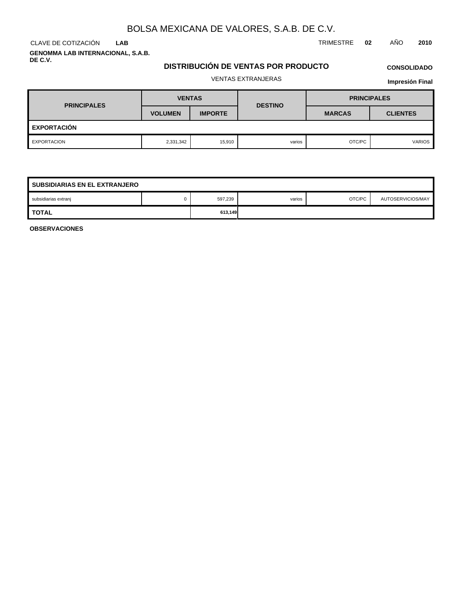CLAVE DE COTIZACIÓN TRIMESTRE **02** AÑO **2010 LAB**

**GENOMMA LAB INTERNACIONAL, S.A.B. DE C.V.**

## **DISTRIBUCIÓN DE VENTAS POR PRODUCTO**

# **CONSOLIDADO**

## VENTAS EXTRANJERAS

**Impresión Final**

| <b>PRINCIPALES</b> | <b>VENTAS</b>  |                | <b>DESTINO</b> | <b>PRINCIPALES</b> |                 |  |  |  |  |
|--------------------|----------------|----------------|----------------|--------------------|-----------------|--|--|--|--|
|                    | <b>VOLUMEN</b> | <b>IMPORTE</b> |                | <b>MARCAS</b>      | <b>CLIENTES</b> |  |  |  |  |
| <b>EXPORTACIÓN</b> |                |                |                |                    |                 |  |  |  |  |
| EXPORTACION        | 2,331,342      | 15,910         | varios         | OTC/PC             | <b>VARIOS</b>   |  |  |  |  |

| <b>SUBSIDIARIAS EN EL EXTRANJERO</b> |  |         |        |        |                   |  |  |  |
|--------------------------------------|--|---------|--------|--------|-------------------|--|--|--|
| subsidiarias extranj                 |  | 597,239 | varios | OTC/PC | AUTOSERVICIOS/MAY |  |  |  |
| <b>TOTAL</b>                         |  | 613,149 |        |        |                   |  |  |  |

**OBSERVACIONES**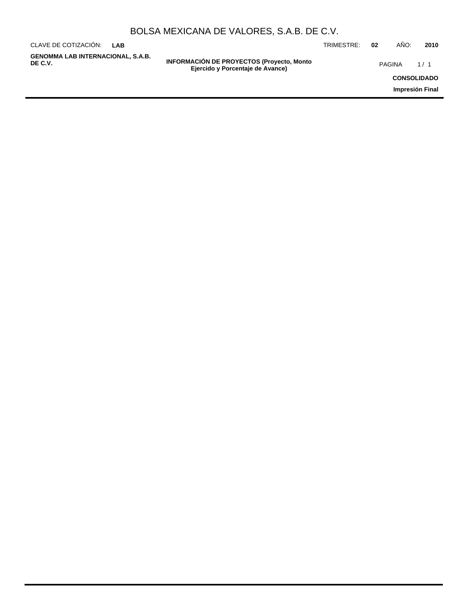| BOLSA MEXICANA DE VALORES, S.A.B. DE C.V. |  |  |
|-------------------------------------------|--|--|
|-------------------------------------------|--|--|

| CLAVE DE COTIZACIÓN:<br>LAB                         |                                                                                       | TRIMESTRE: | 02 | AÑO:   | 2010               |
|-----------------------------------------------------|---------------------------------------------------------------------------------------|------------|----|--------|--------------------|
| <b>GENOMMA LAB INTERNACIONAL, S.A.B.</b><br>DE C.V. | <b>INFORMACIÓN DE PROYECTOS (Proyecto, Monto)</b><br>Ejercido y Porcentaje de Avance) |            |    | PAGINA | 1/1                |
|                                                     |                                                                                       |            |    |        | <b>CONSOLIDADO</b> |
|                                                     |                                                                                       |            |    |        | Impresión Final    |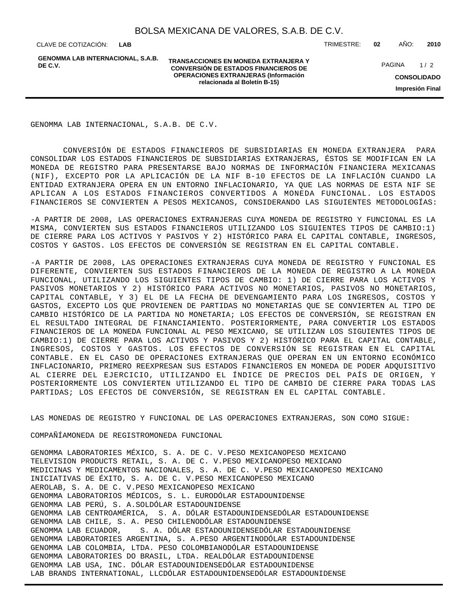**GENOMMA LAB INTERNACIONAL, S.A.B. DE C.V.**

**TRANSACCIONES EN MONEDA EXTRANJERA Y CONVERSIÓN DE ESTADOS FINANCIEROS DE OPERACIONES EXTRANJERAS (Información relacionada al Boletín B-15)**

CLAVE DE COTIZACIÓN: TRIMESTRE: **02** AÑO: **2010**

**CONSOLIDADO Impresión Final** PAGINA 1/2

GENOMMA LAB INTERNACIONAL, S.A.B. DE C.V.

 CONVERSIÓN DE ESTADOS FINANCIEROS DE SUBSIDIARIAS EN MONEDA EXTRANJERA PARA CONSOLIDAR LOS ESTADOS FINANCIEROS DE SUBSIDIARIAS EXTRANJERAS, ÉSTOS SE MODIFICAN EN LA MONEDA DE REGISTRO PARA PRESENTARSE BAJO NORMAS DE INFORMACIÓN FINANCIERA MEXICANAS (NIF), EXCEPTO POR LA APLICACIÓN DE LA NIF B-10 EFECTOS DE LA INFLACIÓN CUANDO LA ENTIDAD EXTRANJERA OPERA EN UN ENTORNO INFLACIONARIO, YA QUE LAS NORMAS DE ESTA NIF SE APLICAN A LOS ESTADOS FINANCIEROS CONVERTIDOS A MONEDA FUNCIONAL. LOS ESTADOS FINANCIEROS SE CONVIERTEN A PESOS MEXICANOS, CONSIDERANDO LAS SIGUIENTES METODOLOGÍAS:

- A PARTIR DE 2008, LAS OPERACIONES EXTRANJERAS CUYA MONEDA DE REGISTRO Y FUNCIONAL ES LA MISMA, CONVIERTEN SUS ESTADOS FINANCIEROS UTILIZANDO LOS SIGUIENTES TIPOS DE CAMBIO:1) DE CIERRE PARA LOS ACTIVOS Y PASIVOS Y 2) HISTÓRICO PARA EL CAPITAL CONTABLE, INGRESOS, COSTOS Y GASTOS. LOS EFECTOS DE CONVERSIÓN SE REGISTRAN EN EL CAPITAL CONTABLE.

- A PARTIR DE 2008, LAS OPERACIONES EXTRANJERAS CUYA MONEDA DE REGISTRO Y FUNCIONAL ES DIFERENTE, CONVIERTEN SUS ESTADOS FINANCIEROS DE LA MONEDA DE REGISTRO A LA MONEDA FUNCIONAL, UTILIZANDO LOS SIGUIENTES TIPOS DE CAMBIO: 1) DE CIERRE PARA LOS ACTIVOS Y PASIVOS MONETARIOS Y 2) HISTÓRICO PARA ACTIVOS NO MONETARIOS, PASIVOS NO MONETARIOS, CAPITAL CONTABLE, Y 3) EL DE LA FECHA DE DEVENGAMIENTO PARA LOS INGRESOS, COSTOS Y GASTOS, EXCEPTO LOS QUE PROVIENEN DE PARTIDAS NO MONETARIAS QUE SE CONVIERTEN AL TIPO DE CAMBIO HISTÓRICO DE LA PARTIDA NO MONETARIA; LOS EFECTOS DE CONVERSIÓN, SE REGISTRAN EN EL RESULTADO INTEGRAL DE FINANCIAMIENTO. POSTERIORMENTE, PARA CONVERTIR LOS ESTADOS FINANCIEROS DE LA MONEDA FUNCIONAL AL PESO MEXICANO, SE UTILIZAN LOS SIGUIENTES TIPOS DE CAMBIO:1) DE CIERRE PARA LOS ACTIVOS Y PASIVOS Y 2) HISTÓRICO PARA EL CAPITAL CONTABLE, INGRESOS, COSTOS Y GASTOS. LOS EFECTOS DE CONVERSIÓN SE REGISTRAN EN EL CAPITAL CONTABLE. EN EL CASO DE OPERACIONES EXTRANJERAS QUE OPERAN EN UN ENTORNO ECONÓMICO INFLACIONARIO, PRIMERO REEXPRESAN SUS ESTADOS FINANCIEROS EN MONEDA DE PODER ADQUISITIVO AL CIERRE DEL EJERCICIO, UTILIZANDO EL ÍNDICE DE PRECIOS DEL PAÍS DE ORIGEN, Y POSTERIORMENTE LOS CONVIERTEN UTILIZANDO EL TIPO DE CAMBIO DE CIERRE PARA TODAS LAS PARTIDAS; LOS EFECTOS DE CONVERSIÓN, SE REGISTRAN EN EL CAPITAL CONTABLE.

LAS MONEDAS DE REGISTRO Y FUNCIONAL DE LAS OPERACIONES EXTRANJERAS, SON COMO SIGUE:

COMPAÑÍA MONEDA DE REGISTRO MONEDA FUNCIONAL

GENOMMA LABORATORIES MÉXICO, S. A. DE C. V. PESO MEXICANO PESO MEXICANO TELEVISION PRODUCTS RETAIL, S. A. DE C. V. PESO MEXICANO PESO MEXICANO MEDICINAS Y MEDICAMENTOS NACIONALES, S. A. DE C. V. PESO MEXICANO PESO MEXICANO INICIATIVAS DE ÉXITO, S. A. DE C. V. PESO MEXICANO PESO MEXICANO AEROLAB, S. A. DE C. V. PESO MEXICANO PESO MEXICANO GENOMMA LABORATORIOS MÉDICOS, S. L. EURO DÓLAR ESTADOUNIDENSE GENOMMA LAB PERÚ, S. A. SOL DÓLAR ESTADOUNIDENSE GENOMMA LAB CENTROAMÉRICA, S. A. DÓLAR ESTADOUNIDENSE DÓLAR ESTADOUNIDENSE GENOMMA LAB CHILE, S. A. PESO CHILENO DÓLAR ESTADOUNIDENSE GENOMMA LAB ECUADOR, S. A. DÓLAR ESTADOUNIDENSE DÓLAR ESTADOUNIDENSE GENOMMA LABORATORIES ARGENTINA, S. A. PESO ARGENTINO DÓLAR ESTADOUNIDENSE GENOMMA LAB COLOMBIA, LTDA. PESO COLOMBIANO DÓLAR ESTADOUNIDENSE GENOMMA LABORATORIES DO BRASIL, LTDA. REAL DÓLAR ESTADOUNIDENSE GENOMMA LAB USA, INC. DÓLAR ESTADOUNIDENSE DÓLAR ESTADOUNIDENSE LAB BRANDS INTERNATIONAL, LLC DÓLAR ESTADOUNIDENSE DÓLAR ESTADOUNIDENSE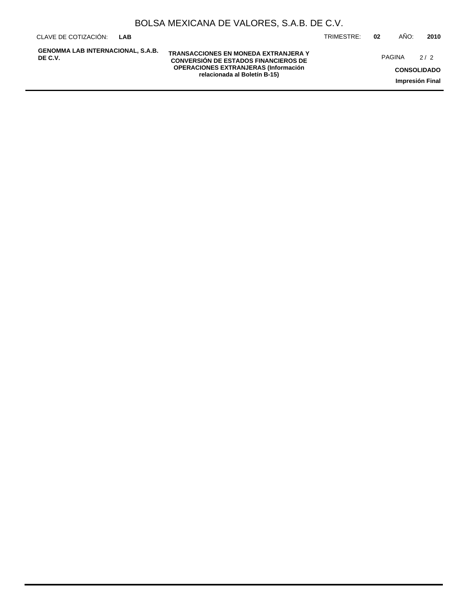**GENOMMA LAB INTERNACIONAL, S.A.B. DE C.V.**

**TRANSACCIONES EN MONEDA EXTRANJERA Y CONVERSIÓN DE ESTADOS FINANCIEROS DE OPERACIONES EXTRANJERAS (Información relacionada al Boletín B-15)**

CLAVE DE COTIZACIÓN: TRIMESTRE: **02** AÑO: **2010**

PAGINA 2/2

**CONSOLIDADO Impresión Final**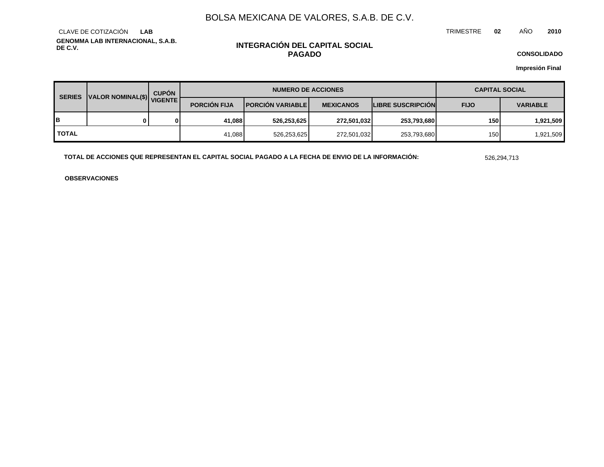TRIMESTRE **02** AÑO **2010**

**GENOMMA LAB INTERNACIONAL, S.A.B. DE C.V.** CLAVE DE COTIZACIÓN **LAB**

## **INTEGRACIÓN DEL CAPITAL SOCIAL PAGADO**

**CONSOLIDADO**

**Impresión Final**

| VALOR NOMINAL(\$) VIGENTE<br><b>SERIES</b> | <b>CUPÓN</b> | <b>NUMERO DE ACCIONES</b> |                          |                  |                          | <b>CAPITAL SOCIAL</b> |                 |           |
|--------------------------------------------|--------------|---------------------------|--------------------------|------------------|--------------------------|-----------------------|-----------------|-----------|
|                                            |              | <b>PORCIÓN FIJA</b>       | <b>PORCIÓN VARIABLEI</b> | <b>MEXICANOS</b> | <b>LIBRE SUSCRIPCION</b> | <b>FIJO</b>           | <b>VARIABLE</b> |           |
| B                                          | 0            |                           | 41.088                   | 526,253,625      | 272,501,032              | 253,793,680           | 150             | 1,921,509 |
| <b>TOTAL</b>                               |              |                           | 41,088                   | 526,253,625      | 272,501,032              | 253,793,680           | 150             | 1,921,509 |

**TOTAL DE ACCIONES QUE REPRESENTAN EL CAPITAL SOCIAL PAGADO A LA FECHA DE ENVIO DE LA INFORMACIÓN:** 526,294,713

**OBSERVACIONES**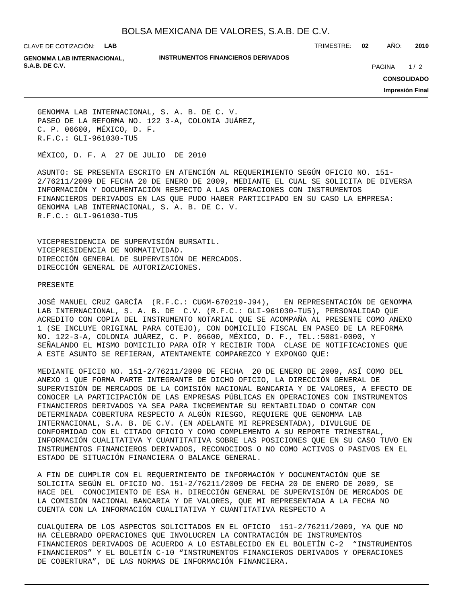CLAVE DE COTIZACIÓN: **LAB**

**INSTRUMENTOS FINANCIEROS DERIVADOS**

TRIMESTRE: **02** AÑO: **2010**

**GENOMMA LAB INTERNACIONAL, S.A.B. DE C.V. PAGINA 2020 20:20 20:20 20:20 20:20 20:20 20:20 20:20 20:20 20:20 20:20 20:20 20:20 20:20 20:20 20:20 20:20 20:20 20:20 20:20 20:20 20:20 20:20 20:20 20:20 20:20 20:20 20:20 20:20 20:20 20:20 20:20 20:20** 

 $1/2$ 

**CONSOLIDADO**

**Impresión Final**

GENOMMA LAB INTERNACIONAL, S. A. B. DE C. V. PASEO DE LA REFORMA NO. 122 3-A, COLONIA JUÁREZ, C. P. 06600, MÉXICO, D. F. R.F.C.: GLI-961030-TU5

MÉXICO, D. F. A 27 DE JULIO DE 2010

ASUNTO: SE PRESENTA ESCRITO EN ATENCIÓN AL REQUERIMIENTO SEGÚN OFICIO NO. 151- 2/76211/2009 DE FECHA 20 DE ENERO DE 2009, MEDIANTE EL CUAL SE SOLICITA DE DIVERSA INFORMACIÓN Y DOCUMENTACIÓN RESPECTO A LAS OPERACIONES CON INSTRUMENTOS FINANCIEROS DERIVADOS EN LAS QUE PUDO HABER PARTICIPADO EN SU CASO LA EMPRESA: GENOMMA LAB INTERNACIONAL, S. A. B. DE C. V. R.F.C.: GLI-961030-TU5

VICEPRESIDENCIA DE SUPERVISIÓN BURSATIL. VICEPRESIDENCIA DE NORMATIVIDAD. DIRECCIÓN GENERAL DE SUPERVISIÓN DE MERCADOS. DIRECCIÓN GENERAL DE AUTORIZACIONES.

#### PRESENTE

JOSÉ MANUEL CRUZ GARCÍA (R.F.C.: CUGM-670219-J94), EN REPRESENTACIÓN DE GENOMMA LAB INTERNACIONAL, S. A. B. DE C.V. (R.F.C.: GLI-961030-TU5), PERSONALIDAD QUE ACREDITO CON COPIA DEL INSTRUMENTO NOTARIAL QUE SE ACOMPAÑA AL PRESENTE COMO ANEXO 1 (SE INCLUYE ORIGINAL PARA COTEJO), CON DOMICILIO FISCAL EN PASEO DE LA REFORMA NO. 122-3-A, COLONIA JUÁREZ, C. P. 06600, MÉXICO, D. F., TEL.:5081-0000, Y SEÑALANDO EL MISMO DOMICILIO PARA OÍR Y RECIBIR TODA CLASE DE NOTIFICACIONES QUE A ESTE ASUNTO SE REFIERAN, ATENTAMENTE COMPAREZCO Y EXPONGO QUE:

MEDIANTE OFICIO NO. 151-2/76211/2009 DE FECHA 20 DE ENERO DE 2009, ASÍ COMO DEL ANEXO 1 QUE FORMA PARTE INTEGRANTE DE DICHO OFICIO, LA DIRECCIÓN GENERAL DE SUPERVISIÓN DE MERCADOS DE LA COMISIÓN NACIONAL BANCARIA Y DE VALORES, A EFECTO DE CONOCER LA PARTICIPACIÓN DE LAS EMPRESAS PÚBLICAS EN OPERACIONES CON INSTRUMENTOS FINANCIEROS DERIVADOS YA SEA PARA INCREMENTAR SU RENTABILIDAD O CONTAR CON DETERMINADA COBERTURA RESPECTO A ALGÚN RIESGO, REQUIERE QUE GENOMMA LAB INTERNACIONAL, S.A. B. DE C.V. (EN ADELANTE MI REPRESENTADA), DIVULGUE DE CONFORMIDAD CON EL CITADO OFICIO Y COMO COMPLEMENTO A SU REPORTE TRIMESTRAL, INFORMACIÓN CUALITATIVA Y CUANTITATIVA SOBRE LAS POSICIONES QUE EN SU CASO TUVO EN INSTRUMENTOS FINANCIEROS DERIVADOS, RECONOCIDOS O NO COMO ACTIVOS O PASIVOS EN EL ESTADO DE SITUACIÓN FINANCIERA O BALANCE GENERAL.

A FIN DE CUMPLIR CON EL REQUERIMIENTO DE INFORMACIÓN Y DOCUMENTACIÓN QUE SE SOLICITA SEGÚN EL OFICIO NO. 151-2/76211/2009 DE FECHA 20 DE ENERO DE 2009, SE HACE DEL CONOCIMIENTO DE ESA H. DIRECCIÓN GENERAL DE SUPERVISIÓN DE MERCADOS DE LA COMISIÓN NACIONAL BANCARIA Y DE VALORES, QUE MI REPRESENTADA A LA FECHA NO CUENTA CON LA INFORMACIÓN CUALITATIVA Y CUANTITATIVA RESPECTO A

CUALQUIERA DE LOS ASPECTOS SOLICITADOS EN EL OFICIO 151-2/76211/2009, YA QUE NO HA CELEBRADO OPERACIONES QUE INVOLUCREN LA CONTRATACIÓN DE INSTRUMENTOS FINANCIEROS DERIVADOS DE ACUERDO A LO ESTABLECIDO EN EL BOLETÍN C-2 "INSTRUMENTOS FINANCIEROS" Y EL BOLETÍN C-10 "INSTRUMENTOS FINANCIEROS DERIVADOS Y OPERACIONES DE COBERTURA", DE LAS NORMAS DE INFORMACIÓN FINANCIERA.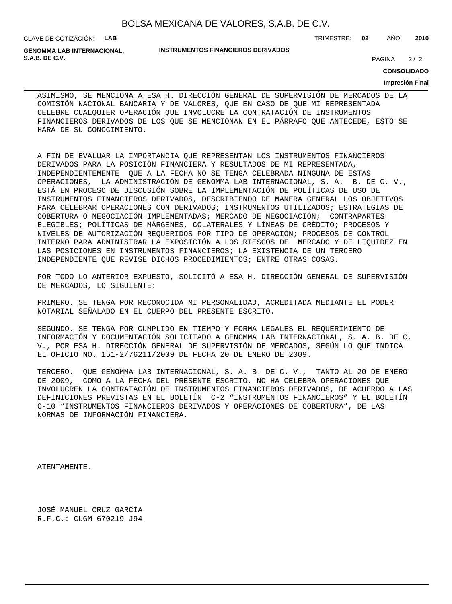CLAVE DE COTIZACIÓN: **LAB**

**GENOMMA LAB INTERNACIONAL, S.A.B. DE C.V.** 2/2

#### **INSTRUMENTOS FINANCIEROS DERIVADOS**

TRIMESTRE: **02** AÑO: **2010**

 $2/2$ 

**CONSOLIDADO**

#### **Impresión Final**

ASIMISMO, SE MENCIONA A ESA H. DIRECCIÓN GENERAL DE SUPERVISIÓN DE MERCADOS DE LA COMISIÓN NACIONAL BANCARIA Y DE VALORES, QUE EN CASO DE QUE MI REPRESENTADA CELEBRE CUALQUIER OPERACIÓN QUE INVOLUCRE LA CONTRATACIÓN DE INSTRUMENTOS FINANCIEROS DERIVADOS DE LOS QUE SE MENCIONAN EN EL PÁRRAFO QUE ANTECEDE, ESTO SE HARÁ DE SU CONOCIMIENTO.

A FIN DE EVALUAR LA IMPORTANCIA QUE REPRESENTAN LOS INSTRUMENTOS FINANCIEROS DERIVADOS PARA LA POSICIÓN FINANCIERA Y RESULTADOS DE MI REPRESENTADA, INDEPENDIENTEMENTE QUE A LA FECHA NO SE TENGA CELEBRADA NINGUNA DE ESTAS OPERACIONES, LA ADMINISTRACIÓN DE GENOMMA LAB INTERNACIONAL, S. A. B. DE C. V., ESTÁ EN PROCESO DE DISCUSIÓN SOBRE LA IMPLEMENTACIÓN DE POLÍTICAS DE USO DE INSTRUMENTOS FINANCIEROS DERIVADOS, DESCRIBIENDO DE MANERA GENERAL LOS OBJETIVOS PARA CELEBRAR OPERACIONES CON DERIVADOS; INSTRUMENTOS UTILIZADOS; ESTRATEGIAS DE COBERTURA O NEGOCIACIÓN IMPLEMENTADAS; MERCADO DE NEGOCIACIÓN; CONTRAPARTES ELEGIBLES; POLÍTICAS DE MÁRGENES, COLATERALES Y LÍNEAS DE CRÉDITO; PROCESOS Y NIVELES DE AUTORIZACIÓN REQUERIDOS POR TIPO DE OPERACIÓN; PROCESOS DE CONTROL INTERNO PARA ADMINISTRAR LA EXPOSICIÓN A LOS RIESGOS DE MERCADO Y DE LIQUIDEZ EN LAS POSICIONES EN INSTRUMENTOS FINANCIEROS; LA EXISTENCIA DE UN TERCERO INDEPENDIENTE QUE REVISE DICHOS PROCEDIMIENTOS; ENTRE OTRAS COSAS.

POR TODO LO ANTERIOR EXPUESTO, SOLICITÓ A ESA H. DIRECCIÓN GENERAL DE SUPERVISIÓN DE MERCADOS, LO SIGUIENTE:

PRIMERO. SE TENGA POR RECONOCIDA MI PERSONALIDAD, ACREDITADA MEDIANTE EL PODER NOTARIAL SEÑALADO EN EL CUERPO DEL PRESENTE ESCRITO.

SEGUNDO. SE TENGA POR CUMPLIDO EN TIEMPO Y FORMA LEGALES EL REQUERIMIENTO DE INFORMACIÓN Y DOCUMENTACIÓN SOLICITADO A GENOMMA LAB INTERNACIONAL, S. A. B. DE C. V., POR ESA H. DIRECCIÓN GENERAL DE SUPERVISIÓN DE MERCADOS, SEGÚN LO QUE INDICA EL OFICIO NO. 151-2/76211/2009 DE FECHA 20 DE ENERO DE 2009.

TERCERO. QUE GENOMMA LAB INTERNACIONAL, S. A. B. DE C. V., TANTO AL 20 DE ENERO DE 2009, COMO A LA FECHA DEL PRESENTE ESCRITO, NO HA CELEBRA OPERACIONES QUE INVOLUCREN LA CONTRATACIÓN DE INSTRUMENTOS FINANCIEROS DERIVADOS, DE ACUERDO A LAS DEFINICIONES PREVISTAS EN EL BOLETÍN C-2 "INSTRUMENTOS FINANCIEROS" Y EL BOLETÍN C-10 "INSTRUMENTOS FINANCIEROS DERIVADOS Y OPERACIONES DE COBERTURA", DE LAS NORMAS DE INFORMACIÓN FINANCIERA.

ATENTAMENTE.

JOSÉ MANUEL CRUZ GARCÍA R.F.C.: CUGM-670219-J94